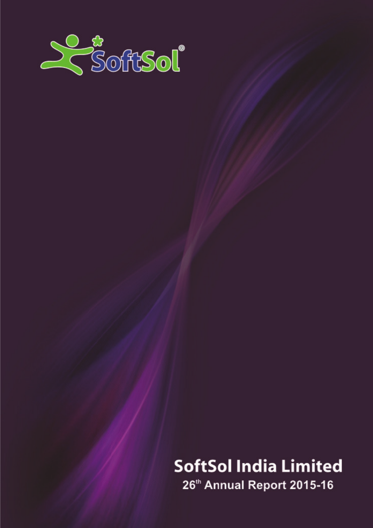

# **SoftSol India Limited**

26th Annual Report 2015-16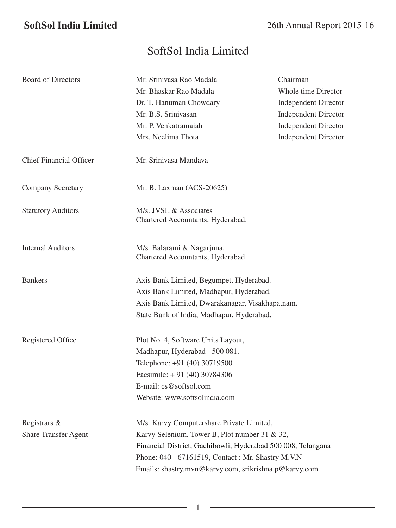## SoftSol India Limited

| <b>Board of Directors</b>   | Mr. Srinivasa Rao Madala                                        | Chairman                    |  |  |
|-----------------------------|-----------------------------------------------------------------|-----------------------------|--|--|
|                             | Mr. Bhaskar Rao Madala                                          | Whole time Director         |  |  |
|                             | Dr. T. Hanuman Chowdary                                         | <b>Independent Director</b> |  |  |
|                             | Mr. B.S. Srinivasan                                             | <b>Independent Director</b> |  |  |
|                             | Mr. P. Venkatramaiah                                            | <b>Independent Director</b> |  |  |
|                             | Mrs. Neelima Thota                                              | <b>Independent Director</b> |  |  |
| Chief Financial Officer     | Mr. Sriniyasa Mandaya                                           |                             |  |  |
| <b>Company Secretary</b>    | Mr. B. Laxman (ACS-20625)                                       |                             |  |  |
| <b>Statutory Auditors</b>   | M/s. JVSL & Associates<br>Chartered Accountants, Hyderabad.     |                             |  |  |
| <b>Internal Auditors</b>    | M/s. Balarami & Nagarjuna,<br>Chartered Accountants, Hyderabad. |                             |  |  |
| <b>Bankers</b>              | Axis Bank Limited, Begumpet, Hyderabad.                         |                             |  |  |
|                             | Axis Bank Limited, Madhapur, Hyderabad.                         |                             |  |  |
|                             | Axis Bank Limited, Dwarakanagar, Visakhapatnam.                 |                             |  |  |
|                             | State Bank of India, Madhapur, Hyderabad.                       |                             |  |  |
| Registered Office           | Plot No. 4, Software Units Layout,                              |                             |  |  |
|                             | Madhapur, Hyderabad - 500 081.                                  |                             |  |  |
|                             | Telephone: +91 (40) 30719500                                    |                             |  |  |
|                             | Facsimile: $+91$ (40) 30784306                                  |                             |  |  |
|                             | E-mail: cs@softsol.com                                          |                             |  |  |
|                             | Website: www.softsolindia.com                                   |                             |  |  |
| Registrars &                | M/s. Karvy Computershare Private Limited,                       |                             |  |  |
| <b>Share Transfer Agent</b> | Karvy Selenium, Tower B, Plot number 31 & 32,                   |                             |  |  |
|                             | Financial District, Gachibowli, Hyderabad 500 008, Telangana    |                             |  |  |
|                             | Phone: 040 - 67161519, Contact: Mr. Shastry M.V.N               |                             |  |  |
|                             | Emails: shastry.mvn@karvy.com, srikrishna.p@karvy.com           |                             |  |  |

1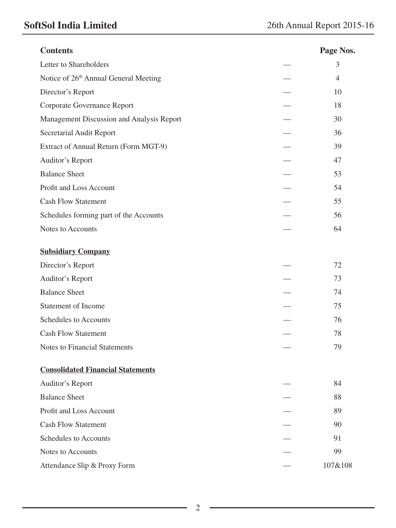## **SoftSol India Limited** 26th Annual Report 2015-16

| <b>Contents</b>                           | Page Nos.      |
|-------------------------------------------|----------------|
| Letter to Shareholders                    | 3              |
| Notice of 26th Annual General Meeting     | $\overline{4}$ |
| Director's Report                         | 10             |
| Corporate Governance Report               | 18             |
| Management Discussion and Analysis Report | 30             |
| Secretarial Audit Report                  | 36             |
| Extract of Annual Return (Form MGT-9)     | 39             |
| Auditor's Report                          | 47             |
| <b>Balance Sheet</b>                      | 53             |
| Profit and Loss Account                   | 54             |
| <b>Cash Flow Statement</b>                | 55             |
| Schedules forming part of the Accounts    | 56             |
| Notes to Accounts                         | 64             |
| <b>Subsidiary Company</b>                 |                |
| Director's Report                         | 72             |
| Auditor's Report                          | 73             |
| <b>Balance Sheet</b>                      | 74             |
| Statement of Income                       | 75             |
| Schedules to Accounts                     | 76             |
| <b>Cash Flow Statement</b>                | 78             |
| Notes to Financial Statements             | 79             |
| <b>Consolidated Financial Statements</b>  |                |
| Auditor's Report                          | 84             |
| <b>Balance Sheet</b>                      | 88             |
| Profit and Loss Account                   | 89             |
| <b>Cash Flow Statement</b>                | 90             |
| Schedules to Accounts                     | 91             |
| Notes to Accounts                         | 99             |
| Attendance Slip & Proxy Form              | 107&108        |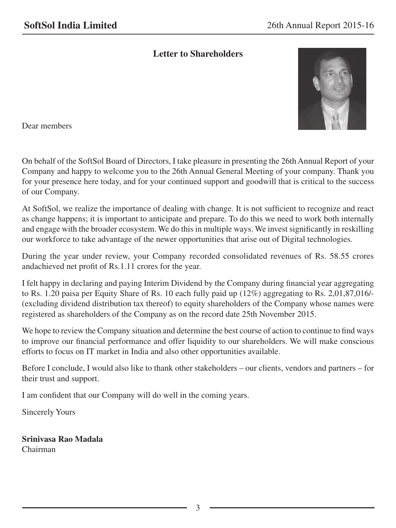## **Letter to Shareholders**



Dear members

On behalf of the SoftSol Board of Directors, I take pleasure in presenting the 26th Annual Report of your Company and happy to welcome you to the 26th Annual General Meeting of your company. Thank you for your presence here today, and for your continued support and goodwill that is critical to the success of our Company.

At SoftSol, we realize the importance of dealing with change. It is not sufficient to recognize and react as change happens; it is important to anticipate and prepare. To do this we need to work both internally and engage with the broader ecosystem. We do this in multiple ways. We invest significantly in reskilling our workforce to take advantage of the newer opportunities that arise out of Digital technologies.

During the year under review, your Company recorded consolidated revenues of Rs. 58.55 crores andachieved net profit of Rs.1.11 crores for the year.

I felt happy in declaring and paying Interim Dividend by the Company during financial year aggregating to Rs. 1.20 paisa per Equity Share of Rs. 10 each fully paid up (12%) aggregating to Rs. 2,01,87,016/- (excluding dividend distribution tax thereof) to equity shareholders of the Company whose names were registered as shareholders of the Company as on the record date 25th November 2015.

We hope to review the Company situation and determine the best course of action to continue to find ways to improve our financial performance and offer liquidity to our shareholders. We will make conscious efforts to focus on IT market in India and also other opportunities available.

Before I conclude, I would also like to thank other stakeholders – our clients, vendors and partners – for their trust and support.

I am confident that our Company will do well in the coming years.

Sincerely Yours

**Srinivasa Rao Madala** Chairman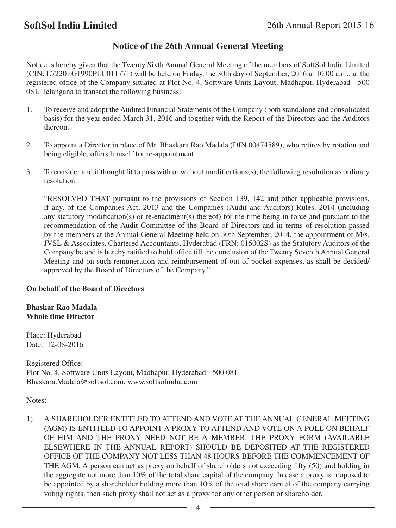## **Notice of the 26th Annual General Meeting**

Notice is hereby given that the Twenty Sixth Annual General Meeting of the members of SoftSol India Limited (CIN: L7220TG1990PLC011771) will be held on Friday, the 30th day of September, 2016 at 10.00 a.m., at the registered office of the Company situated at Plot No. 4, Software Units Layout, Madhapur, Hyderabad - 500 081, Telangana to transact the following business:

- 1. To receive and adopt the Audited Financial Statements of the Company (both standalone and consolidated basis) for the year ended March 31, 2016 and together with the Report of the Directors and the Auditors thereon.
- 2. To appoint a Director in place of Mr. Bhaskara Rao Madala (DIN 00474589), who retires by rotation and being eligible, offers himself for re-appointment.
- 3. To consider and if thought fit to pass with or without modifications(s), the following resolution as ordinary resolution.

"RESOLVED THAT pursuant to the provisions of Section 139, 142 and other applicable provisions, if any, of the Companies Act, 2013 and the Companies (Audit and Auditors) Rules, 2014 (including any statutory modification(s) or re-enactment(s) thereof) for the time being in force and pursuant to the recommendation of the Audit Committee of the Board of Directors and in terms of resolution passed by the members at the Annual General Meeting held on 30th September, 2014, the appointment of M/s. JVSL & Associates, Chartered Accountants, Hyderabad (FRN: 015002S) as the Statutory Auditors of the Company be and is hereby ratified to hold office till the conclusion of the Twenty Seventh Annual General Meeting and on such remuneration and reimbursement of out of pocket expenses, as shall be decided/ approved by the Board of Directors of the Company."

## **On behalf of the Board of Directors**

## **Bhaskar Rao Madala Whole time Director**

Place: Hyderabad Date: 12-08-2016

Registered Office: Plot No. 4, Software Units Layout, Madhapur, Hyderabad - 500 081 Bhaskara.Madala@softsol.com, www.softsolindia.com

Notes:

1) A SHAREHOLDER ENTITLED TO ATTEND AND VOTE AT THE ANNUAL GENERAL MEETING (AGM) IS ENTITLED TO APPOINT A PROXY TO ATTEND AND VOTE ON A POLL ON BEHALF OF HIM AND THE PROXY NEED NOT BE A MEMBER. THE PROXY FORM (AVAILABLE ELSEWHERE IN THE ANNUAL REPORT) SHOULD BE DEPOSITED AT THE REGISTERED OFFICE OF THE COMPANY NOT LESS THAN 48 HOURS BEFORE THE COMMENCEMENT OF THE AGM. A person can act as proxy on behalf of shareholders not exceeding fifty (50) and holding in the aggregate not more than 10% of the total share capital of the company. In case a proxy is proposed to be appointed by a shareholder holding more than 10% of the total share capital of the company carrying voting rights, then such proxy shall not act as a proxy for any other person or shareholder.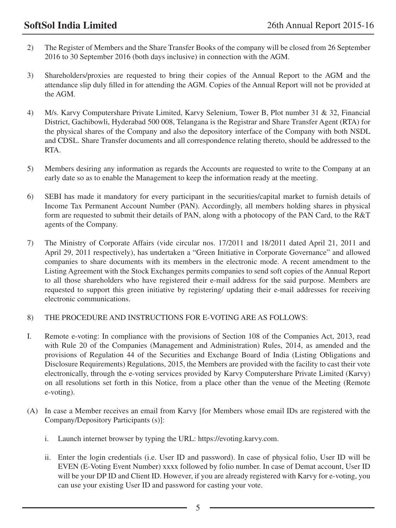- 2) The Register of Members and the Share Transfer Books of the company will be closed from 26 September 2016 to 30 September 2016 (both days inclusive) in connection with the AGM.
- 3) Shareholders/proxies are requested to bring their copies of the Annual Report to the AGM and the attendance slip duly filled in for attending the AGM. Copies of the Annual Report will not be provided at the AGM.
- 4) M/s. Karvy Computershare Private Limited, Karvy Selenium, Tower B, Plot number 31 & 32, Financial District, Gachibowli, Hyderabad 500 008, Telangana is the Registrar and Share Transfer Agent (RTA) for the physical shares of the Company and also the depository interface of the Company with both NSDL and CDSL. Share Transfer documents and all correspondence relating thereto, should be addressed to the RTA.
- 5) Members desiring any information as regards the Accounts are requested to write to the Company at an early date so as to enable the Management to keep the information ready at the meeting.
- 6) SEBI has made it mandatory for every participant in the securities/capital market to furnish details of Income Tax Permanent Account Number (PAN). Accordingly, all members holding shares in physical form are requested to submit their details of PAN, along with a photocopy of the PAN Card, to the R&T agents of the Company.
- 7) The Ministry of Corporate Affairs (vide circular nos. 17/2011 and 18/2011 dated April 21, 2011 and April 29, 2011 respectively), has undertaken a "Green Initiative in Corporate Governance" and allowed companies to share documents with its members in the electronic mode. A recent amendment to the Listing Agreement with the Stock Exchanges permits companies to send soft copies of the Annual Report to all those shareholders who have registered their e-mail address for the said purpose. Members are requested to support this green initiative by registering/ updating their e-mail addresses for receiving electronic communications.

## 8) THE PROCEDURE AND INSTRUCTIONS FOR E-VOTING ARE AS FOLLOWS:

- I. Remote e-voting: In compliance with the provisions of Section 108 of the Companies Act, 2013, read with Rule 20 of the Companies (Management and Administration) Rules, 2014, as amended and the provisions of Regulation 44 of the Securities and Exchange Board of India (Listing Obligations and Disclosure Requirements) Regulations, 2015, the Members are provided with the facility to cast their vote electronically, through the e-voting services provided by Karvy Computershare Private Limited (Karvy) on all resolutions set forth in this Notice, from a place other than the venue of the Meeting (Remote e-voting).
- (A) In case a Member receives an email from Karvy [for Members whose email IDs are registered with the Company/Depository Participants (s)]:
	- i. Launch internet browser by typing the URL: https://evoting.karvy.com.
	- ii. Enter the login credentials (i.e. User ID and password). In case of physical folio, User ID will be EVEN (E-Voting Event Number) xxxx followed by folio number. In case of Demat account, User ID will be your DP ID and Client ID. However, if you are already registered with Karvy for e-voting, you can use your existing User ID and password for casting your vote.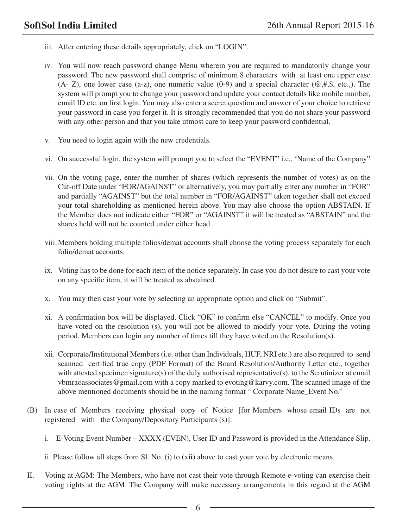- iii. After entering these details appropriately, click on "LOGIN".
- iv. You will now reach password change Menu wherein you are required to mandatorily change your password. The new password shall comprise of minimum 8 characters with at least one upper case (A- Z), one lower case (a-z), one numeric value (0-9) and a special character ( $@,#,$ \$, etc.). The system will prompt you to change your password and update your contact details like mobile number, email ID etc. on first login. You may also enter a secret question and answer of your choice to retrieve your password in case you forget it. It is strongly recommended that you do not share your password with any other person and that you take utmost care to keep your password confidential.
- v. You need to login again with the new credentials.
- vi. On successful login, the system will prompt you to select the "EVENT" i.e., 'Name of the Company"
- vii. On the voting page, enter the number of shares (which represents the number of votes) as on the Cut-off Date under "FOR/AGAINST" or alternatively, you may partially enter any number in "FOR" and partially "AGAINST" but the total number in "FOR/AGAINST" taken together shall not exceed your total shareholding as mentioned herein above. You may also choose the option ABSTAIN. If the Member does not indicate either "FOR" or "AGAINST" it will be treated as "ABSTAIN" and the shares held will not be counted under either head.
- viii.Members holding multiple folios/demat accounts shall choose the voting process separately for each folio/demat accounts.
- ix. Voting has to be done for each item of the notice separately. In case you do not desire to cast your vote on any specific item, it will be treated as abstained.
- x. You may then cast your vote by selecting an appropriate option and click on "Submit".
- xi. A confirmation box will be displayed. Click "OK" to confirm else "CANCEL" to modify. Once you have voted on the resolution (s), you will not be allowed to modify your vote. During the voting period, Members can login any number of times till they have voted on the Resolution(s).
- xii. Corporate/Institutional Members (i.e. other than Individuals, HUF, NRI etc.) are also required to send scanned certified true copy (PDF Format) of the Board Resolution/Authority Letter etc., together with attested specimen signature(s) of the duly authorised representative(s), to the Scrutinizer at email vbmraoassociates@gmail.com with a copy marked to evoting@karvy.com. The scanned image of the above mentioned documents should be in the naming format " Corporate Name\_Event No."
- (B) In case of Members receiving physical copy of Notice [for Members whose email IDs are not registered with the Company/Depository Participants (s)]:
	- i. E-Voting Event Number XXXX (EVEN), User ID and Password is provided in the Attendance Slip.

ii. Please follow all steps from Sl. No. (i) to (xii) above to cast your vote by electronic means.

II. Voting at AGM: The Members, who have not cast their vote through Remote e-voting can exercise their voting rights at the AGM. The Company will make necessary arrangements in this regard at the AGM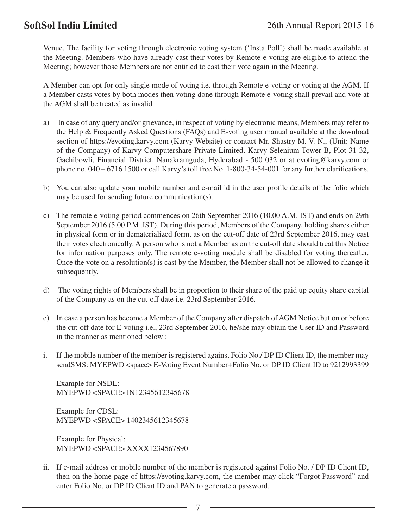Venue. The facility for voting through electronic voting system ('Insta Poll') shall be made available at the Meeting. Members who have already cast their votes by Remote e-voting are eligible to attend the Meeting; however those Members are not entitled to cast their vote again in the Meeting.

A Member can opt for only single mode of voting i.e. through Remote e-voting or voting at the AGM. If a Member casts votes by both modes then voting done through Remote e-voting shall prevail and vote at the AGM shall be treated as invalid.

- a) In case of any query and/or grievance, in respect of voting by electronic means, Members may refer to the Help & Frequently Asked Questions (FAQs) and E-voting user manual available at the download section of https://evoting.karvy.com (Karvy Website) or contact Mr. Shastry M. V. N., (Unit: Name of the Company) of Karvy Computershare Private Limited, Karvy Selenium Tower B, Plot 31-32, Gachibowli, Financial District, Nanakramguda, Hyderabad - 500 032 or at evoting@karvy.com or phone no. 040 – 6716 1500 or call Karvy's toll free No. 1-800-34-54-001 for any further clarifications.
- b) You can also update your mobile number and e-mail id in the user profile details of the folio which may be used for sending future communication(s).
- c) The remote e-voting period commences on 26th September 2016 (10.00 A.M. IST) and ends on 29th September 2016 (5.00 P.M .IST). During this period, Members of the Company, holding shares either in physical form or in dematerialized form, as on the cut-off date of 23rd September 2016, may cast their votes electronically. A person who is not a Member as on the cut-off date should treat this Notice for information purposes only. The remote e-voting module shall be disabled for voting thereafter. Once the vote on a resolution(s) is cast by the Member, the Member shall not be allowed to change it subsequently.
- d) The voting rights of Members shall be in proportion to their share of the paid up equity share capital of the Company as on the cut-off date i.e. 23rd September 2016.
- e) In case a person has become a Member of the Company after dispatch of AGM Notice but on or before the cut-off date for E-voting i.e., 23rd September 2016, he/she may obtain the User ID and Password in the manner as mentioned below :
- i. If the mobile number of the member is registered against Folio No./ DP ID Client ID, the member may sendSMS: MYEPWD <space> E-Voting Event Number+Folio No. or DP ID Client ID to 9212993399

 Example for NSDL: MYEPWD <SPACE> IN12345612345678

 Example for CDSL: MYEPWD <SPACE> 1402345612345678

 Example for Physical: MYEPWD <SPACE> XXXX1234567890

ii. If e-mail address or mobile number of the member is registered against Folio No. / DP ID Client ID, then on the home page of https://evoting.karvy.com, the member may click "Forgot Password" and enter Folio No. or DP ID Client ID and PAN to generate a password.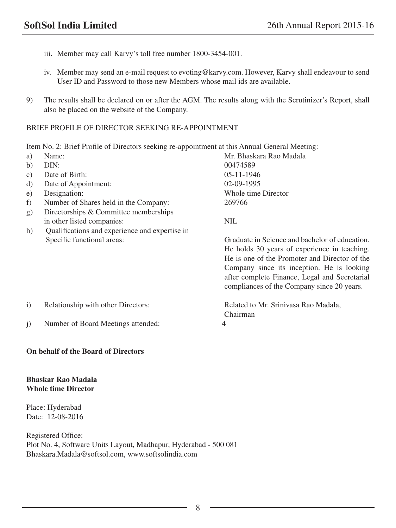- iii. Member may call Karvy's toll free number 1800-3454-001.
- iv. Member may send an e-mail request to evoting@karvy.com. However, Karvy shall endeavour to send User ID and Password to those new Members whose mail ids are available.
- 9) The results shall be declared on or after the AGM. The results along with the Scrutinizer's Report, shall also be placed on the website of the Company.

## BRIEF PROFILE OF DIRECTOR SEEKING RE-APPOINTMENT

Item No. 2: Brief Profile of Directors seeking re-appointment at this Annual General Meeting:

| a)                | Name:                                          | Mr. Bhaskara Rao Madala                        |
|-------------------|------------------------------------------------|------------------------------------------------|
| b)                | DIN:                                           | 00474589                                       |
| C)                | Date of Birth:                                 | $05 - 11 - 1946$                               |
| d)                | Date of Appointment:                           | $02-09-1995$                                   |
| e)                | Designation:                                   | Whole time Director                            |
| f)                | Number of Shares held in the Company:          | 269766                                         |
| g)                | Directorships & Committee memberships          |                                                |
|                   | in other listed companies:                     | <b>NIL</b>                                     |
| h)                | Qualifications and experience and expertise in |                                                |
|                   | Specific functional areas:                     | Graduate in Science and bachelor of education. |
|                   |                                                | He holds 30 years of experience in teaching.   |
|                   |                                                | He is one of the Promoter and Director of the  |
|                   |                                                | Company since its inception. He is looking     |
|                   |                                                | after complete Finance, Legal and Secretarial  |
|                   |                                                | compliances of the Company since 20 years.     |
| $\left( i\right)$ | Relationship with other Directors:             | Related to Mr. Srinivasa Rao Madala,           |
|                   |                                                | Chairman                                       |
| j)                | Number of Board Meetings attended:             | 4                                              |

## **On behalf of the Board of Directors**

## **Bhaskar Rao Madala Whole time Director**

Place: Hyderabad Date: 12-08-2016

Registered Office: Plot No. 4, Software Units Layout, Madhapur, Hyderabad - 500 081 Bhaskara.Madala@softsol.com, www.softsolindia.com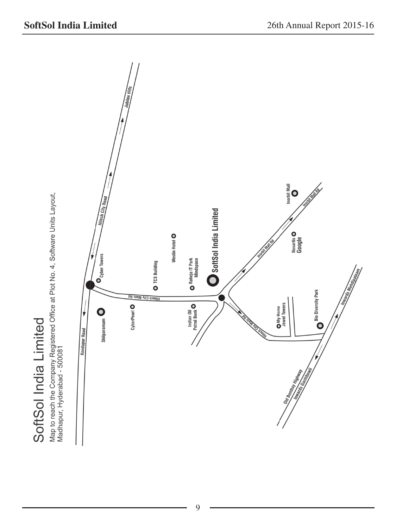SoftSol India Limited

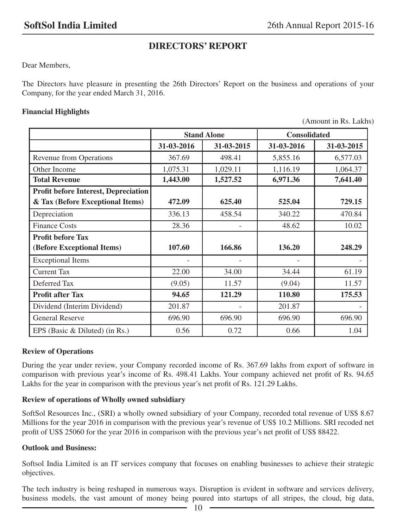## **DIRECTORS' REPORT**

Dear Members,

The Directors have pleasure in presenting the 26th Directors' Report on the business and operations of your Company, for the year ended March 31, 2016.

## **Financial Highlights**

(Amount in Rs. Lakhs)

|                                             | <b>Stand Alone</b> |            | <b>Consolidated</b> |            |
|---------------------------------------------|--------------------|------------|---------------------|------------|
|                                             | 31-03-2016         | 31-03-2015 | 31-03-2016          | 31-03-2015 |
| <b>Revenue from Operations</b>              | 367.69             | 498.41     | 5,855.16            | 6,577.03   |
| Other Income                                | 1,075.31           | 1,029.11   | 1,116.19            | 1,064.37   |
| <b>Total Revenue</b>                        | 1,443.00           | 1,527.52   | 6,971.36            | 7,641.40   |
| <b>Profit before Interest, Depreciation</b> |                    |            |                     |            |
| & Tax (Before Exceptional Items)            | 472.09             | 625.40     | 525.04              | 729.15     |
| Depreciation                                | 336.13             | 458.54     | 340.22              | 470.84     |
| <b>Finance Costs</b>                        | 28.36              |            | 48.62               | 10.02      |
| <b>Profit before Tax</b>                    |                    |            |                     |            |
| (Before Exceptional Items)                  | 107.60             | 166.86     | 136.20              | 248.29     |
| <b>Exceptional Items</b>                    |                    |            |                     |            |
| <b>Current Tax</b>                          | 22.00              | 34.00      | 34.44               | 61.19      |
| Deferred Tax                                | (9.05)             | 11.57      | (9.04)              | 11.57      |
| <b>Profit after Tax</b>                     | 94.65              | 121.29     | 110.80              | 175.53     |
| Dividend (Interim Dividend)                 | 201.87             |            | 201.87              |            |
| <b>General Reserve</b>                      | 696.90             | 696.90     | 696.90              | 696.90     |
| EPS (Basic & Diluted) (in Rs.)              | 0.56               | 0.72       | 0.66                | 1.04       |

## **Review of Operations**

During the year under review, your Company recorded income of Rs. 367.69 lakhs from export of software in comparison with previous year's income of Rs. 498.41 Lakhs. Your company achieved net profit of Rs. 94.65 Lakhs for the year in comparison with the previous year's net profit of Rs. 121.29 Lakhs.

## **Review of operations of Wholly owned subsidiary**

SoftSol Resources Inc., (SRI) a wholly owned subsidiary of your Company, recorded total revenue of US\$ 8.67 Millions for the year 2016 in comparison with the previous year's revenue of US\$ 10.2 Millions. SRI recoded net profit of US\$ 25060 for the year 2016 in comparison with the previous year's net profit of US\$ 88422.

## **Outlook and Business:**

Softsol India Limited is an IT services company that focuses on enabling businesses to achieve their strategic objectives.

The tech industry is being reshaped in numerous ways. Disruption is evident in software and services delivery, business models, the vast amount of money being poured into startups of all stripes, the cloud, big data,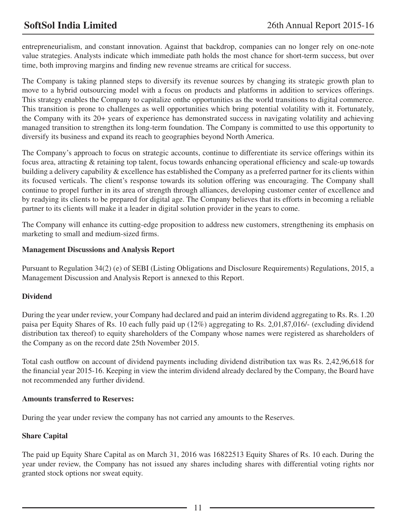entrepreneurialism, and constant innovation. Against that backdrop, companies can no longer rely on one-note value strategies. Analysts indicate which immediate path holds the most chance for short-term success, but over time, both improving margins and finding new revenue streams are critical for success.

The Company is taking planned steps to diversify its revenue sources by changing its strategic growth plan to move to a hybrid outsourcing model with a focus on products and platforms in addition to services offerings. This strategy enables the Company to capitalize onthe opportunities as the world transitions to digital commerce. This transition is prone to challenges as well opportunities which bring potential volatility with it. Fortunately, the Company with its 20+ years of experience has demonstrated success in navigating volatility and achieving managed transition to strengthen its long-term foundation. The Company is committed to use this opportunity to diversify its business and expand its reach to geographies beyond North America.

The Company's approach to focus on strategic accounts, continue to differentiate its service offerings within its focus area, attracting & retaining top talent, focus towards enhancing operational efficiency and scale-up towards building a delivery capability & excellence has established the Company as a preferred partner for its clients within its focused verticals. The client's response towards its solution offering was encouraging. The Company shall continue to propel further in its area of strength through alliances, developing customer center of excellence and by readying its clients to be prepared for digital age. The Company believes that its efforts in becoming a reliable partner to its clients will make it a leader in digital solution provider in the years to come.

The Company will enhance its cutting-edge proposition to address new customers, strengthening its emphasis on marketing to small and medium-sized firms.

## **Management Discussions and Analysis Report**

Pursuant to Regulation 34(2) (e) of SEBI (Listing Obligations and Disclosure Requirements) Regulations, 2015, a Management Discussion and Analysis Report is annexed to this Report.

## **Dividend**

During the year under review, your Company had declared and paid an interim dividend aggregating to Rs. Rs. 1.20 paisa per Equity Shares of Rs. 10 each fully paid up (12%) aggregating to Rs. 2,01,87,016/- (excluding dividend distribution tax thereof) to equity shareholders of the Company whose names were registered as shareholders of the Company as on the record date 25th November 2015.

Total cash outflow on account of dividend payments including dividend distribution tax was Rs. 2,42,96,618 for the financial year 2015-16. Keeping in view the interim dividend already declared by the Company, the Board have not recommended any further dividend.

## **Amounts transferred to Reserves:**

During the year under review the company has not carried any amounts to the Reserves.

## **Share Capital**

The paid up Equity Share Capital as on March 31, 2016 was 16822513 Equity Shares of Rs. 10 each. During the year under review, the Company has not issued any shares including shares with differential voting rights nor granted stock options nor sweat equity.

11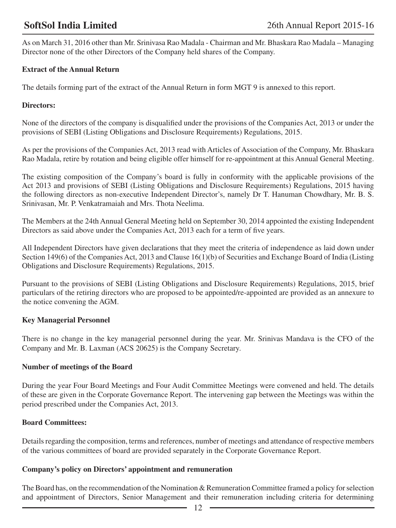As on March 31, 2016 other than Mr. Srinivasa Rao Madala - Chairman and Mr. Bhaskara Rao Madala – Managing Director none of the other Directors of the Company held shares of the Company.

## **Extract of the Annual Return**

The details forming part of the extract of the Annual Return in form MGT 9 is annexed to this report.

## **Directors:**

None of the directors of the company is disqualified under the provisions of the Companies Act, 2013 or under the provisions of SEBI (Listing Obligations and Disclosure Requirements) Regulations, 2015.

As per the provisions of the Companies Act, 2013 read with Articles of Association of the Company, Mr. Bhaskara Rao Madala, retire by rotation and being eligible offer himself for re-appointment at this Annual General Meeting.

The existing composition of the Company's board is fully in conformity with the applicable provisions of the Act 2013 and provisions of SEBI (Listing Obligations and Disclosure Requirements) Regulations, 2015 having the following directors as non-executive Independent Director's, namely Dr T. Hanuman Chowdhary, Mr. B. S. Srinivasan, Mr. P. Venkatramaiah and Mrs. Thota Neelima.

The Members at the 24th Annual General Meeting held on September 30, 2014 appointed the existing Independent Directors as said above under the Companies Act, 2013 each for a term of five years.

All Independent Directors have given declarations that they meet the criteria of independence as laid down under Section 149(6) of the Companies Act, 2013 and Clause 16(1)(b) of Securities and Exchange Board of India (Listing Obligations and Disclosure Requirements) Regulations, 2015.

Pursuant to the provisions of SEBI (Listing Obligations and Disclosure Requirements) Regulations, 2015, brief particulars of the retiring directors who are proposed to be appointed/re-appointed are provided as an annexure to the notice convening the AGM.

## **Key Managerial Personnel**

There is no change in the key managerial personnel during the year. Mr. Srinivas Mandava is the CFO of the Company and Mr. B. Laxman (ACS 20625) is the Company Secretary.

## **Number of meetings of the Board**

During the year Four Board Meetings and Four Audit Committee Meetings were convened and held. The details of these are given in the Corporate Governance Report. The intervening gap between the Meetings was within the period prescribed under the Companies Act, 2013.

## **Board Committees:**

Details regarding the composition, terms and references, number of meetings and attendance of respective members of the various committees of board are provided separately in the Corporate Governance Report.

## **Company's policy on Directors' appointment and remuneration**

The Board has, on the recommendation of the Nomination & Remuneration Committee framed a policy for selection and appointment of Directors, Senior Management and their remuneration including criteria for determining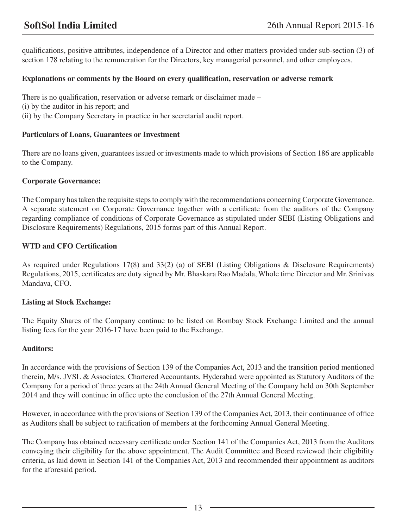qualifications, positive attributes, independence of a Director and other matters provided under sub-section (3) of section 178 relating to the remuneration for the Directors, key managerial personnel, and other employees.

## **Explanations or comments by the Board on every qualification, reservation or adverse remark**

There is no qualification, reservation or adverse remark or disclaimer made – (i) by the auditor in his report; and (ii) by the Company Secretary in practice in her secretarial audit report.

## **Particulars of Loans, Guarantees or Investment**

There are no loans given, guarantees issued or investments made to which provisions of Section 186 are applicable to the Company.

## **Corporate Governance:**

The Company has taken the requisite steps to comply with the recommendations concerning Corporate Governance. A separate statement on Corporate Governance together with a certificate from the auditors of the Company regarding compliance of conditions of Corporate Governance as stipulated under SEBI (Listing Obligations and Disclosure Requirements) Regulations, 2015 forms part of this Annual Report.

## **WTD and CFO Certification**

As required under Regulations 17(8) and 33(2) (a) of SEBI (Listing Obligations & Disclosure Requirements) Regulations, 2015, certificates are duty signed by Mr. Bhaskara Rao Madala, Whole time Director and Mr. Srinivas Mandava, CFO.

## **Listing at Stock Exchange:**

The Equity Shares of the Company continue to be listed on Bombay Stock Exchange Limited and the annual listing fees for the year 2016-17 have been paid to the Exchange.

## **Auditors:**

In accordance with the provisions of Section 139 of the Companies Act, 2013 and the transition period mentioned therein, M/s. JVSL & Associates, Chartered Accountants, Hyderabad were appointed as Statutory Auditors of the Company for a period of three years at the 24th Annual General Meeting of the Company held on 30th September 2014 and they will continue in office upto the conclusion of the 27th Annual General Meeting.

However, in accordance with the provisions of Section 139 of the Companies Act, 2013, their continuance of office as Auditors shall be subject to ratification of members at the forthcoming Annual General Meeting.

The Company has obtained necessary certificate under Section 141 of the Companies Act, 2013 from the Auditors conveying their eligibility for the above appointment. The Audit Committee and Board reviewed their eligibility criteria, as laid down in Section 141 of the Companies Act, 2013 and recommended their appointment as auditors for the aforesaid period.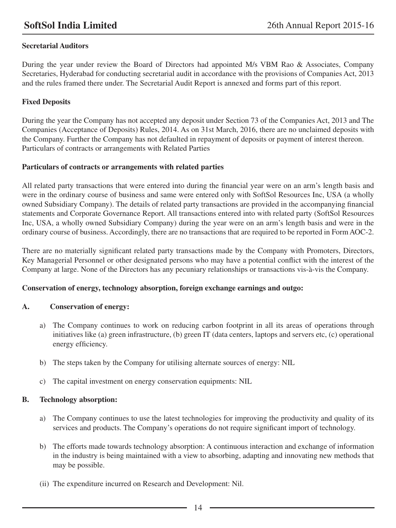## **Secretarial Auditors**

During the year under review the Board of Directors had appointed M/s VBM Rao & Associates, Company Secretaries, Hyderabad for conducting secretarial audit in accordance with the provisions of Companies Act, 2013 and the rules framed there under. The Secretarial Audit Report is annexed and forms part of this report.

## **Fixed Deposits**

During the year the Company has not accepted any deposit under Section 73 of the Companies Act, 2013 and The Companies (Acceptance of Deposits) Rules, 2014. As on 31st March, 2016, there are no unclaimed deposits with the Company. Further the Company has not defaulted in repayment of deposits or payment of interest thereon. Particulars of contracts or arrangements with Related Parties

## **Particulars of contracts or arrangements with related parties**

All related party transactions that were entered into during the financial year were on an arm's length basis and were in the ordinary course of business and same were entered only with SoftSol Resources Inc, USA (a wholly owned Subsidiary Company). The details of related party transactions are provided in the accompanying financial statements and Corporate Governance Report. All transactions entered into with related party (SoftSol Resources Inc, USA, a wholly owned Subsidiary Company) during the year were on an arm's length basis and were in the ordinary course of business. Accordingly, there are no transactions that are required to be reported in Form AOC-2.

There are no materially significant related party transactions made by the Company with Promoters, Directors, Key Managerial Personnel or other designated persons who may have a potential conflict with the interest of the Company at large. None of the Directors has any pecuniary relationships or transactions vis-à-vis the Company.

## **Conservation of energy, technology absorption, foreign exchange earnings and outgo:**

## **A. Conservation of energy:**

- a) The Company continues to work on reducing carbon footprint in all its areas of operations through initiatives like (a) green infrastructure, (b) green IT (data centers, laptops and servers etc, (c) operational energy efficiency.
- b) The steps taken by the Company for utilising alternate sources of energy: NIL
- c) The capital investment on energy conservation equipments: NIL

## **B. Technology absorption:**

- a) The Company continues to use the latest technologies for improving the productivity and quality of its services and products. The Company's operations do not require significant import of technology.
- b) The efforts made towards technology absorption: A continuous interaction and exchange of information in the industry is being maintained with a view to absorbing, adapting and innovating new methods that may be possible.
- (ii) The expenditure incurred on Research and Development: Nil.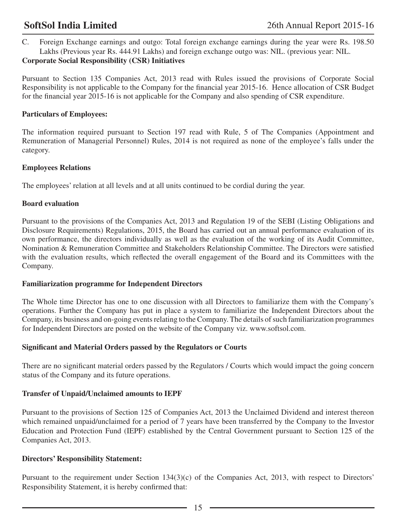C. Foreign Exchange earnings and outgo: Total foreign exchange earnings during the year were Rs. 198.50 Lakhs (Previous year Rs. 444.91 Lakhs) and foreign exchange outgo was: NIL. (previous year: NIL.

## **Corporate Social Responsibility (CSR) Initiatives**

Pursuant to Section 135 Companies Act, 2013 read with Rules issued the provisions of Corporate Social Responsibility is not applicable to the Company for the financial year 2015-16. Hence allocation of CSR Budget for the financial year 2015-16 is not applicable for the Company and also spending of CSR expenditure.

## **Particulars of Employees:**

The information required pursuant to Section 197 read with Rule, 5 of The Companies (Appointment and Remuneration of Managerial Personnel) Rules, 2014 is not required as none of the employee's falls under the category.

## **Employees Relations**

The employees' relation at all levels and at all units continued to be cordial during the year.

## **Board evaluation**

Pursuant to the provisions of the Companies Act, 2013 and Regulation 19 of the SEBI (Listing Obligations and Disclosure Requirements) Regulations, 2015, the Board has carried out an annual performance evaluation of its own performance, the directors individually as well as the evaluation of the working of its Audit Committee, Nomination & Remuneration Committee and Stakeholders Relationship Committee. The Directors were satisfied with the evaluation results, which reflected the overall engagement of the Board and its Committees with the Company.

## **Familiarization programme for Independent Directors**

The Whole time Director has one to one discussion with all Directors to familiarize them with the Company's operations. Further the Company has put in place a system to familiarize the Independent Directors about the Company, its business and on-going events relating to the Company. The details of such familiarization programmes for Independent Directors are posted on the website of the Company viz. www.softsol.com.

## **Significant and Material Orders passed by the Regulators or Courts**

There are no significant material orders passed by the Regulators / Courts which would impact the going concern status of the Company and its future operations.

## **Transfer of Unpaid/Unclaimed amounts to IEPF**

Pursuant to the provisions of Section 125 of Companies Act, 2013 the Unclaimed Dividend and interest thereon which remained unpaid/unclaimed for a period of 7 years have been transferred by the Company to the Investor Education and Protection Fund (IEPF) established by the Central Government pursuant to Section 125 of the Companies Act, 2013.

## **Directors' Responsibility Statement:**

Pursuant to the requirement under Section 134(3)(c) of the Companies Act, 2013, with respect to Directors' Responsibility Statement, it is hereby confirmed that: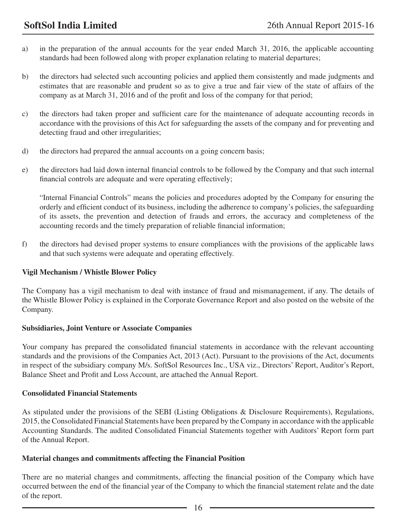- a) in the preparation of the annual accounts for the year ended March 31, 2016, the applicable accounting standards had been followed along with proper explanation relating to material departures;
- b) the directors had selected such accounting policies and applied them consistently and made judgments and estimates that are reasonable and prudent so as to give a true and fair view of the state of affairs of the company as at March 31, 2016 and of the profit and loss of the company for that period;
- c) the directors had taken proper and sufficient care for the maintenance of adequate accounting records in accordance with the provisions of this Act for safeguarding the assets of the company and for preventing and detecting fraud and other irregularities;
- d) the directors had prepared the annual accounts on a going concern basis;
- e) the directors had laid down internal financial controls to be followed by the Company and that such internal financial controls are adequate and were operating effectively;

"Internal Financial Controls" means the policies and procedures adopted by the Company for ensuring the orderly and efficient conduct of its business, including the adherence to company's policies, the safeguarding of its assets, the prevention and detection of frauds and errors, the accuracy and completeness of the accounting records and the timely preparation of reliable financial information;

f) the directors had devised proper systems to ensure compliances with the provisions of the applicable laws and that such systems were adequate and operating effectively.

## **Vigil Mechanism / Whistle Blower Policy**

The Company has a vigil mechanism to deal with instance of fraud and mismanagement, if any. The details of the Whistle Blower Policy is explained in the Corporate Governance Report and also posted on the website of the Company.

## **Subsidiaries, Joint Venture or Associate Companies**

Your company has prepared the consolidated financial statements in accordance with the relevant accounting standards and the provisions of the Companies Act, 2013 (Act). Pursuant to the provisions of the Act, documents in respect of the subsidiary company M/s. SoftSol Resources Inc., USA viz., Directors' Report, Auditor's Report, Balance Sheet and Profit and Loss Account, are attached the Annual Report.

## **Consolidated Financial Statements**

As stipulated under the provisions of the SEBI (Listing Obligations & Disclosure Requirements), Regulations, 2015, the Consolidated Financial Statements have been prepared by the Company in accordance with the applicable Accounting Standards. The audited Consolidated Financial Statements together with Auditors' Report form part of the Annual Report.

## **Material changes and commitments affecting the Financial Position**

There are no material changes and commitments, affecting the financial position of the Company which have occurred between the end of the financial year of the Company to which the financial statement relate and the date of the report.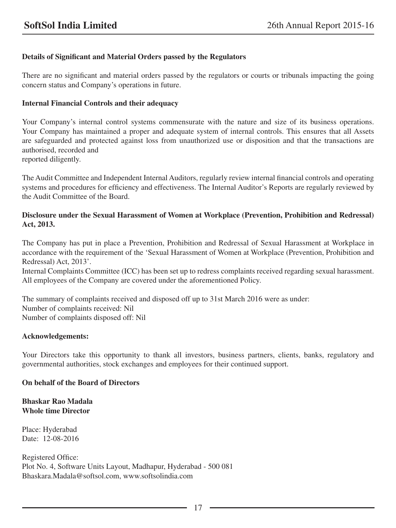## **Details of Significant and Material Orders passed by the Regulators**

There are no significant and material orders passed by the regulators or courts or tribunals impacting the going concern status and Company's operations in future.

## **Internal Financial Controls and their adequacy**

Your Company's internal control systems commensurate with the nature and size of its business operations. Your Company has maintained a proper and adequate system of internal controls. This ensures that all Assets are safeguarded and protected against loss from unauthorized use or disposition and that the transactions are authorised, recorded and

reported diligently.

The Audit Committee and Independent Internal Auditors, regularly review internal financial controls and operating systems and procedures for efficiency and effectiveness. The Internal Auditor's Reports are regularly reviewed by the Audit Committee of the Board.

## **Disclosure under the Sexual Harassment of Women at Workplace (Prevention, Prohibition and Redressal) Act, 2013.**

The Company has put in place a Prevention, Prohibition and Redressal of Sexual Harassment at Workplace in accordance with the requirement of the 'Sexual Harassment of Women at Workplace (Prevention, Prohibition and Redressal) Act, 2013'.

Internal Complaints Committee (ICC) has been set up to redress complaints received regarding sexual harassment. All employees of the Company are covered under the aforementioned Policy.

The summary of complaints received and disposed off up to 31st March 2016 were as under: Number of complaints received: Nil Number of complaints disposed off: Nil

## **Acknowledgements:**

Your Directors take this opportunity to thank all investors, business partners, clients, banks, regulatory and governmental authorities, stock exchanges and employees for their continued support.

## **On behalf of the Board of Directors**

**Bhaskar Rao Madala Whole time Director**

Place: Hyderabad Date: 12-08-2016

Registered Office: Plot No. 4, Software Units Layout, Madhapur, Hyderabad - 500 081 Bhaskara.Madala@softsol.com, www.softsolindia.com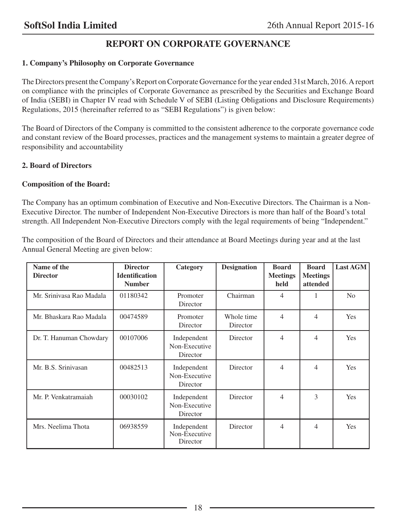## **REPORT ON CORPORATE GOVERNANCE**

## **1. Company's Philosophy on Corporate Governance**

The Directors present the Company's Report on Corporate Governance for the year ended 31st March, 2016. A report on compliance with the principles of Corporate Governance as prescribed by the Securities and Exchange Board of India (SEBI) in Chapter IV read with Schedule V of SEBI (Listing Obligations and Disclosure Requirements) Regulations, 2015 (hereinafter referred to as "SEBI Regulations") is given below:

The Board of Directors of the Company is committed to the consistent adherence to the corporate governance code and constant review of the Board processes, practices and the management systems to maintain a greater degree of responsibility and accountability

## **2. Board of Directors**

## **Composition of the Board:**

The Company has an optimum combination of Executive and Non-Executive Directors. The Chairman is a Non-Executive Director. The number of Independent Non-Executive Directors is more than half of the Board's total strength. All Independent Non-Executive Directors comply with the legal requirements of being "Independent."

The composition of the Board of Directors and their attendance at Board Meetings during year and at the last Annual General Meeting are given below:

| Name of the<br><b>Director</b> | <b>Director</b><br><b>Identification</b><br><b>Number</b> | Category                                 | <b>Designation</b>     | <b>Board</b><br><b>Meetings</b><br>held | <b>Board</b><br><b>Meetings</b><br>attended | <b>Last AGM</b> |
|--------------------------------|-----------------------------------------------------------|------------------------------------------|------------------------|-----------------------------------------|---------------------------------------------|-----------------|
| Mr. Sriniyasa Rao Madala       | 01180342                                                  | Promoter<br>Director                     | Chairman               | 4                                       |                                             | N <sub>o</sub>  |
| Mr. Bhaskara Rao Madala        | 00474589                                                  | Promoter<br>Director                     | Whole time<br>Director | $\overline{4}$                          | $\overline{4}$                              | Yes             |
| Dr. T. Hanuman Chowdary        | 00107006                                                  | Independent<br>Non-Executive<br>Director | Director               | $\overline{4}$                          | $\overline{4}$                              | <b>Yes</b>      |
| Mr. B.S. Srinivasan            | 00482513                                                  | Independent<br>Non-Executive<br>Director | Director               | $\overline{4}$                          | 4                                           | <b>Yes</b>      |
| Mr. P. Venkatramaiah           | 00030102                                                  | Independent<br>Non-Executive<br>Director | Director               | 4                                       | 3                                           | <b>Yes</b>      |
| Mrs. Neelima Thota             | 06938559                                                  | Independent<br>Non-Executive<br>Director | Director               | $\overline{4}$                          | $\overline{\mathcal{A}}$                    | Yes             |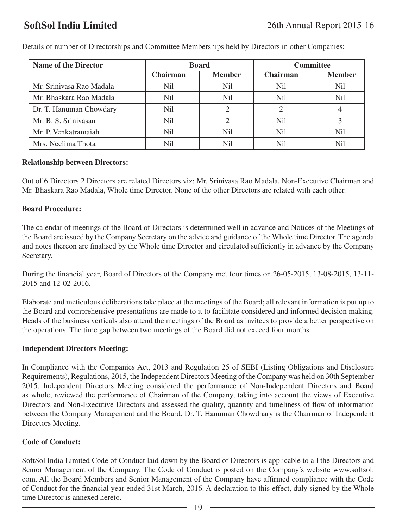| <b>Name of the Director</b> | <b>Board</b> |                  | <b>Committee</b> |                 |
|-----------------------------|--------------|------------------|------------------|-----------------|
|                             | Chairman     | <b>Member</b>    | <b>Chairman</b>  | <b>Member</b>   |
| Mr. Sriniyasa Rao Madala    | Nil          | N <sub>i</sub> l | Nil              | N <sub>il</sub> |
| Mr. Bhaskara Rao Madala     | Nil          | N <sub>il</sub>  | N <sub>il</sub>  | N <sub>il</sub> |
| Dr. T. Hanuman Chowdary     | Nil          |                  |                  |                 |
| Mr. B. S. Srinivasan        | Nil          |                  | Nil              |                 |
| Mr. P. Venkatramaiah        | Nil          | Nil              | N <sub>il</sub>  | Nil             |
| Mrs. Neelima Thota          | Nil          | Nil              | Nil              |                 |

Details of number of Directorships and Committee Memberships held by Directors in other Companies:

## **Relationship between Directors:**

Out of 6 Directors 2 Directors are related Directors viz: Mr. Srinivasa Rao Madala, Non-Executive Chairman and Mr. Bhaskara Rao Madala, Whole time Director. None of the other Directors are related with each other.

## **Board Procedure:**

The calendar of meetings of the Board of Directors is determined well in advance and Notices of the Meetings of the Board are issued by the Company Secretary on the advice and guidance of the Whole time Director. The agenda and notes thereon are finalised by the Whole time Director and circulated sufficiently in advance by the Company Secretary.

During the financial year, Board of Directors of the Company met four times on 26-05-2015, 13-08-2015, 13-11- 2015 and 12-02-2016.

Elaborate and meticulous deliberations take place at the meetings of the Board; all relevant information is put up to the Board and comprehensive presentations are made to it to facilitate considered and informed decision making. Heads of the business verticals also attend the meetings of the Board as invitees to provide a better perspective on the operations. The time gap between two meetings of the Board did not exceed four months.

## **Independent Directors Meeting:**

In Compliance with the Companies Act, 2013 and Regulation 25 of SEBI (Listing Obligations and Disclosure Requirements), Regulations, 2015, the Independent Directors Meeting of the Company was held on 30th September 2015. Independent Directors Meeting considered the performance of Non-Independent Directors and Board as whole, reviewed the performance of Chairman of the Company, taking into account the views of Executive Directors and Non-Executive Directors and assessed the quality, quantity and timeliness of flow of information between the Company Management and the Board. Dr. T. Hanuman Chowdhary is the Chairman of Independent Directors Meeting.

## **Code of Conduct:**

SoftSol India Limited Code of Conduct laid down by the Board of Directors is applicable to all the Directors and Senior Management of the Company. The Code of Conduct is posted on the Company's website www.softsol. com. All the Board Members and Senior Management of the Company have affirmed compliance with the Code of Conduct for the financial year ended 31st March, 2016. A declaration to this effect, duly signed by the Whole time Director is annexed hereto.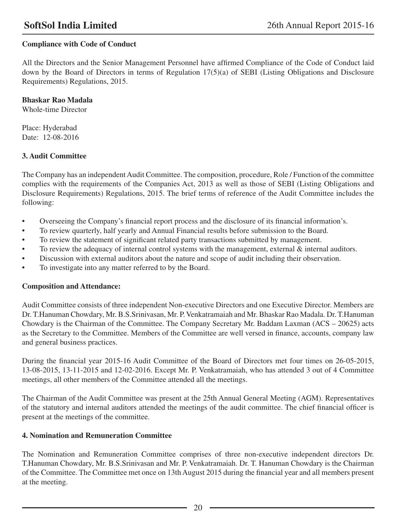## **Compliance with Code of Conduct**

All the Directors and the Senior Management Personnel have affirmed Compliance of the Code of Conduct laid down by the Board of Directors in terms of Regulation 17(5)(a) of SEBI (Listing Obligations and Disclosure Requirements) Regulations, 2015.

## **Bhaskar Rao Madala**

Whole-time Director

Place: Hyderabad Date: 12-08-2016

## **3. Audit Committee**

The Company has an independent Audit Committee. The composition, procedure, Role / Function of the committee complies with the requirements of the Companies Act, 2013 as well as those of SEBI (Listing Obligations and Disclosure Requirements) Regulations, 2015. The brief terms of reference of the Audit Committee includes the following:

- • Overseeing the Company's financial report process and the disclosure of its financial information's.
- • To review quarterly, half yearly and Annual Financial results before submission to the Board.
- • To review the statement of significant related party transactions submitted by management.
- To review the adequacy of internal control systems with the management, external & internal auditors.
- • Discussion with external auditors about the nature and scope of audit including their observation.
- To investigate into any matter referred to by the Board.

## **Composition and Attendance:**

Audit Committee consists of three independent Non-executive Directors and one Executive Director. Members are Dr. T.Hanuman Chowdary, Mr. B.S.Srinivasan, Mr. P. Venkatramaiah and Mr. Bhaskar Rao Madala. Dr. T.Hanuman Chowdary is the Chairman of the Committee. The Company Secretary Mr. Baddam Laxman (ACS – 20625) acts as the Secretary to the Committee. Members of the Committee are well versed in finance, accounts, company law and general business practices.

During the financial year 2015-16 Audit Committee of the Board of Directors met four times on 26-05-2015, 13-08-2015, 13-11-2015 and 12-02-2016. Except Mr. P. Venkatramaiah, who has attended 3 out of 4 Committee meetings, all other members of the Committee attended all the meetings.

The Chairman of the Audit Committee was present at the 25th Annual General Meeting (AGM). Representatives of the statutory and internal auditors attended the meetings of the audit committee. The chief financial officer is present at the meetings of the committee.

## **4. Nomination and Remuneration Committee**

The Nomination and Remuneration Committee comprises of three non-executive independent directors Dr. T.Hanuman Chowdary, Mr. B.S.Srinivasan and Mr. P. Venkatramaiah. Dr. T. Hanuman Chowdary is the Chairman of the Committee. The Committee met once on 13th August 2015 during the financial year and all members present at the meeting.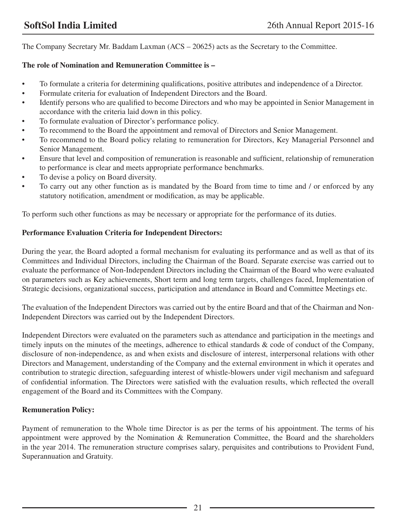The Company Secretary Mr. Baddam Laxman (ACS – 20625) acts as the Secretary to the Committee.

## **The role of Nomination and Remuneration Committee is –**

- • To formulate a criteria for determining qualifications, positive attributes and independence of a Director.
- • Formulate criteria for evaluation of Independent Directors and the Board.
- Identify persons who are qualified to become Directors and who may be appointed in Senior Management in accordance with the criteria laid down in this policy.
- To formulate evaluation of Director's performance policy.
- To recommend to the Board the appointment and removal of Directors and Senior Management.
- • To recommend to the Board policy relating to remuneration for Directors, Key Managerial Personnel and Senior Management.
- Ensure that level and composition of remuneration is reasonable and sufficient, relationship of remuneration to performance is clear and meets appropriate performance benchmarks.
- To devise a policy on Board diversity.
- To carry out any other function as is mandated by the Board from time to time and / or enforced by any statutory notification, amendment or modification, as may be applicable.

To perform such other functions as may be necessary or appropriate for the performance of its duties.

## **Performance Evaluation Criteria for Independent Directors:**

During the year, the Board adopted a formal mechanism for evaluating its performance and as well as that of its Committees and Individual Directors, including the Chairman of the Board. Separate exercise was carried out to evaluate the performance of Non-Independent Directors including the Chairman of the Board who were evaluated on parameters such as Key achievements, Short term and long term targets, challenges faced, Implementation of Strategic decisions, organizational success, participation and attendance in Board and Committee Meetings etc.

The evaluation of the Independent Directors was carried out by the entire Board and that of the Chairman and Non-Independent Directors was carried out by the Independent Directors.

Independent Directors were evaluated on the parameters such as attendance and participation in the meetings and timely inputs on the minutes of the meetings, adherence to ethical standards & code of conduct of the Company, disclosure of non-independence, as and when exists and disclosure of interest, interpersonal relations with other Directors and Management, understanding of the Company and the external environment in which it operates and contribution to strategic direction, safeguarding interest of whistle-blowers under vigil mechanism and safeguard of confidential information. The Directors were satisfied with the evaluation results, which reflected the overall engagement of the Board and its Committees with the Company.

## **Remuneration Policy:**

Payment of remuneration to the Whole time Director is as per the terms of his appointment. The terms of his appointment were approved by the Nomination & Remuneration Committee, the Board and the shareholders in the year 2014. The remuneration structure comprises salary, perquisites and contributions to Provident Fund, Superannuation and Gratuity.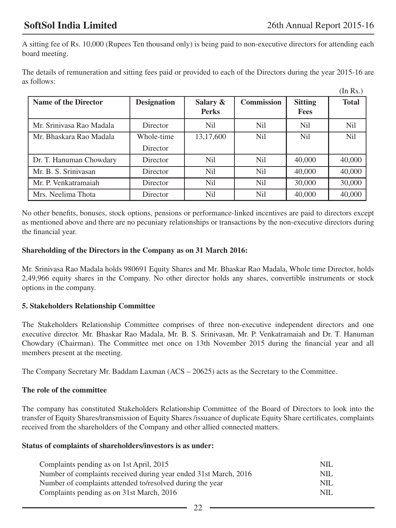$(T \cup D \cup \lambda)$ 

A sitting fee of Rs. 10,000 (Rupees Ten thousand only) is being paid to non-executive directors for attending each board meeting.

The details of remuneration and sitting fees paid or provided to each of the Directors during the year 2015-16 are as follows:

|                             |                    |                          |                   |                               | (111 K.S. )     |
|-----------------------------|--------------------|--------------------------|-------------------|-------------------------------|-----------------|
| <b>Name of the Director</b> | <b>Designation</b> | Salary &<br><b>Perks</b> | <b>Commission</b> | <b>Sitting</b><br><b>Fees</b> | <b>Total</b>    |
| Mr. Sriniyasa Rao Madala    | Director           | <b>Nil</b>               | Nil.              | <b>Nil</b>                    | N <sub>il</sub> |
| Mr. Bhaskara Rao Madala     | Whole-time         | 13,17,600                | N <sub>il</sub>   | N <sub>il</sub>               | N <sub>il</sub> |
|                             | Director           |                          |                   |                               |                 |
| Dr. T. Hanuman Chowdary     | Director           | N <sub>i</sub>           | Nil.              | 40,000                        | 40,000          |
| Mr. B. S. Srinivasan        | Director           | N <sub>i</sub>           | N <sub>il</sub>   | 40,000                        | 40,000          |
| Mr. P. Venkatramaiah        | Director           | N <sub>i</sub>           | Nil               | 30,000                        | 30,000          |
| Mrs. Neelima Thota          | Director           | N <sub>il</sub>          | N <sub>il</sub>   | 40,000                        | 40,000          |

No other benefits, bonuses, stock options, pensions or performance-linked incentives are paid to directors except as mentioned above and there are no pecuniary relationships or transactions by the non-executive directors during the financial year.

## **Shareholding of the Directors in the Company as on 31 March 2016:**

Mr. Srinivasa Rao Madala holds 980691 Equity Shares and Mr. Bhaskar Rao Madala, Whole time Director, holds 2,49,966 equity shares in the Company. No other director holds any shares, convertible instruments or stock options in the company.

## **5. Stakeholders Relationship Committee**

The Stakeholders Relationship Committee comprises of three non-executive independent directors and one executive director. Mr. Bhaskar Rao Madala, Mr. B. S. Srinivasan, Mr. P. Venkatramaiah and Dr. T. Hanuman Chowdary (Chairman). The Committee met once on 13th November 2015 during the financial year and all members present at the meeting.

The Company Secretary Mr. Baddam Laxman (ACS – 20625) acts as the Secretary to the Committee.

## **The role of the committee**

The company has constituted Stakeholders Relationship Committee of the Board of Directors to look into the transfer of Equity Shares/transmission of Equity Shares /issuance of duplicate Equity Share certificates, complaints received from the shareholders of the Company and other allied connected matters.

## **Status of complaints of shareholders/investors is as under:**

| Complaints pending as on 1st April, 2015                         | NIL. |
|------------------------------------------------------------------|------|
| Number of complaints received during year ended 31st March, 2016 | NIL. |
| Number of complaints attended to/resolved during the year        | NIL. |
| Complaints pending as on 31st March, 2016                        | NIL. |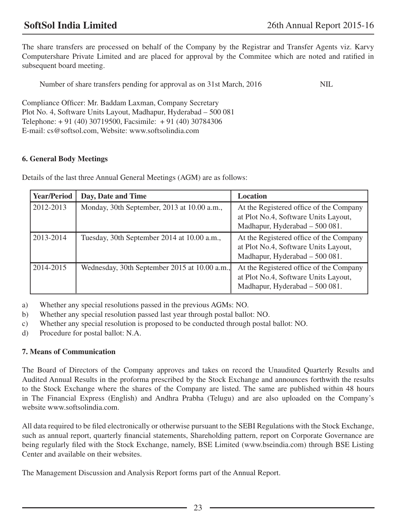The share transfers are processed on behalf of the Company by the Registrar and Transfer Agents viz. Karvy Computershare Private Limited and are placed for approval by the Commitee which are noted and ratified in subsequent board meeting.

Number of share transfers pending for approval as on 31st March, 2016 NIL

Compliance Officer: Mr. Baddam Laxman, Company Secretary Plot No. 4, Software Units Layout, Madhapur, Hyderabad – 500 081 Telephone: + 91 (40) 30719500, Facsimile: + 91 (40) 30784306 E-mail: cs@softsol.com, Website: www.softsolindia.com

## **6. General Body Meetings**

Details of the last three Annual General Meetings (AGM) are as follows:

| <b>Year/Period</b> | Day, Date and Time                            | <b>Location</b>                                                                                                   |
|--------------------|-----------------------------------------------|-------------------------------------------------------------------------------------------------------------------|
| 2012-2013          | Monday, 30th September, 2013 at 10.00 a.m.,   | At the Registered office of the Company<br>at Plot No.4, Software Units Layout,<br>Madhapur, Hyderabad - 500 081. |
| 2013-2014          | Tuesday, 30th September 2014 at 10.00 a.m.,   | At the Registered office of the Company<br>at Plot No.4, Software Units Layout,<br>Madhapur, Hyderabad - 500 081. |
| 2014-2015          | Wednesday, 30th September 2015 at 10.00 a.m., | At the Registered office of the Company<br>at Plot No.4, Software Units Layout,<br>Madhapur, Hyderabad - 500 081. |

a) Whether any special resolutions passed in the previous AGMs: NO.

b) Whether any special resolution passed last year through postal ballot: NO.

c) Whether any special resolution is proposed to be conducted through postal ballot: NO.

d) Procedure for postal ballot: N.A.

## **7. Means of Communication**

The Board of Directors of the Company approves and takes on record the Unaudited Quarterly Results and Audited Annual Results in the proforma prescribed by the Stock Exchange and announces forthwith the results to the Stock Exchange where the shares of the Company are listed. The same are published within 48 hours in The Financial Express (English) and Andhra Prabha (Telugu) and are also uploaded on the Company's website www.softsolindia.com.

All data required to be filed electronically or otherwise pursuant to the SEBI Regulations with the Stock Exchange, such as annual report, quarterly financial statements, Shareholding pattern, report on Corporate Governance are being regularly filed with the Stock Exchange, namely, BSE Limited (www.bseindia.com) through BSE Listing Center and available on their websites.

The Management Discussion and Analysis Report forms part of the Annual Report.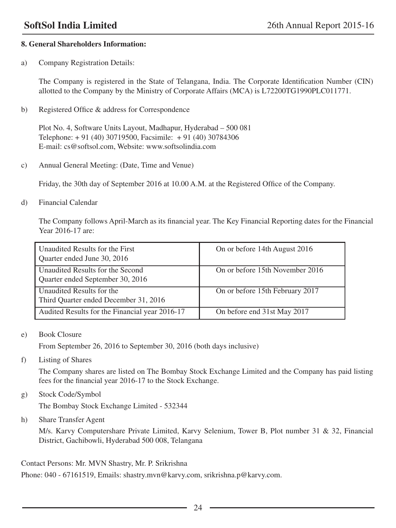## **8. General Shareholders Information:**

a) Company Registration Details:

The Company is registered in the State of Telangana, India. The Corporate Identification Number (CIN) allotted to the Company by the Ministry of Corporate Affairs (MCA) is L72200TG1990PLC011771.

b) Registered Office & address for Correspondence

Plot No. 4, Software Units Layout, Madhapur, Hyderabad – 500 081 Telephone: + 91 (40) 30719500, Facsimile: + 91 (40) 30784306 E-mail: cs@softsol.com, Website: www.softsolindia.com

c) Annual General Meeting: (Date, Time and Venue)

Friday, the 30th day of September 2016 at 10.00 A.M. at the Registered Office of the Company.

d) Financial Calendar

The Company follows April-March as its financial year. The Key Financial Reporting dates for the Financial Year 2016-17 are:

| Unaudited Results for the First<br>Quarter ended June 30, 2016       | On or before 14th August 2016   |
|----------------------------------------------------------------------|---------------------------------|
| Unaudited Results for the Second<br>Quarter ended September 30, 2016 | On or before 15th November 2016 |
| Unaudited Results for the<br>Third Quarter ended December 31, 2016   | On or before 15th February 2017 |
| Audited Results for the Financial year 2016-17                       | On before end 31st May 2017     |

e) Book Closure

From September 26, 2016 to September 30, 2016 (both days inclusive)

f) Listing of Shares

The Company shares are listed on The Bombay Stock Exchange Limited and the Company has paid listing fees for the financial year 2016-17 to the Stock Exchange.

g) Stock Code/Symbol

The Bombay Stock Exchange Limited - 532344

h) Share Transfer Agent

M/s. Karvy Computershare Private Limited, Karvy Selenium, Tower B, Plot number 31 & 32, Financial District, Gachibowli, Hyderabad 500 008, Telangana

Contact Persons: Mr. MVN Shastry, Mr. P. Srikrishna

Phone: 040 - 67161519, Emails: shastry.mvn@karvy.com, srikrishna.p@karvy.com.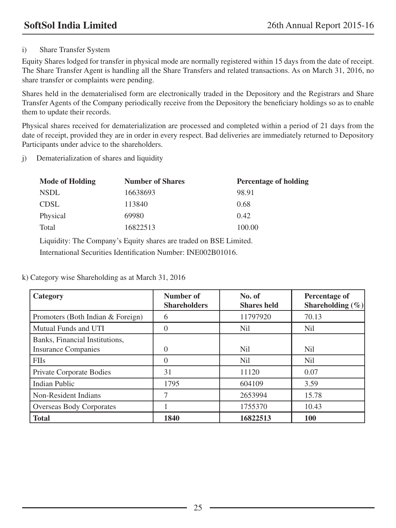## i) Share Transfer System

Equity Shares lodged for transfer in physical mode are normally registered within 15 days from the date of receipt. The Share Transfer Agent is handling all the Share Transfers and related transactions. As on March 31, 2016, no share transfer or complaints were pending.

Shares held in the dematerialised form are electronically traded in the Depository and the Registrars and Share Transfer Agents of the Company periodically receive from the Depository the beneficiary holdings so as to enable them to update their records.

Physical shares received for dematerialization are processed and completed within a period of 21 days from the date of receipt, provided they are in order in every respect. Bad deliveries are immediately returned to Depository Participants under advice to the shareholders.

j) Dematerialization of shares and liquidity

| <b>Mode of Holding</b> | <b>Number of Shares</b> | <b>Percentage of holding</b> |
|------------------------|-------------------------|------------------------------|
| <b>NSDL</b>            | 16638693                | 98.91                        |
| <b>CDSL</b>            | 113840                  | 0.68                         |
| Physical               | 69980                   | 0.42                         |
| Total                  | 16822513                | 100.00                       |

Liquidity: The Company's Equity shares are traded on BSE Limited.

International Securities Identification Number: INE002B01016.

k) Category wise Shareholding as at March 31, 2016

| Category                                                     | Number of<br><b>Shareholders</b> | No. of<br><b>Shares held</b> | Percentage of<br>Shareholding $(\% )$ |
|--------------------------------------------------------------|----------------------------------|------------------------------|---------------------------------------|
| Promoters (Both Indian & Foreign)                            | 6                                | 11797920                     | 70.13                                 |
| Mutual Funds and UTI                                         | $\Omega$                         | Nil                          | Nil.                                  |
| Banks, Financial Institutions,<br><b>Insurance Companies</b> | $\Omega$                         | Nil                          | Nil.                                  |
| <b>FIIs</b>                                                  | $\Omega$                         | N <sub>il</sub>              | <b>Nil</b>                            |
| Private Corporate Bodies                                     | 31                               | 11120                        | 0.07                                  |
| <b>Indian Public</b>                                         | 1795                             | 604109                       | 3.59                                  |
| Non-Resident Indians                                         | 7                                | 2653994                      | 15.78                                 |
| <b>Overseas Body Corporates</b>                              |                                  | 1755370                      | 10.43                                 |
| <b>Total</b>                                                 | 1840                             | 16822513                     | 100                                   |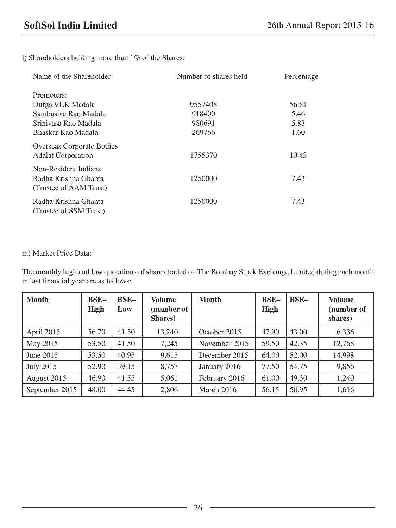l) Shareholders holding more than 1% of the Shares:

| Name of the Shareholder                                                | Number of shares held | Percentage |  |
|------------------------------------------------------------------------|-----------------------|------------|--|
| Promoters:                                                             |                       |            |  |
| Durga VLK Madala                                                       | 9557408               | 56.81      |  |
| Sambasiya Rao Madala                                                   | 918400                | 5.46       |  |
| Sriniyasa Rao Madala                                                   | 980691                | 5.83       |  |
| Bhaskar Rao Madala                                                     | 269766                | 1.60       |  |
| <b>Overseas Corporate Bodies</b><br><b>Adalat Corporation</b>          | 1755370               | 10.43      |  |
| Non-Resident Indians<br>Radha Krishna Ghanta<br>(Trustee of AAM Trust) | 1250000               | 7.43       |  |
| Radha Krishna Ghanta<br>(Trustee of SSM Trust)                         | 1250000               | 7.43       |  |

m) Market Price Data:

The monthly high and low quotations of shares traded on The Bombay Stock Exchange Limited during each month in last financial year are as follows:

| <b>Month</b>   | <b>BSE-</b><br><b>High</b> | <b>BSE-</b><br>Low | <b>Volume</b><br>(number of<br>Shares) | <b>Month</b>  | <b>BSE-</b><br><b>High</b> | BSE-  | <b>Volume</b><br>(number of<br>shares) |
|----------------|----------------------------|--------------------|----------------------------------------|---------------|----------------------------|-------|----------------------------------------|
| April 2015     | 56.70                      | 41.50              | 13.240                                 | October 2015  | 47.90                      | 43.00 | 6,336                                  |
| May 2015       | 53.50                      | 41.50              | 7,245                                  | November 2015 | 59.50                      | 42.35 | 12,768                                 |
| June 2015      | 53.50                      | 40.95              | 9,615                                  | December 2015 | 64.00                      | 52.00 | 14,998                                 |
| July 2015      | 52.90                      | 39.15              | 8,757                                  | January 2016  | 77.50                      | 54.75 | 9,856                                  |
| August 2015    | 46.90                      | 41.55              | 5,061                                  | February 2016 | 61.00                      | 49.30 | 1,240                                  |
| September 2015 | 48.00                      | 44.45              | 2,806                                  | March 2016    | 56.15                      | 50.95 | 1,616                                  |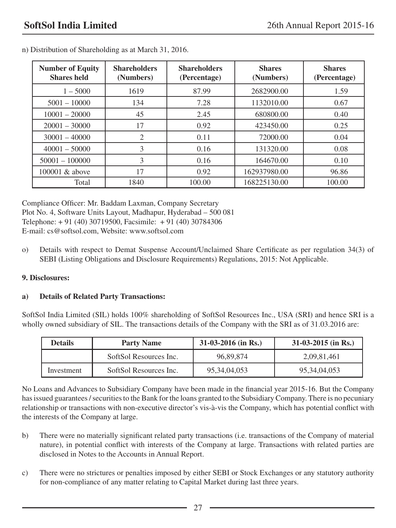| <b>Number of Equity</b><br><b>Shares held</b> | <b>Shareholders</b><br>(Numbers) | <b>Shareholders</b><br>(Percentage) | <b>Shares</b><br>(Numbers) | <b>Shares</b><br>(Percentage) |
|-----------------------------------------------|----------------------------------|-------------------------------------|----------------------------|-------------------------------|
| $1 - 5000$                                    | 1619                             | 87.99                               | 2682900.00                 | 1.59                          |
| $5001 - 10000$                                | 134                              | 7.28                                | 1132010.00                 | 0.67                          |
| $10001 - 20000$                               | 45                               | 2.45                                | 680800.00                  | 0.40                          |
| $20001 - 30000$                               | 17                               | 0.92                                | 423450.00                  | 0.25                          |
| $30001 - 40000$                               | $\mathfrak{2}$                   | 0.11                                | 72000.00                   | 0.04                          |
| $40001 - 50000$                               | 3                                | 0.16                                | 131320.00                  | 0.08                          |
| $50001 - 100000$                              | 3                                | 0.16                                | 164670.00                  | 0.10                          |
| 100001 & above                                | 17                               | 0.92                                | 162937980.00               | 96.86                         |
| Total                                         | 1840                             | 100.00                              | 168225130.00               | 100.00                        |

n) Distribution of Shareholding as at March 31, 2016.

Compliance Officer: Mr. Baddam Laxman, Company Secretary Plot No. 4, Software Units Layout, Madhapur, Hyderabad – 500 081 Telephone: + 91 (40) 30719500, Facsimile: + 91 (40) 30784306 E-mail: cs@softsol.com, Website: www.softsol.com

o) Details with respect to Demat Suspense Account/Unclaimed Share Certificate as per regulation 34(3) of SEBI (Listing Obligations and Disclosure Requirements) Regulations, 2015: Not Applicable.

## **9. Disclosures:**

## **a) Details of Related Party Transactions:**

SoftSol India Limited (SIL) holds 100% shareholding of SoftSol Resources Inc., USA (SRI) and hence SRI is a wholly owned subsidiary of SIL. The transactions details of the Company with the SRI as of 31.03.2016 are:

| <b>Details</b> | <b>Party Name</b>      | $31-03-2016$ (in Rs.) | $31-03-2015$ (in Rs.) |  |
|----------------|------------------------|-----------------------|-----------------------|--|
|                | SoftSol Resources Inc. | 96.89.874             | 2,09,81,461           |  |
| Investment     | SoftSol Resources Inc. | 95, 34, 04, 053       | 95, 34, 04, 053       |  |

No Loans and Advances to Subsidiary Company have been made in the financial year 2015-16. But the Company has issued guarantees / securities to the Bank for the loans granted to the Subsidiary Company. There is no pecuniary relationship or transactions with non-executive director's vis-à-vis the Company, which has potential conflict with the interests of the Company at large.

- b) There were no materially significant related party transactions (i.e. transactions of the Company of material nature), in potential conflict with interests of the Company at large. Transactions with related parties are disclosed in Notes to the Accounts in Annual Report.
- c) There were no strictures or penalties imposed by either SEBI or Stock Exchanges or any statutory authority for non-compliance of any matter relating to Capital Market during last three years.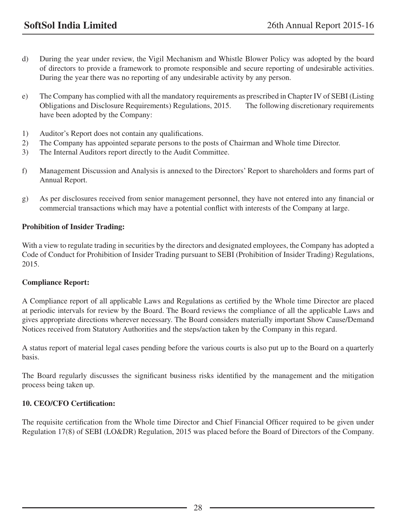- d) During the year under review, the Vigil Mechanism and Whistle Blower Policy was adopted by the board of directors to provide a framework to promote responsible and secure reporting of undesirable activities. During the year there was no reporting of any undesirable activity by any person.
- e) The Company has complied with all the mandatory requirements as prescribed in Chapter IV of SEBI (Listing Obligations and Disclosure Requirements) Regulations, 2015. The following discretionary requirements have been adopted by the Company:
- 1) Auditor's Report does not contain any qualifications.
- 2) The Company has appointed separate persons to the posts of Chairman and Whole time Director.
- 3) The Internal Auditors report directly to the Audit Committee.
- f) Management Discussion and Analysis is annexed to the Directors' Report to shareholders and forms part of Annual Report.
- g) As per disclosures received from senior management personnel, they have not entered into any financial or commercial transactions which may have a potential conflict with interests of the Company at large.

## **Prohibition of Insider Trading:**

With a view to regulate trading in securities by the directors and designated employees, the Company has adopted a Code of Conduct for Prohibition of Insider Trading pursuant to SEBI (Prohibition of Insider Trading) Regulations, 2015.

## **Compliance Report:**

A Compliance report of all applicable Laws and Regulations as certified by the Whole time Director are placed at periodic intervals for review by the Board. The Board reviews the compliance of all the applicable Laws and gives appropriate directions wherever necessary. The Board considers materially important Show Cause/Demand Notices received from Statutory Authorities and the steps/action taken by the Company in this regard.

A status report of material legal cases pending before the various courts is also put up to the Board on a quarterly basis.

The Board regularly discusses the significant business risks identified by the management and the mitigation process being taken up.

## **10. CEO/CFO Certification:**

The requisite certification from the Whole time Director and Chief Financial Officer required to be given under Regulation 17(8) of SEBI (LO&DR) Regulation, 2015 was placed before the Board of Directors of the Company.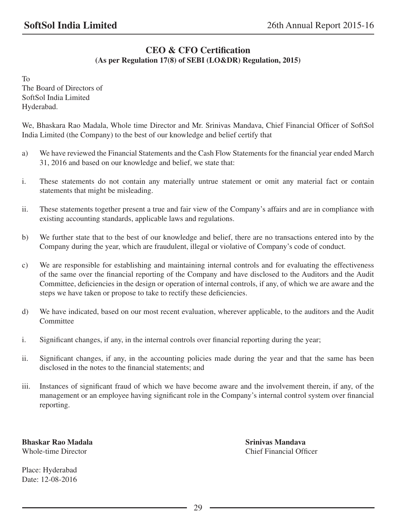## **CEO & CFO Certification (As per Regulation 17(8) of SEBI (LO&DR) Regulation, 2015)**

To The Board of Directors of SoftSol India Limited Hyderabad.

We, Bhaskara Rao Madala, Whole time Director and Mr. Srinivas Mandava, Chief Financial Officer of SoftSol India Limited (the Company) to the best of our knowledge and belief certify that

- a) We have reviewed the Financial Statements and the Cash Flow Statements for the financial year ended March 31, 2016 and based on our knowledge and belief, we state that:
- i. These statements do not contain any materially untrue statement or omit any material fact or contain statements that might be misleading.
- ii. These statements together present a true and fair view of the Company's affairs and are in compliance with existing accounting standards, applicable laws and regulations.
- b) We further state that to the best of our knowledge and belief, there are no transactions entered into by the Company during the year, which are fraudulent, illegal or violative of Company's code of conduct.
- c) We are responsible for establishing and maintaining internal controls and for evaluating the effectiveness of the same over the financial reporting of the Company and have disclosed to the Auditors and the Audit Committee, deficiencies in the design or operation of internal controls, if any, of which we are aware and the steps we have taken or propose to take to rectify these deficiencies.
- d) We have indicated, based on our most recent evaluation, wherever applicable, to the auditors and the Audit Committee
- i. Significant changes, if any, in the internal controls over financial reporting during the year;
- ii. Significant changes, if any, in the accounting policies made during the year and that the same has been disclosed in the notes to the financial statements; and
- iii. Instances of significant fraud of which we have become aware and the involvement therein, if any, of the management or an employee having significant role in the Company's internal control system over financial reporting.

**Bhaskar Rao Madala** Srinivas Mandava Whole-time Director **Chief Financial Officer** 

Place: Hyderabad Date: 12-08-2016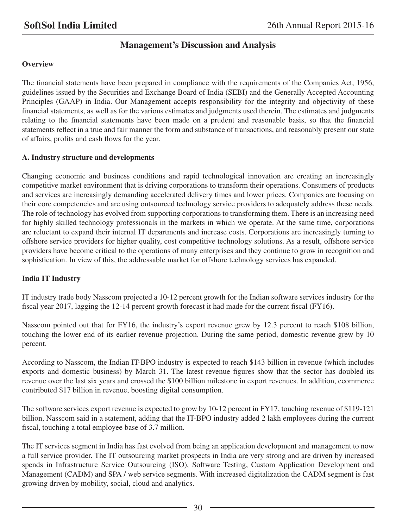## **Management's Discussion and Analysis**

## **Overview**

The financial statements have been prepared in compliance with the requirements of the Companies Act, 1956, guidelines issued by the Securities and Exchange Board of India (SEBI) and the Generally Accepted Accounting Principles (GAAP) in India. Our Management accepts responsibility for the integrity and objectivity of these financial statements, as well as for the various estimates and judgments used therein. The estimates and judgments relating to the financial statements have been made on a prudent and reasonable basis, so that the financial statements reflect in a true and fair manner the form and substance of transactions, and reasonably present our state of affairs, profits and cash flows for the year.

## **A. Industry structure and developments**

Changing economic and business conditions and rapid technological innovation are creating an increasingly competitive market environment that is driving corporations to transform their operations. Consumers of products and services are increasingly demanding accelerated delivery times and lower prices. Companies are focusing on their core competencies and are using outsourced technology service providers to adequately address these needs. The role of technology has evolved from supporting corporations to transforming them. There is an increasing need for highly skilled technology professionals in the markets in which we operate. At the same time, corporations are reluctant to expand their internal IT departments and increase costs. Corporations are increasingly turning to offshore service providers for higher quality, cost competitive technology solutions. As a result, offshore service providers have become critical to the operations of many enterprises and they continue to grow in recognition and sophistication. In view of this, the addressable market for offshore technology services has expanded.

## **India IT Industry**

IT industry trade body Nasscom projected a 10-12 percent growth for the Indian software services industry for the fiscal year 2017, lagging the 12-14 percent growth forecast it had made for the current fiscal (FY16).

Nasscom pointed out that for FY16, the industry's export revenue grew by 12.3 percent to reach \$108 billion, touching the lower end of its earlier revenue projection. During the same period, domestic revenue grew by 10 percent.

According to Nasscom, the Indian IT-BPO industry is expected to reach \$143 billion in revenue (which includes exports and domestic business) by March 31. The latest revenue figures show that the sector has doubled its revenue over the last six years and crossed the \$100 billion milestone in export revenues. In addition, ecommerce contributed \$17 billion in revenue, boosting digital consumption.

The software services export revenue is expected to grow by 10-12 percent in FY17, touching revenue of \$119-121 billion, Nasscom said in a statement, adding that the IT-BPO industry added 2 lakh employees during the current fiscal, touching a total employee base of 3.7 million.

The IT services segment in India has fast evolved from being an application development and management to now a full service provider. The IT outsourcing market prospects in India are very strong and are driven by increased spends in Infrastructure Service Outsourcing (ISO), Software Testing, Custom Application Development and Management (CADM) and SPA / web service segments. With increased digitalization the CADM segment is fast growing driven by mobility, social, cloud and analytics.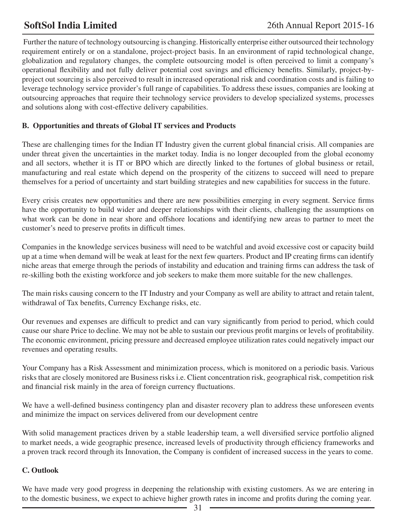Further the nature of technology outsourcing is changing. Historically enterprise either outsourced their technology requirement entirely or on a standalone, project-project basis. In an environment of rapid technological change, globalization and regulatory changes, the complete outsourcing model is often perceived to limit a company's operational flexibility and not fully deliver potential cost savings and efficiency benefits. Similarly, project-byproject out sourcing is also perceived to result in increased operational risk and coordination costs and is failing to leverage technology service provider's full range of capabilities. To address these issues, companies are looking at outsourcing approaches that require their technology service providers to develop specialized systems, processes and solutions along with cost-effective delivery capabilities.

## **B. Opportunities and threats of Global IT services and Products**

These are challenging times for the Indian IT Industry given the current global financial crisis. All companies are under threat given the uncertainties in the market today. India is no longer decoupled from the global economy and all sectors, whether it is IT or BPO which are directly linked to the fortunes of global business or retail, manufacturing and real estate which depend on the prosperity of the citizens to succeed will need to prepare themselves for a period of uncertainty and start building strategies and new capabilities for success in the future.

Every crisis creates new opportunities and there are new possibilities emerging in every segment. Service firms have the opportunity to build wider and deeper relationships with their clients, challenging the assumptions on what work can be done in near shore and offshore locations and identifying new areas to partner to meet the customer's need to preserve profits in difficult times.

Companies in the knowledge services business will need to be watchful and avoid excessive cost or capacity build up at a time when demand will be weak at least for the next few quarters. Product and IP creating firms can identify niche areas that emerge through the periods of instability and education and training firms can address the task of re-skilling both the existing workforce and job seekers to make them more suitable for the new challenges.

The main risks causing concern to the IT Industry and your Company as well are ability to attract and retain talent, withdrawal of Tax benefits, Currency Exchange risks, etc.

Our revenues and expenses are difficult to predict and can vary significantly from period to period, which could cause our share Price to decline. We may not be able to sustain our previous profit margins or levels of profitability. The economic environment, pricing pressure and decreased employee utilization rates could negatively impact our revenues and operating results.

Your Company has a Risk Assessment and minimization process, which is monitored on a periodic basis. Various risks that are closely monitored are Business risks i.e. Client concentration risk, geographical risk, competition risk and financial risk mainly in the area of foreign currency fluctuations.

We have a well-defined business contingency plan and disaster recovery plan to address these unforeseen events and minimize the impact on services delivered from our development centre

With solid management practices driven by a stable leadership team, a well diversified service portfolio aligned to market needs, a wide geographic presence, increased levels of productivity through efficiency frameworks and a proven track record through its Innovation, the Company is confident of increased success in the years to come.

## **C. Outlook**

We have made very good progress in deepening the relationship with existing customers. As we are entering in to the domestic business, we expect to achieve higher growth rates in income and profits during the coming year.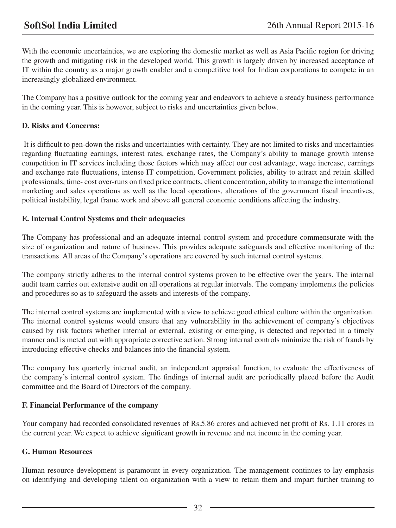With the economic uncertainties, we are exploring the domestic market as well as Asia Pacific region for driving the growth and mitigating risk in the developed world. This growth is largely driven by increased acceptance of IT within the country as a major growth enabler and a competitive tool for Indian corporations to compete in an increasingly globalized environment.

The Company has a positive outlook for the coming year and endeavors to achieve a steady business performance in the coming year. This is however, subject to risks and uncertainties given below.

## **D. Risks and Concerns:**

 It is difficult to pen-down the risks and uncertainties with certainty. They are not limited to risks and uncertainties regarding fluctuating earnings, interest rates, exchange rates, the Company's ability to manage growth intense competition in IT services including those factors which may affect our cost advantage, wage increase, earnings and exchange rate fluctuations, intense IT competition, Government policies, ability to attract and retain skilled professionals, time- cost over-runs on fixed price contracts, client concentration, ability to manage the international marketing and sales operations as well as the local operations, alterations of the government fiscal incentives, political instability, legal frame work and above all general economic conditions affecting the industry.

## **E. Internal Control Systems and their adequacies**

The Company has professional and an adequate internal control system and procedure commensurate with the size of organization and nature of business. This provides adequate safeguards and effective monitoring of the transactions. All areas of the Company's operations are covered by such internal control systems.

The company strictly adheres to the internal control systems proven to be effective over the years. The internal audit team carries out extensive audit on all operations at regular intervals. The company implements the policies and procedures so as to safeguard the assets and interests of the company.

The internal control systems are implemented with a view to achieve good ethical culture within the organization. The internal control systems would ensure that any vulnerability in the achievement of company's objectives caused by risk factors whether internal or external, existing or emerging, is detected and reported in a timely manner and is meted out with appropriate corrective action. Strong internal controls minimize the risk of frauds by introducing effective checks and balances into the financial system.

The company has quarterly internal audit, an independent appraisal function, to evaluate the effectiveness of the company's internal control system. The findings of internal audit are periodically placed before the Audit committee and the Board of Directors of the company.

## **F. Financial Performance of the company**

Your company had recorded consolidated revenues of Rs.5.86 crores and achieved net profit of Rs. 1.11 crores in the current year. We expect to achieve significant growth in revenue and net income in the coming year.

## **G. Human Resources**

Human resource development is paramount in every organization. The management continues to lay emphasis on identifying and developing talent on organization with a view to retain them and impart further training to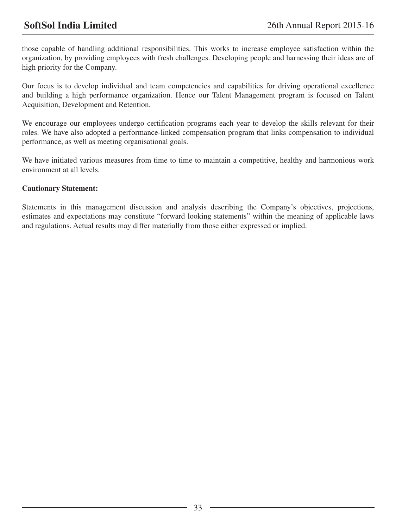those capable of handling additional responsibilities. This works to increase employee satisfaction within the organization, by providing employees with fresh challenges. Developing people and harnessing their ideas are of high priority for the Company.

Our focus is to develop individual and team competencies and capabilities for driving operational excellence and building a high performance organization. Hence our Talent Management program is focused on Talent Acquisition, Development and Retention.

We encourage our employees undergo certification programs each year to develop the skills relevant for their roles. We have also adopted a performance-linked compensation program that links compensation to individual performance, as well as meeting organisational goals.

We have initiated various measures from time to time to maintain a competitive, healthy and harmonious work environment at all levels.

## **Cautionary Statement:**

Statements in this management discussion and analysis describing the Company's objectives, projections, estimates and expectations may constitute "forward looking statements" within the meaning of applicable laws and regulations. Actual results may differ materially from those either expressed or implied.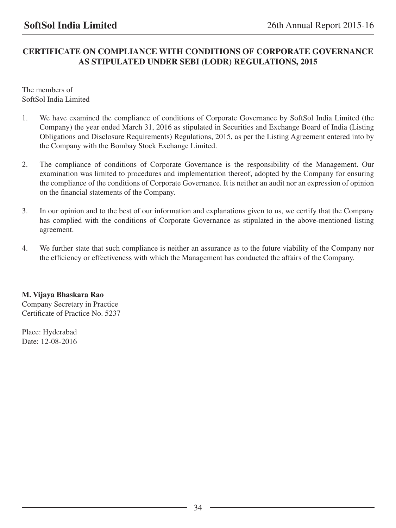## **CERTIFICATE ON COMPLIANCE WITH CONDITIONS OF CORPORATE GOVERNANCE AS STIPULATED UNDER SEBI (LODR) REGULATIONS, 2015**

The members of SoftSol India Limited

- 1. We have examined the compliance of conditions of Corporate Governance by SoftSol India Limited (the Company) the year ended March 31, 2016 as stipulated in Securities and Exchange Board of India (Listing Obligations and Disclosure Requirements) Regulations, 2015, as per the Listing Agreement entered into by the Company with the Bombay Stock Exchange Limited.
- 2. The compliance of conditions of Corporate Governance is the responsibility of the Management. Our examination was limited to procedures and implementation thereof, adopted by the Company for ensuring the compliance of the conditions of Corporate Governance. It is neither an audit nor an expression of opinion on the financial statements of the Company.
- 3. In our opinion and to the best of our information and explanations given to us, we certify that the Company has complied with the conditions of Corporate Governance as stipulated in the above-mentioned listing agreement.
- 4. We further state that such compliance is neither an assurance as to the future viability of the Company nor the efficiency or effectiveness with which the Management has conducted the affairs of the Company.

**M. Vijaya Bhaskara Rao**

Company Secretary in Practice Certificate of Practice No. 5237

Place: Hyderabad Date: 12-08-2016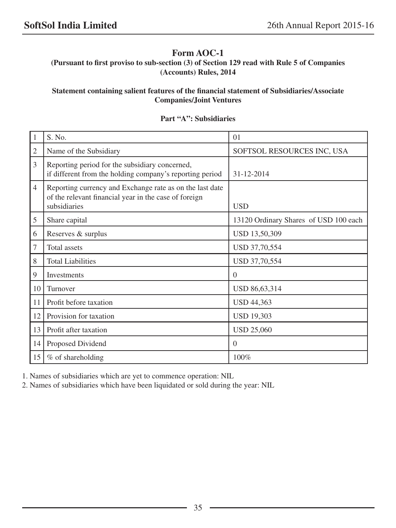## **Form AOC-1**

**(Pursuant to first proviso to sub-section (3) of Section 129 read with Rule 5 of Companies (Accounts) Rules, 2014**

## **Statement containing salient features of the financial statement of Subsidiaries/Associate Companies/Joint Ventures**

## 1 S. No. 01 2 Name of the Subsidiary SOFTSOL RESOURCES INC, USA 3 Reporting period for the subsidiary concerned, if different from the holding company's reporting period  $\vert$  31-12-2014 4 Reporting currency and Exchange rate as on the last date of the relevant financial year in the case of foreign subsidiaries USD 5 Share capital 13120 Ordinary Shares of USD 100 each 6 Reserves & surplus USD 13,50,309 7 | Total assets USD 37,70,554 8 Total Liabilities USD 37,70,554 9 Investments 0 10 Turnover USD 86,63,314 11 Profit before taxation USD 44,363 12 Provision for taxation USD 19,303 13 | Profit after taxation USD 25,060 14 Proposed Dividend 0  $15 \mid \%$  of shareholding  $100\%$

## **Part "A": Subsidiaries**

1. Names of subsidiaries which are yet to commence operation: NIL

2. Names of subsidiaries which have been liquidated or sold during the year: NIL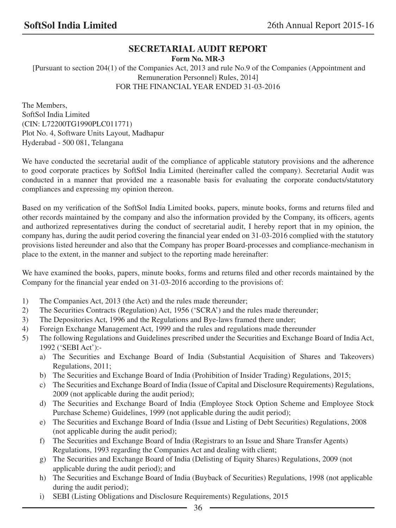# **SECRETARIAL AUDIT REPORT**

**Form No. MR-3**

 [Pursuant to section 204(1) of the Companies Act, 2013 and rule No.9 of the Companies (Appointment and Remuneration Personnel) Rules, 2014] FOR THE FINANCIAL YEAR ENDED 31-03-2016

The Members, SoftSol India Limited (CIN: L72200TG1990PLC011771) Plot No. 4, Software Units Layout, Madhapur Hyderabad - 500 081, Telangana

We have conducted the secretarial audit of the compliance of applicable statutory provisions and the adherence to good corporate practices by SoftSol India Limited (hereinafter called the company). Secretarial Audit was conducted in a manner that provided me a reasonable basis for evaluating the corporate conducts/statutory compliances and expressing my opinion thereon.

Based on my verification of the SoftSol India Limited books, papers, minute books, forms and returns filed and other records maintained by the company and also the information provided by the Company, its officers, agents and authorized representatives during the conduct of secretarial audit, I hereby report that in my opinion, the company has, during the audit period covering the financial year ended on 31-03-2016 complied with the statutory provisions listed hereunder and also that the Company has proper Board-processes and compliance-mechanism in place to the extent, in the manner and subject to the reporting made hereinafter:

We have examined the books, papers, minute books, forms and returns filed and other records maintained by the Company for the financial year ended on 31-03-2016 according to the provisions of:

- 1) The Companies Act, 2013 (the Act) and the rules made thereunder;
- 2) The Securities Contracts (Regulation) Act, 1956 ('SCRA') and the rules made thereunder;
- 3) The Depositories Act, 1996 and the Regulations and Bye-laws framed there under;
- 4) Foreign Exchange Management Act, 1999 and the rules and regulations made thereunder
- 5) The following Regulations and Guidelines prescribed under the Securities and Exchange Board of India Act, 1992 ('SEBI Act'):
	- a) The Securities and Exchange Board of India (Substantial Acquisition of Shares and Takeovers) Regulations, 2011;
	- b) The Securities and Exchange Board of India (Prohibition of Insider Trading) Regulations, 2015;
	- c) The Securities and Exchange Board of India (Issue of Capital and Disclosure Requirements) Regulations, 2009 (not applicable during the audit period);
	- d) The Securities and Exchange Board of India (Employee Stock Option Scheme and Employee Stock Purchase Scheme) Guidelines, 1999 (not applicable during the audit period);
	- e) The Securities and Exchange Board of India (Issue and Listing of Debt Securities) Regulations, 2008 (not applicable during the audit period);
	- f) The Securities and Exchange Board of India (Registrars to an Issue and Share Transfer Agents) Regulations, 1993 regarding the Companies Act and dealing with client;
	- g) The Securities and Exchange Board of India (Delisting of Equity Shares) Regulations, 2009 (not applicable during the audit period); and
	- h) The Securities and Exchange Board of India (Buyback of Securities) Regulations, 1998 (not applicable during the audit period);
	- i) SEBI (Listing Obligations and Disclosure Requirements) Regulations, 2015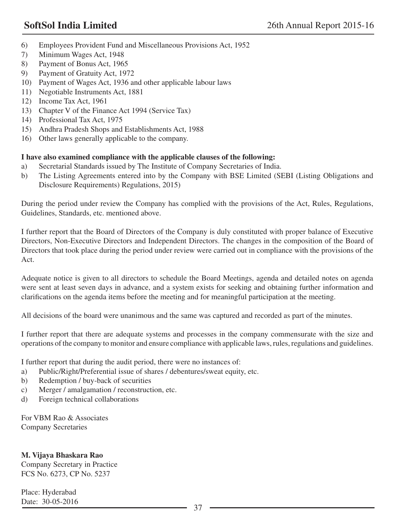- 6) Employees Provident Fund and Miscellaneous Provisions Act, 1952
- 7) Minimum Wages Act, 1948
- 8) Payment of Bonus Act, 1965
- 9) Payment of Gratuity Act, 1972
- 10) Payment of Wages Act, 1936 and other applicable labour laws
- 11) Negotiable Instruments Act, 1881
- 12) Income Tax Act, 1961
- 13) Chapter V of the Finance Act 1994 (Service Tax)
- 14) Professional Tax Act, 1975
- 15) Andhra Pradesh Shops and Establishments Act, 1988
- 16) Other laws generally applicable to the company.

# **I have also examined compliance with the applicable clauses of the following:**

- a) Secretarial Standards issued by The Institute of Company Secretaries of India.
- b) The Listing Agreements entered into by the Company with BSE Limited (SEBI (Listing Obligations and Disclosure Requirements) Regulations, 2015)

During the period under review the Company has complied with the provisions of the Act, Rules, Regulations, Guidelines, Standards, etc. mentioned above.

I further report that the Board of Directors of the Company is duly constituted with proper balance of Executive Directors, Non-Executive Directors and Independent Directors. The changes in the composition of the Board of Directors that took place during the period under review were carried out in compliance with the provisions of the Act.

Adequate notice is given to all directors to schedule the Board Meetings, agenda and detailed notes on agenda were sent at least seven days in advance, and a system exists for seeking and obtaining further information and clarifications on the agenda items before the meeting and for meaningful participation at the meeting.

All decisions of the board were unanimous and the same was captured and recorded as part of the minutes.

I further report that there are adequate systems and processes in the company commensurate with the size and operations of the company to monitor and ensure compliance with applicable laws, rules, regulations and guidelines.

I further report that during the audit period, there were no instances of:

- a) Public/Right/Preferential issue of shares / debentures/sweat equity, etc.
- b) Redemption / buy-back of securities
- c) Merger / amalgamation / reconstruction, etc.
- d) Foreign technical collaborations

For VBM Rao & Associates Company Secretaries

## **M. Vijaya Bhaskara Rao**

Company Secretary in Practice FCS No. 6273, CP No. 5237

Place: Hyderabad Date: 30-05-2016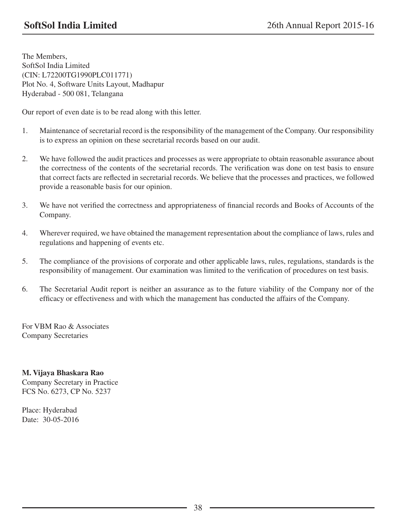The Members, SoftSol India Limited (CIN: L72200TG1990PLC011771) Plot No. 4, Software Units Layout, Madhapur Hyderabad - 500 081, Telangana

Our report of even date is to be read along with this letter.

- 1. Maintenance of secretarial record is the responsibility of the management of the Company. Our responsibility is to express an opinion on these secretarial records based on our audit.
- 2. We have followed the audit practices and processes as were appropriate to obtain reasonable assurance about the correctness of the contents of the secretarial records. The verification was done on test basis to ensure that correct facts are reflected in secretarial records. We believe that the processes and practices, we followed provide a reasonable basis for our opinion.
- 3. We have not verified the correctness and appropriateness of financial records and Books of Accounts of the Company.
- 4. Wherever required, we have obtained the management representation about the compliance of laws, rules and regulations and happening of events etc.
- 5. The compliance of the provisions of corporate and other applicable laws, rules, regulations, standards is the responsibility of management. Our examination was limited to the verification of procedures on test basis.
- 6. The Secretarial Audit report is neither an assurance as to the future viability of the Company nor of the efficacy or effectiveness and with which the management has conducted the affairs of the Company.

For VBM Rao & Associates Company Secretaries

**M. Vijaya Bhaskara Rao** Company Secretary in Practice FCS No. 6273, CP No. 5237

Place: Hyderabad Date: 30-05-2016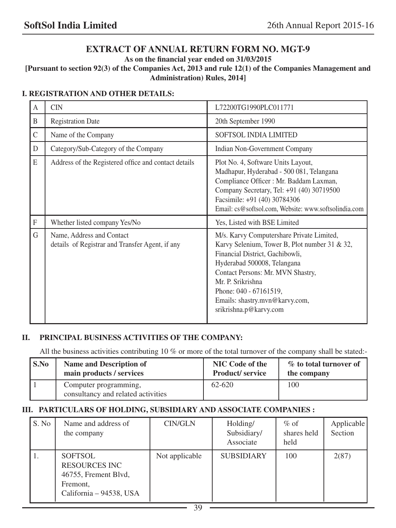# **EXTRACT OF ANNUAL RETURN FORM NO. MGT-9**

**As on the financial year ended on 31/03/2015**

**[Pursuant to section 92(3) of the Companies Act, 2013 and rule 12(1) of the Companies Management and Administration) Rules, 2014]**

## **I. REGISTRATION AND OTHER DETAILS:**

| A             | <b>CIN</b>                                                                   | L72200TG1990PLC011771                                                                                                                                                                                                                                                                                        |
|---------------|------------------------------------------------------------------------------|--------------------------------------------------------------------------------------------------------------------------------------------------------------------------------------------------------------------------------------------------------------------------------------------------------------|
| B             | <b>Registration Date</b>                                                     | 20th September 1990                                                                                                                                                                                                                                                                                          |
| $\mathcal{C}$ | Name of the Company                                                          | <b>SOFTSOL INDIA LIMITED</b>                                                                                                                                                                                                                                                                                 |
| D             | Category/Sub-Category of the Company                                         | Indian Non-Government Company                                                                                                                                                                                                                                                                                |
| E             | Address of the Registered office and contact details                         | Plot No. 4, Software Units Layout,<br>Madhapur, Hyderabad - 500 081, Telangana<br>Compliance Officer : Mr. Baddam Laxman,<br>Company Secretary, Tel: +91 (40) 30719500<br>Facsimile: +91 (40) 30784306<br>Email: cs@softsol.com, Website: www.softsolindia.com                                               |
| $\mathbf{F}$  | Whether listed company Yes/No                                                | Yes, Listed with BSE Limited                                                                                                                                                                                                                                                                                 |
| G             | Name, Address and Contact<br>details of Registrar and Transfer Agent, if any | M/s. Karvy Computershare Private Limited,<br>Karvy Selenium, Tower B, Plot number 31 & 32,<br>Financial District, Gachibowli,<br>Hyderabad 500008, Telangana<br>Contact Persons: Mr. MVN Shastry,<br>Mr. P. Srikrishna<br>Phone: 040 - 67161519,<br>Emails: shastry.mvn@karvy.com,<br>srikrishna.p@karvy.com |

## **II. PRINCIPAL BUSINESS ACTIVITIES OF THE COMPANY:**

All the business activities contributing 10 % or more of the total turnover of the company shall be stated:-

| S.No | <b>Name and Description of</b>                              | <b>NIC Code of the</b> | % to total turnover of |
|------|-------------------------------------------------------------|------------------------|------------------------|
|      | main products / services                                    | <b>Product/service</b> | the company            |
|      | Computer programming,<br>consultancy and related activities | 62-620                 | 100                    |

## **III. PARTICULARS OF HOLDING, SUBSIDIARY AND ASSOCIATE COMPANIES :**

| S. No | Name and address of<br>the company                                                                    | <b>CIN/GLN</b> | Holding/<br>Subsidiary/<br>Associate | $\%$ of<br>shares held<br>held | Applicable<br>Section |
|-------|-------------------------------------------------------------------------------------------------------|----------------|--------------------------------------|--------------------------------|-----------------------|
| 1.    | <b>SOFTSOL</b><br><b>RESOURCES INC</b><br>46755, Frement Blvd,<br>Fremont,<br>California - 94538, USA | Not applicable | <b>SUBSIDIARY</b>                    | 100                            | 2(87)                 |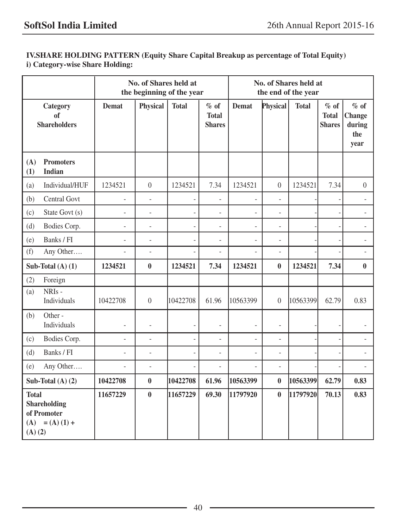# **IV.SHARE HOLDING PATTERN (Equity Share Capital Breakup as percentage of Total Equity) i) Category-wise Share Holding:**

|                                    |                                              |                | No. of Shares held at | the beginning of the year |                                         | No. of Shares held at<br>the end of the year |                          |              |                                         |                                           |
|------------------------------------|----------------------------------------------|----------------|-----------------------|---------------------------|-----------------------------------------|----------------------------------------------|--------------------------|--------------|-----------------------------------------|-------------------------------------------|
|                                    | Category<br>of<br><b>Shareholders</b>        | <b>Demat</b>   | <b>Physical</b>       | <b>Total</b>              | $%$ of<br><b>Total</b><br><b>Shares</b> | <b>Demat</b>                                 | Physical                 | <b>Total</b> | $%$ of<br><b>Total</b><br><b>Shares</b> | $%$ of<br>Change<br>during<br>the<br>year |
| (A)<br>(1)                         | <b>Promoters</b><br><b>Indian</b>            |                |                       |                           |                                         |                                              |                          |              |                                         |                                           |
| (a)                                | Individual/HUF                               | 1234521        | $\overline{0}$        | 1234521                   | 7.34                                    | 1234521                                      | $\boldsymbol{0}$         | 1234521      | 7.34                                    | $\boldsymbol{0}$                          |
| (b)                                | Central Govt                                 |                | ÷,                    |                           | $\blacksquare$                          |                                              | $\overline{\phantom{0}}$ |              |                                         | ÷.                                        |
| (c)                                | State Govt (s)                               | ÷,             | ä,                    | ÷,                        | ä,                                      | ÷,                                           | ÷.                       |              |                                         | $\overline{\phantom{a}}$                  |
| (d)                                | Bodies Corp.                                 | ä,             | ÷,                    | $\overline{a}$            | $\frac{1}{2}$                           | $\overline{\phantom{a}}$                     | ÷                        |              |                                         | $\overline{\phantom{a}}$                  |
| (e)                                | Banks / FI                                   |                | ÷,                    | $\overline{\phantom{a}}$  | ÷,                                      |                                              | $\overline{\phantom{0}}$ |              |                                         | $\overline{\phantom{a}}$                  |
| (f)                                | Any Other                                    | L.             | $\equiv$              |                           | $\frac{1}{2}$                           | ÷,                                           | ÷.                       |              |                                         | $\overline{\phantom{a}}$                  |
|                                    | Sub-Total $(A)$ $(1)$                        | 1234521        | $\bf{0}$              | 1234521                   | 7.34                                    | 1234521                                      | $\bf{0}$                 | 1234521      | 7.34                                    | $\bf{0}$                                  |
| (2)                                | Foreign                                      |                |                       |                           |                                         |                                              |                          |              |                                         |                                           |
| (a)                                | $NRIs -$<br>Individuals                      | 10422708       | $\overline{0}$        | 10422708                  | 61.96                                   | 10563399                                     | $\theta$                 | 10563399     | 62.79                                   | 0.83                                      |
| (b)                                | Other-<br>Individuals                        | ÷,             | ä,                    |                           | ÷,                                      | ÷,                                           | ä,                       |              |                                         |                                           |
| (c)                                | Bodies Corp.                                 | $\overline{a}$ | $\overline{a}$        | ÷,                        | $\overline{a}$                          | ä,                                           | ÷.                       |              | $\sim$                                  | $\mathbf{r}$                              |
| (d)                                | Banks / FI                                   | L.             | $\overline{a}$        |                           | $\frac{1}{2}$                           | $\overline{a}$                               | ÷.                       |              |                                         | ÷.                                        |
| (e)                                | Any Other                                    | ÷,             | ÷,                    |                           | ÷,                                      |                                              | ÷                        |              |                                         |                                           |
| Sub-Total $(A)$ $(2)$              |                                              | 10422708       | $\bf{0}$              | 10422708                  | 61.96                                   | 10563399                                     | $\bf{0}$                 | 10563399     | 62.79                                   | 0.83                                      |
| <b>Total</b><br>(A)<br>$(A)$ $(2)$ | Shareholding<br>of Promoter<br>$= (A) (1) +$ | 11657229       | $\bf{0}$              | 11657229                  | 69.30                                   | 11797920                                     | $\bf{0}$                 | 11797920     | 70.13                                   | 0.83                                      |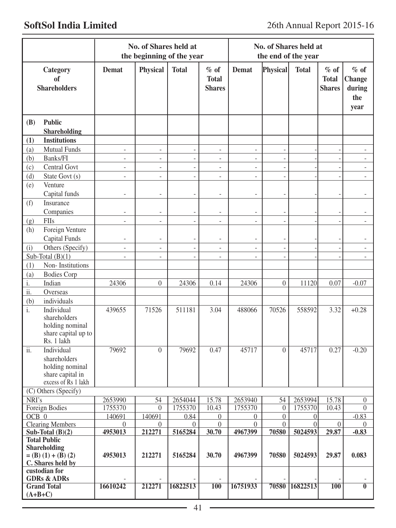|                                                                                                      |                                    | No. of Shares held at<br>the beginning of the year |                          |                                         | No. of Shares held at<br>the end of the year |                      |                    |                                         |                                                  |
|------------------------------------------------------------------------------------------------------|------------------------------------|----------------------------------------------------|--------------------------|-----------------------------------------|----------------------------------------------|----------------------|--------------------|-----------------------------------------|--------------------------------------------------|
| Category<br>of<br><b>Shareholders</b>                                                                | Demat                              | <b>Physical</b>                                    | <b>Total</b>             | $%$ of<br><b>Total</b><br><b>Shares</b> | <b>Demat</b>                                 | Physical             | <b>Total</b>       | $%$ of<br><b>Total</b><br><b>Shares</b> | $%$ of<br><b>Change</b><br>during<br>the<br>year |
| <b>Public</b><br>(B)<br><b>Shareholding</b>                                                          |                                    |                                                    |                          |                                         |                                              |                      |                    |                                         |                                                  |
| <b>Institutions</b><br>(1)                                                                           |                                    |                                                    |                          |                                         |                                              |                      |                    |                                         |                                                  |
| <b>Mutual Funds</b><br>(a)                                                                           | $\overline{\phantom{a}}$           | $\qquad \qquad \blacksquare$                       | $\overline{\phantom{a}}$ | $\overline{\phantom{a}}$                | $\overline{\phantom{a}}$                     |                      |                    |                                         |                                                  |
| Banks/FI<br>(b)                                                                                      | $\overline{\phantom{a}}$           | $\frac{1}{2}$                                      | ÷,                       | $\overline{a}$                          | ÷                                            |                      |                    |                                         |                                                  |
| (c)<br>Central Govt                                                                                  | $\overline{\phantom{a}}$           | $\frac{1}{2}$                                      | $\overline{a}$           | $\overline{\phantom{a}}$                | $\overline{a}$                               |                      |                    |                                         | $\overline{\phantom{a}}$                         |
| State Govt (s)<br>(d)                                                                                | $\overline{a}$                     | $\frac{1}{2}$                                      | $\frac{1}{2}$            | $\overline{\phantom{a}}$                | $\overline{\phantom{a}}$                     | $\overline{a}$       |                    |                                         | $\overline{\phantom{a}}$                         |
| Venture<br>(e)                                                                                       |                                    |                                                    |                          |                                         |                                              |                      |                    |                                         |                                                  |
| Capital funds                                                                                        | $\overline{\phantom{a}}$           | $\overline{a}$                                     | $\overline{\phantom{a}}$ | $\overline{\phantom{a}}$                | $\overline{\phantom{a}}$                     |                      |                    |                                         | $\overline{\phantom{a}}$                         |
| Insurance                                                                                            |                                    |                                                    |                          |                                         |                                              |                      |                    |                                         |                                                  |
| (f)<br>Companies                                                                                     |                                    |                                                    |                          |                                         |                                              |                      |                    |                                         |                                                  |
| FIIs                                                                                                 | $\qquad \qquad \blacksquare$<br>÷. | $\overline{\phantom{m}}$<br>$\overline{a}$         | $\overline{\phantom{m}}$ | $\qquad \qquad \blacksquare$            | $\overline{\phantom{m}}$                     |                      |                    |                                         | ÷                                                |
| (g)                                                                                                  |                                    |                                                    | $\overline{a}$           | $\overline{a}$                          | $\overline{a}$                               |                      |                    |                                         |                                                  |
| Foreign Venture<br>(h)                                                                               |                                    |                                                    |                          |                                         |                                              |                      |                    |                                         |                                                  |
| <b>Capital Funds</b>                                                                                 |                                    | $\overline{a}$                                     |                          | $\overline{\phantom{a}}$                |                                              |                      |                    |                                         |                                                  |
| Others (Specify)<br>(i)                                                                              | $\overline{\phantom{a}}$           | $\overline{a}$                                     | $\overline{\phantom{a}}$ | $\sim$                                  | $\overline{a}$                               |                      |                    |                                         | $\overline{\phantom{a}}$                         |
| Sub-Total $(B)(1)$                                                                                   | $\overline{a}$                     | $\overline{\phantom{m}}$                           |                          | $\overline{\phantom{a}}$                |                                              |                      |                    |                                         |                                                  |
| Non-Institutions<br>(1)                                                                              |                                    |                                                    |                          |                                         |                                              |                      |                    |                                         |                                                  |
| (a)<br><b>Bodies Corp</b>                                                                            |                                    |                                                    |                          |                                         |                                              |                      |                    |                                         |                                                  |
| Indian<br>i.                                                                                         | 24306                              | $\theta$                                           | 24306                    | 0.14                                    | 24306                                        | $\theta$             | 11120              | 0.07                                    | $-0.07$                                          |
| ii.<br>Overseas                                                                                      |                                    |                                                    |                          |                                         |                                              |                      |                    |                                         |                                                  |
| individuals<br>(b)                                                                                   |                                    |                                                    |                          |                                         |                                              |                      |                    |                                         |                                                  |
| $\mathbf{i}$ .<br>Individual<br>shareholders<br>holding nominal<br>share capital up to<br>Rs. 1 lakh | 439655                             | 71526                                              | 511181                   | 3.04                                    | 488066                                       | 70526                | 558592             | 3.32                                    | $+0.28$                                          |
| ii.<br>Individual<br>shareholders<br>holding nominal<br>share capital in<br>excess of Rs 1 lakh      | 79692                              | $\theta$                                           | 79692                    | 0.47                                    | 45717                                        | $\theta$             | 45717              | 0.27                                    | $-0.20$                                          |
| (C) Others (Specify)<br>NRI's                                                                        |                                    |                                                    |                          |                                         |                                              |                      |                    |                                         |                                                  |
| <b>Foreign Bodies</b>                                                                                | 2653990<br>1755370                 | $\overline{54}$<br>$\overline{0}$                  | 2654044<br>1755370       | 15.78<br>10.43                          | 2653940<br>1755370                           | 54<br>$\overline{0}$ | 2653994<br>1755370 | 15.78<br>10.43                          | $\boldsymbol{0}$<br>$\Omega$                     |
| $OCB$ $0$                                                                                            | 140691                             | 140691                                             | 0.84                     | $\overline{0}$                          | $\overline{0}$                               | $\overline{0}$       | 0                  |                                         | $-0.83$                                          |
| <b>Clearing Members</b>                                                                              | $\overline{0}$                     | $\theta$                                           | $\theta$                 | $\overline{0}$                          | $\overline{0}$                               | $\Omega$             | $\overline{0}$     | $\boldsymbol{0}$                        | $\overline{0}$                                   |
| Sub-Total $(B)(2)$                                                                                   | 4953013                            | 212271                                             | 5165284                  | 30.70                                   | 4967399                                      | 70580                | 5024593            | 29.87                                   | $-0.83$                                          |
| <b>Total Public</b>                                                                                  |                                    |                                                    |                          |                                         |                                              |                      |                    |                                         |                                                  |
| <b>Shareholding</b>                                                                                  |                                    |                                                    |                          |                                         |                                              |                      |                    |                                         |                                                  |
| $= (B) (1) + (B) (2)$                                                                                | 4953013                            | 212271                                             | 5165284                  | 30.70                                   | 4967399                                      | 70580                | 5024593            | 29.87                                   | 0.083                                            |
| C. Shares held by                                                                                    |                                    |                                                    |                          |                                         |                                              |                      |                    |                                         |                                                  |
| custodian for                                                                                        |                                    |                                                    |                          |                                         |                                              |                      |                    |                                         |                                                  |
| <b>GDRs &amp; ADRs</b><br><b>Grand Total</b>                                                         | 16610242                           | 212271                                             | 16822513                 | <b>100</b>                              | 16751933                                     | 70580                | 16822513           | <b>100</b>                              | $\mathbf{0}$                                     |
| $(A+B+C)$                                                                                            |                                    |                                                    |                          |                                         |                                              |                      |                    |                                         |                                                  |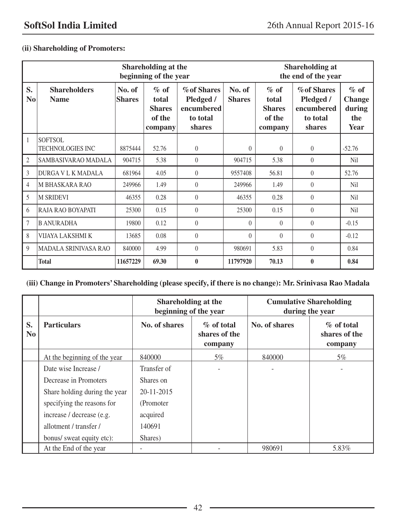# **(ii) Shareholding of Promoters:**

|                      |                                    |                         | <b>Shareholding at</b><br>the end of the year         |                                                                     |                         |                                                        |                                                                     |                                                   |
|----------------------|------------------------------------|-------------------------|-------------------------------------------------------|---------------------------------------------------------------------|-------------------------|--------------------------------------------------------|---------------------------------------------------------------------|---------------------------------------------------|
| S.<br>N <sub>0</sub> | <b>Shareholders</b><br><b>Name</b> | No. of<br><b>Shares</b> | $%$ of<br>total<br><b>Shares</b><br>of the<br>company | <b>% of Shares</b><br>Pledged /<br>encumbered<br>to total<br>shares | No. of<br><b>Shares</b> | $\%$ of<br>total<br><b>Shares</b><br>of the<br>company | <b>% of Shares</b><br>Pledged /<br>encumbered<br>to total<br>shares | $\%$ of<br><b>Change</b><br>during<br>the<br>Year |
| 1                    | SOFTSOL<br><b>TECHNOLOGIES INC</b> | 8875444                 | 52.76                                                 | $\overline{0}$                                                      | $\overline{0}$          | $\mathbf{0}$                                           | $\theta$                                                            | $-52.76$                                          |
| 2                    | SAMBASIVARAO MADALA                | 904715                  | 5.38                                                  | $\theta$                                                            | 904715                  | 5.38                                                   | $\theta$                                                            | Nil                                               |
| 3                    | DURGA V L K MADALA                 | 681964                  | 4.05                                                  | $\theta$                                                            | 9557408                 | 56.81                                                  | $\theta$                                                            | 52.76                                             |
| 4                    | <b>M BHASKARA RAO</b>              | 249966                  | 1.49                                                  | $\theta$                                                            | 249966                  | 1.49                                                   | $\theta$                                                            | Nil                                               |
| 5                    | M SRIDEVI                          | 46355                   | 0.28                                                  | $\theta$                                                            | 46355                   | 0.28                                                   | $\theta$                                                            | Nil                                               |
| 6                    | RAJA RAO BOYAPATI                  | 25300                   | 0.15                                                  | $\theta$                                                            | 25300                   | 0.15                                                   | $\theta$                                                            | Nil                                               |
| 7                    | <b>B ANURADHA</b>                  | 19800                   | 0.12                                                  | $\theta$                                                            | $\Omega$                | $\theta$                                               | $\Omega$                                                            | $-0.15$                                           |
| 8                    | VIJAYA LAKSHMI K                   | 13685                   | 0.08                                                  | $\theta$                                                            | $\Omega$                | $\theta$                                               | $\theta$                                                            | $-0.12$                                           |
| 9                    | <b>MADALA SRINIVASA RAO</b>        | 840000                  | 4.99                                                  | $\theta$                                                            | 980691                  | 5.83                                                   | $\theta$                                                            | 0.84                                              |
|                      | <b>Total</b>                       | 11657229                | 69.30                                                 | $\bf{0}$                                                            | 11797920                | 70.13                                                  | $\mathbf{0}$                                                        | 0.84                                              |

# **(iii) Change in Promoters' Shareholding (please specify, if there is no change): Mr. Srinivasa Rao Madala**

|                      |                               | Shareholding at the<br>beginning of the year |                                           | <b>Cumulative Shareholding</b><br>during the year |                                           |  |
|----------------------|-------------------------------|----------------------------------------------|-------------------------------------------|---------------------------------------------------|-------------------------------------------|--|
| S.<br>N <sub>0</sub> | <b>Particulars</b>            | No. of shares                                | $\%$ of total<br>shares of the<br>company | No. of shares                                     | $\%$ of total<br>shares of the<br>company |  |
|                      | At the beginning of the year  | 840000                                       | 5%                                        | 840000                                            | 5%                                        |  |
|                      | Date wise Increase /          | Transfer of                                  |                                           |                                                   |                                           |  |
|                      | Decrease in Promoters         | Shares on                                    |                                           |                                                   |                                           |  |
|                      | Share holding during the year | $20 - 11 - 2015$                             |                                           |                                                   |                                           |  |
|                      | specifying the reasons for    | (Promoter)                                   |                                           |                                                   |                                           |  |
|                      | increase / decrease (e.g.     | acquired                                     |                                           |                                                   |                                           |  |
|                      | allotment / transfer /        | 140691                                       |                                           |                                                   |                                           |  |
|                      | bonus/ sweat equity etc):     | Shares)                                      |                                           |                                                   |                                           |  |
|                      | At the End of the year        |                                              |                                           | 980691                                            | 5.83%                                     |  |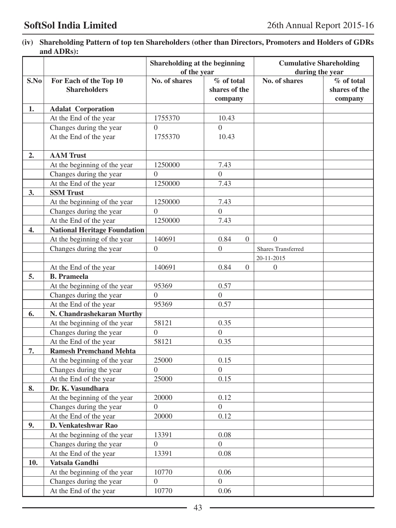**(iv) Shareholding Pattern of top ten Shareholders (other than Directors, Promoters and Holders of GDRs and ADRs):** 

|      |                                                   | Shareholding at the beginning<br>of the year |                                        | <b>Cumulative Shareholding</b><br>during the year |                                        |
|------|---------------------------------------------------|----------------------------------------------|----------------------------------------|---------------------------------------------------|----------------------------------------|
| S.No | For Each of the Top 10<br><b>Shareholders</b>     | No. of shares                                | % of total<br>shares of the<br>company | No. of shares                                     | % of total<br>shares of the<br>company |
| 1.   | <b>Adalat Corporation</b>                         |                                              |                                        |                                                   |                                        |
|      | At the End of the year                            | 1755370                                      | 10.43                                  |                                                   |                                        |
|      | Changes during the year                           | $\Omega$                                     | $\Omega$                               |                                                   |                                        |
|      | At the End of the year                            | 1755370                                      | 10.43                                  |                                                   |                                        |
| 2.   | <b>AAM</b> Trust                                  |                                              |                                        |                                                   |                                        |
|      | At the beginning of the year                      | 1250000                                      | 7.43                                   |                                                   |                                        |
|      | Changes during the year                           | $\theta$                                     | $\Omega$                               |                                                   |                                        |
|      | At the End of the year                            | 1250000                                      | 7.43                                   |                                                   |                                        |
| 3.   | <b>SSM Trust</b>                                  |                                              |                                        |                                                   |                                        |
|      | At the beginning of the year                      | 1250000                                      | 7.43                                   |                                                   |                                        |
|      | Changes during the year                           | $\Omega$                                     | $\theta$                               |                                                   |                                        |
|      | At the End of the year                            | 1250000                                      | 7.43                                   |                                                   |                                        |
| 4.   | <b>National Heritage Foundation</b>               |                                              |                                        |                                                   |                                        |
|      | At the beginning of the year                      | 140691                                       | 0.84<br>$\mathbf{0}$                   | $\Omega$                                          |                                        |
|      | Changes during the year                           | $\overline{0}$                               | $\boldsymbol{0}$                       | <b>Shares Transferred</b>                         |                                        |
|      |                                                   |                                              |                                        | 20-11-2015                                        |                                        |
|      | At the End of the year<br><b>B.</b> Prameela      | 140691                                       | 0.84<br>$\mathbf{0}$                   | $\boldsymbol{0}$                                  |                                        |
| 5.   |                                                   |                                              |                                        |                                                   |                                        |
|      | At the beginning of the year                      | 95369<br>$\theta$                            | 0.57<br>$\mathbf{0}$                   |                                                   |                                        |
|      | Changes during the year<br>At the End of the year | 95369                                        | 0.57                                   |                                                   |                                        |
| 6.   | N. Chandrashekaran Murthy                         |                                              |                                        |                                                   |                                        |
|      | At the beginning of the year                      | 58121                                        | 0.35                                   |                                                   |                                        |
|      | Changes during the year                           | $\overline{0}$                               | $\Omega$                               |                                                   |                                        |
|      | At the End of the year                            | 58121                                        | 0.35                                   |                                                   |                                        |
| 7.   | <b>Ramesh Premchand Mehta</b>                     |                                              |                                        |                                                   |                                        |
|      | At the beginning of the year                      | 25000                                        | 0.15                                   |                                                   |                                        |
|      | Changes during the year                           | $\theta$                                     | $\Omega$                               |                                                   |                                        |
|      | At the End of the year                            | 25000                                        | 0.15                                   |                                                   |                                        |
| 8.   | Dr. K. Vasundhara                                 |                                              |                                        |                                                   |                                        |
|      | At the beginning of the year                      | 20000                                        | 0.12                                   |                                                   |                                        |
|      | Changes during the year                           | 0                                            | $\boldsymbol{0}$                       |                                                   |                                        |
|      | At the End of the year                            | 20000                                        | 0.12                                   |                                                   |                                        |
| 9.   | D. Venkateshwar Rao                               |                                              |                                        |                                                   |                                        |
|      | At the beginning of the year                      | 13391                                        | 0.08                                   |                                                   |                                        |
|      | Changes during the year                           | $\overline{0}$                               | $\boldsymbol{0}$                       |                                                   |                                        |
|      | At the End of the year                            | 13391                                        | 0.08                                   |                                                   |                                        |
| 10.  | Vatsala Gandhi                                    |                                              |                                        |                                                   |                                        |
|      | At the beginning of the year                      | 10770                                        | 0.06                                   |                                                   |                                        |
|      | Changes during the year                           | $\boldsymbol{0}$                             | $\overline{0}$                         |                                                   |                                        |
|      | At the End of the year                            | 10770                                        | 0.06                                   |                                                   |                                        |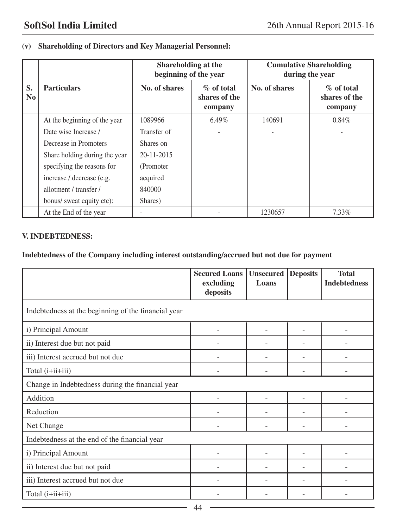# **(v) Shareholding of Directors and Key Managerial Personnel:**

|                      |                               | Shareholding at the<br>beginning of the year |                                           | <b>Cumulative Shareholding</b><br>during the year |                                           |  |
|----------------------|-------------------------------|----------------------------------------------|-------------------------------------------|---------------------------------------------------|-------------------------------------------|--|
| S.<br>N <sub>0</sub> | <b>Particulars</b>            | No. of shares                                | $\%$ of total<br>shares of the<br>company | No. of shares                                     | $\%$ of total<br>shares of the<br>company |  |
|                      | At the beginning of the year  | 1089966                                      | $6.49\%$                                  | 140691                                            | $0.84\%$                                  |  |
|                      | Date wise Increase /          | Transfer of                                  |                                           |                                                   |                                           |  |
|                      | Decrease in Promoters         | Shares on                                    |                                           |                                                   |                                           |  |
|                      | Share holding during the year | $20 - 11 - 2015$                             |                                           |                                                   |                                           |  |
|                      | specifying the reasons for    | (Promoter)                                   |                                           |                                                   |                                           |  |
|                      | increase / decrease (e.g.     | acquired                                     |                                           |                                                   |                                           |  |
|                      | allotment / transfer /        | 840000                                       |                                           |                                                   |                                           |  |
|                      | bonus/ sweat equity etc):     | Shares)                                      |                                           |                                                   |                                           |  |
|                      | At the End of the year        |                                              |                                           | 1230657                                           | 7.33%                                     |  |

## **V. INDEBTEDNESS:**

# **Indebtedness of the Company including interest outstanding/accrued but not due for payment**

|                                                     | <b>Secured Loans</b><br>excluding<br>deposits | <b>Unsecured</b><br>Loans | <b>Deposits</b> | <b>Total</b><br><b>Indebtedness</b> |  |  |  |
|-----------------------------------------------------|-----------------------------------------------|---------------------------|-----------------|-------------------------------------|--|--|--|
| Indebtedness at the beginning of the financial year |                                               |                           |                 |                                     |  |  |  |
| i) Principal Amount                                 |                                               |                           |                 |                                     |  |  |  |
| ii) Interest due but not paid                       |                                               |                           |                 |                                     |  |  |  |
| iii) Interest accrued but not due                   |                                               |                           |                 |                                     |  |  |  |
| Total (i+ii+iii)                                    |                                               |                           |                 |                                     |  |  |  |
| Change in Indebtedness during the financial year    |                                               |                           |                 |                                     |  |  |  |
| Addition                                            |                                               |                           |                 |                                     |  |  |  |
| Reduction                                           |                                               |                           |                 |                                     |  |  |  |
| Net Change                                          |                                               |                           |                 |                                     |  |  |  |
| Indebtedness at the end of the financial year       |                                               |                           |                 |                                     |  |  |  |
| i) Principal Amount                                 |                                               |                           |                 |                                     |  |  |  |
| ii) Interest due but not paid                       |                                               |                           |                 |                                     |  |  |  |
| iii) Interest accrued but not due                   |                                               |                           |                 |                                     |  |  |  |
| Total (i+ii+iii)                                    |                                               |                           |                 |                                     |  |  |  |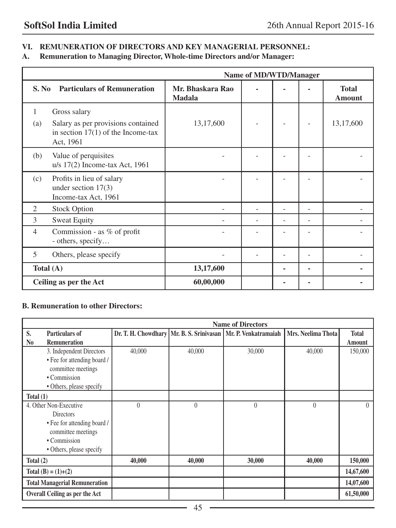# **VI. REMUNERATION OF DIRECTORS AND KEY MANAGERIAL PERSONNEL:**

**A. Remuneration to Managing Director, Whole-time Directors and/or Manager:**

|                | Name of MD/WTD/Manager                                                                                  |                                   |  |  |   |                               |  |  |
|----------------|---------------------------------------------------------------------------------------------------------|-----------------------------------|--|--|---|-------------------------------|--|--|
| S. No          | <b>Particulars of Remuneration</b>                                                                      | Mr. Bhaskara Rao<br><b>Madala</b> |  |  |   | <b>Total</b><br><b>Amount</b> |  |  |
| 1<br>(a)       | Gross salary<br>Salary as per provisions contained<br>in section $17(1)$ of the Income-tax<br>Act, 1961 | 13,17,600                         |  |  |   | 13,17,600                     |  |  |
| (b)            | Value of perquisites<br>u/s 17(2) Income-tax Act, 1961                                                  |                                   |  |  |   |                               |  |  |
| (c)            | Profits in lieu of salary<br>under section $17(3)$<br>Income-tax Act, 1961                              |                                   |  |  |   |                               |  |  |
| $\overline{2}$ | <b>Stock Option</b>                                                                                     |                                   |  |  |   |                               |  |  |
| 3              | <b>Sweat Equity</b>                                                                                     |                                   |  |  |   |                               |  |  |
| $\overline{4}$ | Commission - as % of profit<br>- others, specify                                                        |                                   |  |  |   |                               |  |  |
| 5              | Others, please specify                                                                                  |                                   |  |  |   |                               |  |  |
| Total $(A)$    |                                                                                                         | 13,17,600                         |  |  | ٠ |                               |  |  |
|                | Ceiling as per the Act                                                                                  | 60,00,000                         |  |  |   |                               |  |  |

### **B. Remuneration to other Directors:**

|             |                                      |          |          | <b>Name of Directors</b>                                      |                    |              |
|-------------|--------------------------------------|----------|----------|---------------------------------------------------------------|--------------------|--------------|
| S.          | <b>Particulars of</b>                |          |          | Dr. T. H. Chowdhary Mr. B. S. Srinivasan Mr. P. Venkatramaiah | Mrs. Neelima Thota | <b>Total</b> |
| No          | <b>Remuneration</b>                  |          |          |                                                               |                    | Amount       |
|             | 3. Independent Directors             | 40,000   | 40,000   | 30,000                                                        | 40,000             | 150,000      |
|             | • Fee for attending board /          |          |          |                                                               |                    |              |
|             | committee meetings                   |          |          |                                                               |                    |              |
|             | • Commission                         |          |          |                                                               |                    |              |
|             | • Others, please specify             |          |          |                                                               |                    |              |
| Total $(1)$ |                                      |          |          |                                                               |                    |              |
|             | 4. Other Non-Executive               | $\theta$ | $\theta$ | $\theta$                                                      | $\mathbf{0}$       |              |
|             | <b>Directors</b>                     |          |          |                                                               |                    |              |
|             | • Fee for attending board /          |          |          |                                                               |                    |              |
|             | committee meetings                   |          |          |                                                               |                    |              |
|             | • Commission                         |          |          |                                                               |                    |              |
|             | • Others, please specify             |          |          |                                                               |                    |              |
| Total $(2)$ |                                      | 40,000   | 40,000   | 30,000                                                        | 40,000             | 150,000      |
|             | Total $(B) = (1)+(2)$                |          |          |                                                               |                    | 14,67,600    |
|             | <b>Total Managerial Remuneration</b> |          |          |                                                               |                    | 14,07,600    |
|             | Overall Ceiling as per the Act       |          |          |                                                               |                    | 61,50,000    |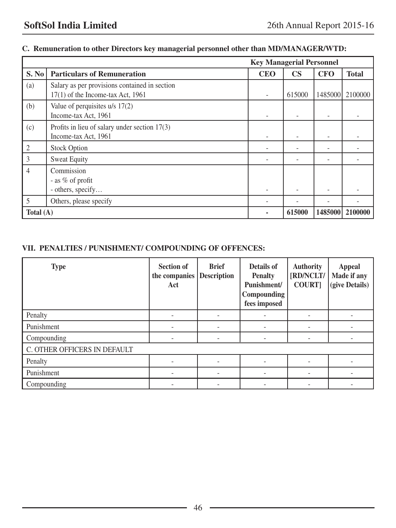|             |                                                                                      | <b>Key Managerial Personnel</b> |               |            |                 |
|-------------|--------------------------------------------------------------------------------------|---------------------------------|---------------|------------|-----------------|
| S. No       | <b>Particulars of Remuneration</b>                                                   | <b>CEO</b>                      | $\mathbf{CS}$ | <b>CFO</b> | <b>Total</b>    |
| (a)         | Salary as per provisions contained in section<br>$17(1)$ of the Income-tax Act, 1961 |                                 | 615000        |            | 1485000 2100000 |
| (b)         | Value of perquisites $u/s$ 17(2)<br>Income-tax Act, 1961                             |                                 |               |            |                 |
| (c)         | Profits in lieu of salary under section $17(3)$<br>Income-tax Act, 1961              |                                 |               |            |                 |
| 2           | <b>Stock Option</b>                                                                  |                                 |               |            |                 |
| 3           | <b>Sweat Equity</b>                                                                  |                                 |               |            |                 |
| 4           | Commission<br>- as % of profit<br>- others, specify                                  |                                 |               |            |                 |
| 5           | Others, please specify                                                               |                                 |               |            |                 |
| Total $(A)$ |                                                                                      |                                 | 615000        |            | 1485000 2100000 |

# **C. Remuneration to other Directors key managerial personnel other than MD/MANAGER/WTD:**

# **VII. PENALTIES / PUNISHMENT/ COMPOUNDING OF OFFENCES:**

| <b>Type</b>                  | <b>Section of</b><br>the companies<br>Act | <b>Brief</b><br><b>Description</b> | Details of<br><b>Penalty</b><br>Punishment/<br>Compounding<br>fees imposed | <b>Authority</b><br>[RD/NCLT/<br><b>COURT]</b> | <b>Appeal</b><br>Made if any<br>(give Details) |
|------------------------------|-------------------------------------------|------------------------------------|----------------------------------------------------------------------------|------------------------------------------------|------------------------------------------------|
| Penalty                      |                                           |                                    |                                                                            |                                                |                                                |
| Punishment                   |                                           |                                    |                                                                            |                                                |                                                |
| Compounding                  |                                           |                                    |                                                                            |                                                |                                                |
| C. OTHER OFFICERS IN DEFAULT |                                           |                                    |                                                                            |                                                |                                                |
| Penalty                      |                                           |                                    |                                                                            |                                                |                                                |
| Punishment                   |                                           |                                    |                                                                            |                                                |                                                |
| Compounding                  |                                           |                                    |                                                                            |                                                |                                                |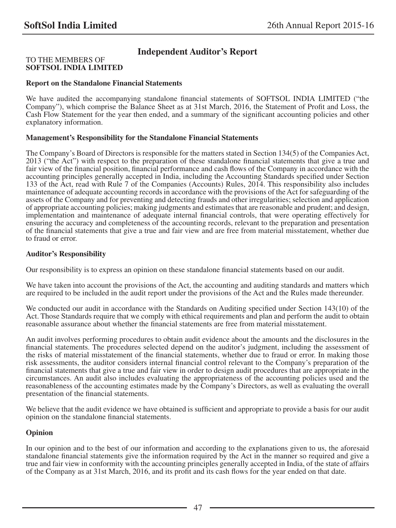# **Independent Auditor's Report**

### TO THE MEMBERS OF **SOFTSOL INDIA LIMITED**

### **Report on the Standalone Financial Statements**

We have audited the accompanying standalone financial statements of SOFTSOL INDIA LIMITED ("the Company"), which comprise the Balance Sheet as at 31st March, 2016, the Statement of Profit and Loss, the Cash Flow Statement for the year then ended, and a summary of the significant accounting policies and other explanatory information.

### **Management's Responsibility for the Standalone Financial Statements**

The Company's Board of Directors is responsible for the matters stated in Section 134(5) of the Companies Act, 2013 ("the Act") with respect to the preparation of these standalone financial statements that give a true and fair view of the financial position, financial performance and cash flows of the Company in accordance with the accounting principles generally accepted in India, including the Accounting Standards specified under Section 133 of the Act, read with Rule 7 of the Companies (Accounts) Rules, 2014. This responsibility also includes maintenance of adequate accounting records in accordance with the provisions of the Act for safeguarding of the assets of the Company and for preventing and detecting frauds and other irregularities; selection and application of appropriate accounting policies; making judgments and estimates that are reasonable and prudent; and design, implementation and maintenance of adequate internal financial controls, that were operating effectively for ensuring the accuracy and completeness of the accounting records, relevant to the preparation and presentation of the financial statements that give a true and fair view and are free from material misstatement, whether due to fraud or error.

### **Auditor's Responsibility**

Our responsibility is to express an opinion on these standalone financial statements based on our audit.

We have taken into account the provisions of the Act, the accounting and auditing standards and matters which are required to be included in the audit report under the provisions of the Act and the Rules made thereunder.

We conducted our audit in accordance with the Standards on Auditing specified under Section 143(10) of the Act. Those Standards require that we comply with ethical requirements and plan and perform the audit to obtain reasonable assurance about whether the financial statements are free from material misstatement.

An audit involves performing procedures to obtain audit evidence about the amounts and the disclosures in the financial statements. The procedures selected depend on the auditor's judgment, including the assessment of the risks of material misstatement of the financial statements, whether due to fraud or error. In making those risk assessments, the auditor considers internal financial control relevant to the Company's preparation of the financial statements that give a true and fair view in order to design audit procedures that are appropriate in the circumstances. An audit also includes evaluating the appropriateness of the accounting policies used and the reasonableness of the accounting estimates made by the Company's Directors, as well as evaluating the overall presentation of the financial statements.

We believe that the audit evidence we have obtained is sufficient and appropriate to provide a basis for our audit opinion on the standalone financial statements.

### **Opinion**

In our opinion and to the best of our information and according to the explanations given to us, the aforesaid standalone financial statements give the information required by the Act in the manner so required and give a true and fair view in conformity with the accounting principles generally accepted in India, of the state of affairs of the Company as at 31st March, 2016, and its profit and its cash flows for the year ended on that date.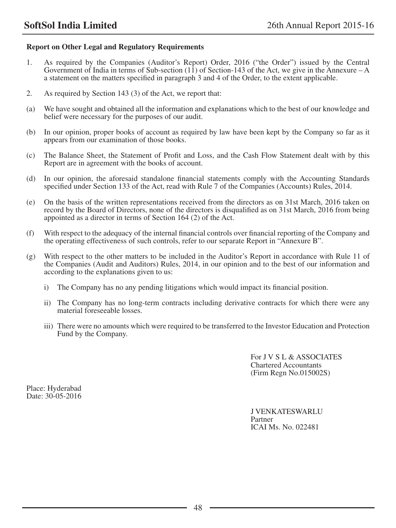### **Report on Other Legal and Regulatory Requirements**

- 1. As required by the Companies (Auditor's Report) Order, 2016 ("the Order") issued by the Central Government of India in terms of Sub-section  $(1\hat{1})$  of Section-143 of the Act, we give in the Annexure – A a statement on the matters specified in paragraph 3 and 4 of the Order, to the extent applicable.
- 2. As required by Section 143 (3) of the Act, we report that:
- (a) We have sought and obtained all the information and explanations which to the best of our knowledge and belief were necessary for the purposes of our audit.
- (b) In our opinion, proper books of account as required by law have been kept by the Company so far as it appears from our examination of those books.
- (c) The Balance Sheet, the Statement of Profit and Loss, and the Cash Flow Statement dealt with by this Report are in agreement with the books of account.
- (d) In our opinion, the aforesaid standalone financial statements comply with the Accounting Standards specified under Section 133 of the Act, read with Rule 7 of the Companies (Accounts) Rules, 2014.
- (e) On the basis of the written representations received from the directors as on 31st March, 2016 taken on record by the Board of Directors, none of the directors is disqualified as on 31st March, 2016 from being appointed as a director in terms of Section 164 (2) of the Act.
- (f) With respect to the adequacy of the internal financial controls over financial reporting of the Company and the operating effectiveness of such controls, refer to our separate Report in "Annexure B".
- (g) With respect to the other matters to be included in the Auditor's Report in accordance with Rule 11 of the Companies (Audit and Auditors) Rules, 2014, in our opinion and to the best of our information and according to the explanations given to us:
	- i) The Company has no any pending litigations which would impact its financial position.
	- ii) The Company has no long-term contracts including derivative contracts for which there were any material foreseeable losses.
	- iii) There were no amounts which were required to be transferred to the Investor Education and Protection Fund by the Company.

For J V S L & ASSOCIATES Chartered Accountants (Firm Regn No.015002S)

Place: Hyderabad Date: 30-05-2016

> J VENKATESWARLU Partner ICAI Ms. No. 022481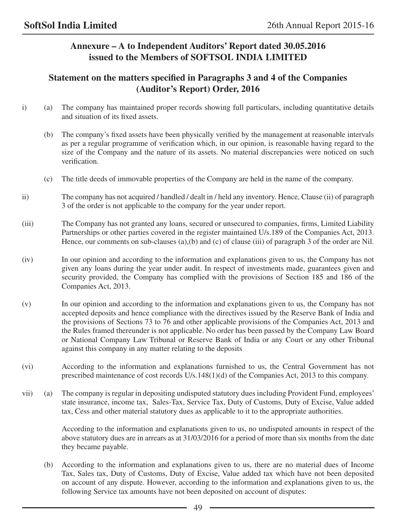# **Annexure – A to Independent Auditors' Report dated 30.05.2016 issued to the Members of SOFTSOL INDIA LIMITED**

# **Statement on the matters specified in Paragraphs 3 and 4 of the Companies (Auditor's Report) Order, 2016**

- i) (a) The company has maintained proper records showing full particulars, including quantitative details and situation of its fixed assets.
	- (b) The company's fixed assets have been physically verified by the management at reasonable intervals as per a regular programme of verification which, in our opinion, is reasonable having regard to the size of the Company and the nature of its assets. No material discrepancies were noticed on such verification.
	- (c) The title deeds of immovable properties of the Company are held in the name of the company.
- ii) The company has not acquired / handled / dealt in / held any inventory. Hence, Clause (ii) of paragraph 3 of the order is not applicable to the company for the year under report.
- (iii) The Company has not granted any loans, secured or unsecured to companies, firms, Limited Liability Partnerships or other parties covered in the register maintained U/s.189 of the Companies Act, 2013. Hence, our comments on sub-clauses (a),(b) and (c) of clause (iii) of paragraph 3 of the order are Nil.
- (iv) In our opinion and according to the information and explanations given to us, the Company has not given any loans during the year under audit. In respect of investments made, guarantees given and security provided, the Company has complied with the provisions of Section 185 and 186 of the Companies Act, 2013.
- (v) In our opinion and according to the information and explanations given to us, the Company has not accepted deposits and hence compliance with the directives issued by the Reserve Bank of India and the provisions of Sections 73 to 76 and other applicable provisions of the Companies Act, 2013 and the Rules framed thereunder is not applicable. No order has been passed by the Company Law Board or National Company Law Tribunal or Reserve Bank of India or any Court or any other Tribunal against this company in any matter relating to the deposits
- (vi) According to the information and explanations furnished to us, the Central Government has not prescribed maintenance of cost records U/s.148(1)(d) of the Companies Act, 2013 to this company.
- vii) (a) The company is regular in depositing undisputed statutory dues including Provident Fund, employees' state insurance, income tax, Sales-Tax, Service Tax, Duty of Customs, Duty of Excise, Value added tax, Cess and other material statutory dues as applicable to it to the appropriate authorities.

 According to the information and explanations given to us, no undisputed amounts in respect of the above statutory dues are in arrears as at 31/03/2016 for a period of more than six months from the date they became payable.

(b) According to the information and explanations given to us, there are no material dues of Income Tax, Sales tax, Duty of Customs, Duty of Excise, Value added tax which have not been deposited on account of any dispute. However, according to the information and explanations given to us, the following Service tax amounts have not been deposited on account of disputes: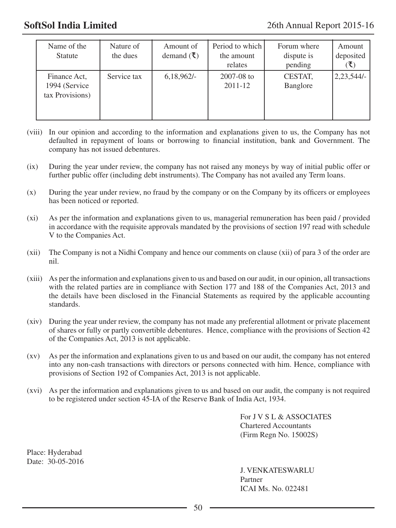| Name of the<br><b>Statute</b>                     | Nature of<br>the dues | Amount of<br>demand $(\xi)$ | Period to which<br>the amount<br>relates | Forum where<br>dispute is<br>pending | Amount<br>deposited |
|---------------------------------------------------|-----------------------|-----------------------------|------------------------------------------|--------------------------------------|---------------------|
| Finance Act.<br>1994 (Service)<br>tax Provisions) | Service tax           | $6,18,962/-$                | $2007 - 08$ to<br>$2011 - 12$            | CESTAT,<br>Banglore                  | $ 2,23,544$ /-      |

- (viii) In our opinion and according to the information and explanations given to us, the Company has not defaulted in repayment of loans or borrowing to financial institution, bank and Government. The company has not issued debentures.
- (ix) During the year under review, the company has not raised any moneys by way of initial public offer or further public offer (including debt instruments). The Company has not availed any Term loans.
- (x) During the year under review, no fraud by the company or on the Company by its officers or employees has been noticed or reported.
- (xi) As per the information and explanations given to us, managerial remuneration has been paid / provided in accordance with the requisite approvals mandated by the provisions of section 197 read with schedule V to the Companies Act.
- (xii) The Company is not a Nidhi Company and hence our comments on clause (xii) of para 3 of the order are nil.
- (xiii) As per the information and explanations given to us and based on our audit, in our opinion, all transactions with the related parties are in compliance with Section 177 and 188 of the Companies Act, 2013 and the details have been disclosed in the Financial Statements as required by the applicable accounting standards.
- (xiv) During the year under review, the company has not made any preferential allotment or private placement of shares or fully or partly convertible debentures. Hence, compliance with the provisions of Section 42 of the Companies Act, 2013 is not applicable.
- (xv) As per the information and explanations given to us and based on our audit, the company has not entered into any non-cash transactions with directors or persons connected with him. Hence, compliance with provisions of Section 192 of Companies Act, 2013 is not applicable.
- (xvi) As per the information and explanations given to us and based on our audit, the company is not required to be registered under section 45-IA of the Reserve Bank of India Act, 1934.

For J V S L & ASSOCIATES Chartered Accountants (Firm Regn No. 15002S)

Place: Hyderabad Date: 30-05-2016

> J. VENKATESWARLU Partner ICAI Ms. No. 022481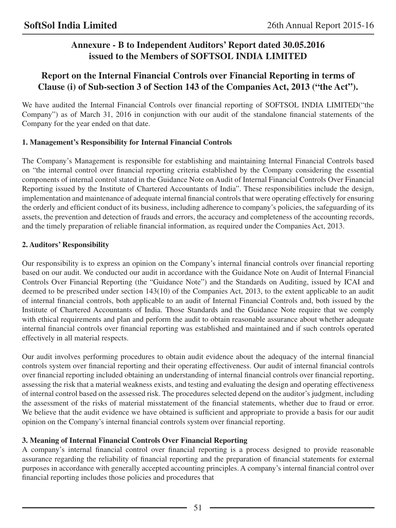# **Annexure - B to Independent Auditors' Report dated 30.05.2016 issued to the Members of SOFTSOL INDIA LIMITED**

# **Report on the Internal Financial Controls over Financial Reporting in terms of Clause (i) of Sub-section 3 of Section 143 of the Companies Act, 2013 ("the Act").**

We have audited the Internal Financial Controls over financial reporting of SOFTSOL INDIA LIMITED("the Company") as of March 31, 2016 in conjunction with our audit of the standalone financial statements of the Company for the year ended on that date.

# **1. Management's Responsibility for Internal Financial Controls**

The Company's Management is responsible for establishing and maintaining Internal Financial Controls based on "the internal control over financial reporting criteria established by the Company considering the essential components of internal control stated in the Guidance Note on Audit of Internal Financial Controls Over Financial Reporting issued by the Institute of Chartered Accountants of India". These responsibilities include the design, implementation and maintenance of adequate internal financial controls that were operating effectively for ensuring the orderly and efficient conduct of its business, including adherence to company's policies, the safeguarding of its assets, the prevention and detection of frauds and errors, the accuracy and completeness of the accounting records, and the timely preparation of reliable financial information, as required under the Companies Act, 2013.

# **2. Auditors' Responsibility**

Our responsibility is to express an opinion on the Company's internal financial controls over financial reporting based on our audit. We conducted our audit in accordance with the Guidance Note on Audit of Internal Financial Controls Over Financial Reporting (the "Guidance Note") and the Standards on Auditing, issued by ICAI and deemed to be prescribed under section 143(10) of the Companies Act, 2013, to the extent applicable to an audit of internal financial controls, both applicable to an audit of Internal Financial Controls and, both issued by the Institute of Chartered Accountants of India. Those Standards and the Guidance Note require that we comply with ethical requirements and plan and perform the audit to obtain reasonable assurance about whether adequate internal financial controls over financial reporting was established and maintained and if such controls operated effectively in all material respects.

Our audit involves performing procedures to obtain audit evidence about the adequacy of the internal financial controls system over financial reporting and their operating effectiveness. Our audit of internal financial controls over financial reporting included obtaining an understanding of internal financial controls over financial reporting, assessing the risk that a material weakness exists, and testing and evaluating the design and operating effectiveness of internal control based on the assessed risk. The procedures selected depend on the auditor's judgment, including the assessment of the risks of material misstatement of the financial statements, whether due to fraud or error. We believe that the audit evidence we have obtained is sufficient and appropriate to provide a basis for our audit opinion on the Company's internal financial controls system over financial reporting.

# **3. Meaning of Internal Financial Controls Over Financial Reporting**

A company's internal financial control over financial reporting is a process designed to provide reasonable assurance regarding the reliability of financial reporting and the preparation of financial statements for external purposes in accordance with generally accepted accounting principles. A company's internal financial control over financial reporting includes those policies and procedures that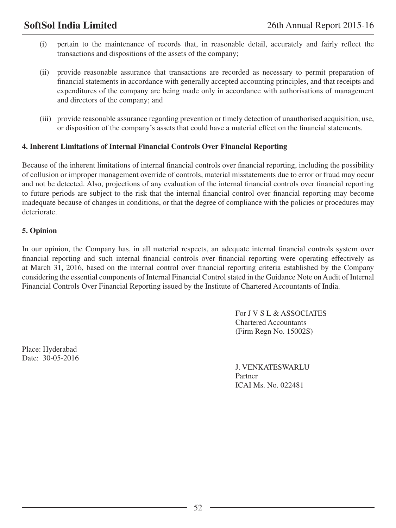- (i) pertain to the maintenance of records that, in reasonable detail, accurately and fairly reflect the transactions and dispositions of the assets of the company;
- (ii) provide reasonable assurance that transactions are recorded as necessary to permit preparation of financial statements in accordance with generally accepted accounting principles, and that receipts and expenditures of the company are being made only in accordance with authorisations of management and directors of the company; and
- (iii) provide reasonable assurance regarding prevention or timely detection of unauthorised acquisition, use, or disposition of the company's assets that could have a material effect on the financial statements.

### **4. Inherent Limitations of Internal Financial Controls Over Financial Reporting**

Because of the inherent limitations of internal financial controls over financial reporting, including the possibility of collusion or improper management override of controls, material misstatements due to error or fraud may occur and not be detected. Also, projections of any evaluation of the internal financial controls over financial reporting to future periods are subject to the risk that the internal financial control over financial reporting may become inadequate because of changes in conditions, or that the degree of compliance with the policies or procedures may deteriorate.

### **5. Opinion**

In our opinion, the Company has, in all material respects, an adequate internal financial controls system over financial reporting and such internal financial controls over financial reporting were operating effectively as at March 31, 2016, based on the internal control over financial reporting criteria established by the Company considering the essential components of Internal Financial Control stated in the Guidance Note on Audit of Internal Financial Controls Over Financial Reporting issued by the Institute of Chartered Accountants of India.

> For J V S L & ASSOCIATES Chartered Accountants (Firm Regn No. 15002S)

Place: Hyderabad Date: 30-05-2016

> J. VENKATESWARLU Partner ICAI Ms. No. 022481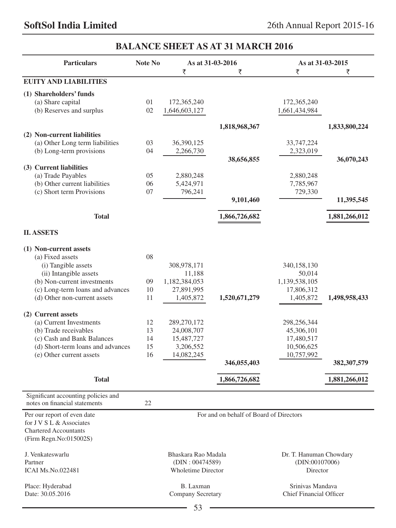# **Particulars Note No As at 31-03-2016 As at 31-03-2015**  र र र **Euity and Liabilities (1) Shareholders' funds** (a) Share capital 01 172,365,240 172,365,240 (b) Reserves and surplus 02 1,646,603,127 1,661,434,984  **1,818,968,367 1,833,800,224 (2) Non-current liabilities** (a) Other Long term liabilities 03 36,390,125 33,747,224 (b) Long-term provisions 04 2,266,730 2,323,019 **38,656,855** 36,070,243 **(3) Current liabilities** (a) Trade Payables 05 2,880,248 2,880,248 (b) Other current liabilities 06 5,424,971 7,785,967 (c) Short term Provisions  $07$   $796.241$   $729.330$ **11,395,545 11,395,545 Total 1,866,726,682 1,881,266,012 II. ASSETS (1) Non-current assets** (a) Fixed assets 08 (i) Tangible assets 308,978,171 340,158,130 (ii) Intangible assets  $11,188$  50,014 (b) Non-current investments 09 1,182,384,053 1,139,538,105 (c) Long-term loans and advances 10 27,891,995 17,806,312 (d) Other non-current assets 11 1,405,872 **1,520,671,279** 1,405,872 **1,498,958,433 (2) Current assets** (a) Current Investments 12 289,270,172 298,256,344 (b) Trade receivables 13 24,008,707 45,306,101 (c) Cash and Bank Balances 14 15,487,727 17,480,517 (d) Short-term loans and advances 15 3,206,552 10,506,625 (e) Other current assets 16 14,082,245 10,757,992 **346,055,403 382,307,579 Total 1,866,726,682 1,881,266,012**  Significant accounting policies and notes on financial statements 22 Per our report of even date For and on behalf of Board of Directors for J V S L & Associates Chartered Accountants (Firm Regn.No:015002S) J. Venkateswarlu Bhaskara Rao Madala Dr. T. Hanuman Chowdary Partner (DIN : 00474589) (DIN:00107006) ICAI Ms.No.022481 Wholetime Director Director Place: Hyderabad B. Laxman B. Laxman Srinivas Mandava Srinivas Mandava Srinivas Mandava Srinivas Mandava Srinivas Mandava Srinivas Mandava Srinivas Mandava Srinivas Mandava Srinivas Mandava Srinivas Mandava Srinivas Mandav Company Secretary

# **BALANCE SHEET AS AT 31 MARCH 2016**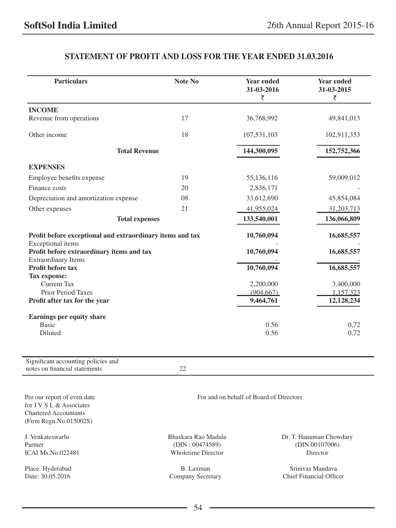# **STATEMENT OF PROFIT AND LOSS FOR THE YEAR ENDED 31.03.2016**

| <b>Particulars</b>                                                                      | Note No             | <b>Year ended</b><br>31-03-2016<br>₹    | <b>Year ended</b><br>31-03-2015<br>₹ |
|-----------------------------------------------------------------------------------------|---------------------|-----------------------------------------|--------------------------------------|
| <b>INCOME</b>                                                                           |                     |                                         |                                      |
| Revenue from operations                                                                 | 17                  | 36,768,992                              | 49,841,013                           |
| Other income                                                                            | 18                  | 107,531,103                             | 102,911,353                          |
| <b>Total Revenue</b>                                                                    |                     | 144,300,095                             | 152,752,366                          |
| <b>EXPENSES</b>                                                                         |                     |                                         |                                      |
| Employee benefits expense                                                               | 19                  | 55,136,116                              | 59,009,012                           |
| Finance costs                                                                           | 20                  | 2,836,171                               |                                      |
| Depreciation and amortization expense                                                   | 08                  | 33,612,690                              | 45,854,084                           |
| Other expenses                                                                          | 21                  | 41,955,024                              | 31,203,713                           |
| <b>Total expenses</b>                                                                   |                     | 133,540,001                             | 136,066,809                          |
| Profit before exceptional and extraordinary items and tax                               |                     | 10,760,094                              | 16,685,557                           |
| Exceptional items<br>Profit before extraordinary items and tax                          |                     | 10,760,094                              | 16,685,557                           |
| <b>Extraordinary Items</b><br>Profit before tax                                         |                     | 10,760,094                              | 16,685,557                           |
| Tax expense:                                                                            |                     |                                         |                                      |
| <b>Current Tax</b>                                                                      |                     | 2,200,000                               | 3,400,000                            |
| <b>Prior Period Taxes</b>                                                               |                     | (904, 667)                              | 1,157,323                            |
| Profit after tax for the year                                                           |                     | 9,464,761                               | 12,128,234                           |
| Earnings per equity share                                                               |                     |                                         |                                      |
| <b>Basic</b>                                                                            |                     | 0.56                                    | 0.72                                 |
| Diluted                                                                                 |                     | 0.56                                    | 0.72                                 |
| Significant accounting policies and<br>notes on financial statements                    | 22                  |                                         |                                      |
|                                                                                         |                     |                                         |                                      |
| Per our report of even date<br>for J V S L & Associates<br><b>Chartered Accountants</b> |                     | For and on behalf of Board of Directors |                                      |
| (Firm Regn.No:015002S)                                                                  |                     |                                         |                                      |
| J. Venkateswarlu                                                                        | Bhaskara Rao Madala |                                         | Dr. T. Hanuman Chowdary              |

Partner (DIN : 00474589) (DIN : 00474589) (DIN:00107006) ICAI Ms.No.022481 (PDIN:00107006) Wholetime Director

Place: Hyderabad B. Laxman B. Laxman Srinivas Mandava Date: 30.05.2016 Srinivas Mandava Company Secretary Chief Financial Office Company Secretary Chief Financial Officer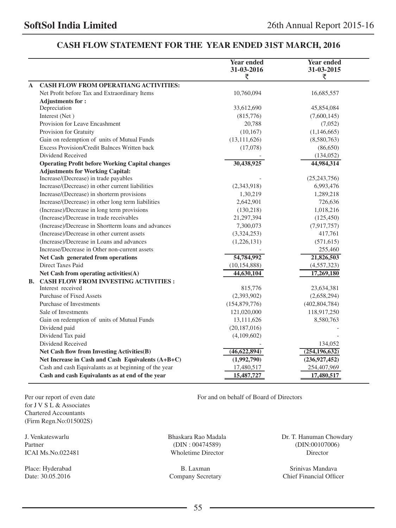# **CASH FLOW STATEMENT FOR THE YEAR ENDED 31ST MARCH, 2016**

|              |                                                        | <b>Year ended</b><br>31-03-2016 | <b>Year ended</b><br>31-03-2015 |
|--------------|--------------------------------------------------------|---------------------------------|---------------------------------|
|              |                                                        | ₹                               | ₹                               |
| $\mathbf{A}$ | <b>CASH FLOW FROM OPERATIANG ACTIVITIES:</b>           |                                 |                                 |
|              | Net Profit before Tax and Extraordinary Items          | 10,760,094                      | 16,685,557                      |
|              | <b>Adjustments for:</b>                                |                                 |                                 |
|              | Depreciation                                           | 33,612,690                      | 45,854,084                      |
|              | Interest (Net)                                         | (815,776)                       | (7,600,145)                     |
|              | Provision for Leave Encashment                         | 20,788                          | (7,052)                         |
|              | Provision for Gratuity                                 | (10, 167)                       | (1,146,665)                     |
|              | Gain on redemption of units of Mutual Funds            | (13, 111, 626)                  | (8,580,763)                     |
|              | Excess Provision/Credit Balnces Written back           | (17,078)                        | (86,650)                        |
|              | Dividend Received                                      |                                 | (134, 052)                      |
|              | <b>Operating Profit before Working Capital changes</b> | 30,438,925                      | 44,984,314                      |
|              | <b>Adjustments for Working Capital:</b>                |                                 |                                 |
|              | Increase/(Decrease) in trade payables                  |                                 | (25, 243, 756)                  |
|              | Increase/(Decrease) in other current liabilities       | (2,343,918)                     | 6,993,476                       |
|              | Increase/(Decrease) in shorterm provisions             | 1,30,219                        | 1,289,218                       |
|              | Increase/(Decrease) in other long term liabilities     | 2,642,901                       | 726,636                         |
|              | (Increase)/Decrease in long term provisions            | (130, 218)                      | 1,018,216                       |
|              | (Increase)/Decrease in trade receivables               | 21,297,394                      | (125, 450)                      |
|              | (Increase)/Decrease in Shortterm loans and advances    | 7,300,073                       | (7,917,757)                     |
|              | (Increase)/Decrease in other current assets            | (3,324,253)                     | 417,761                         |
|              | (Increase)/Decrease in Loans and advances              | (1,226,131)                     | (571, 615)                      |
|              | Increase/Decrease in Other non-current assets          |                                 | 255,460                         |
|              | Net Cash generated from operations                     | 54,784,992                      | 21,826,503                      |
|              | Direct Taxes Paid                                      | (10, 154, 888)                  | (4, 557, 323)                   |
|              | Net Cash from operating activities(A)                  | 44,630,104                      | 17,269,180                      |
|              | <b>B. CASH FLOW FROM INVESTING ACTIVITIES:</b>         |                                 |                                 |
|              | Interest received                                      | 815,776                         | 23,634,381                      |
|              | <b>Purchase of Fixed Assets</b>                        | (2,393,902)                     | (2,658,294)                     |
|              | Purchase of Investments                                | (154, 879, 776)                 | (402, 804, 784)                 |
|              | Sale of Investments                                    | 121,020,000                     | 118,917,250                     |
|              | Gain on redemption of units of Mutual Funds            | 13,111,626                      | 8,580,763                       |
|              | Dividend paid                                          | (20, 187, 016)                  |                                 |
|              | Dividend Tax paid                                      | (4,109,602)                     |                                 |
|              | Dividend Received                                      |                                 | 134,052                         |
|              | Net Cash flow from Investing Activities(B)             | (46,622,894)                    | (254, 196, 632)                 |
|              | Net Increase in Cash and Cash Equivalents (A+B+C)      | (1,992,790)                     | (236, 927, 452)                 |
|              | Cash and cash Equivalants as at beginning of the year  | 17,480,517                      | 254,407,969                     |
|              | Cash and cash Equivalants as at end of the year        | 15,487,727                      | 17,480,517                      |

for J V S L & Associates Chartered Accountants (Firm Regn.No:015002S)

Per our report of even date For and on behalf of Board of Directors

Partner (DIN : 00474589) (DIN:00107006) ICAI Ms.No.022481 Wholetime Director Director

J. Venkateswarlu Bhaskara Rao Madala Dr. T. Hanuman Chowdary

Place: Hyderabad B. Laxman B. Laxman Srinivas Mandava Date: 30.05.2016 Company Secretary Chief Financial Officer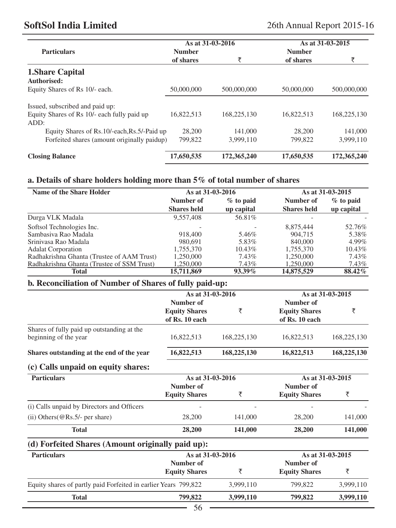# **SoftSol India Limited** 26th Annual Report 2015-16

|                                                     | As at 31-03-2016 |             |               | As at 31-03-2015 |
|-----------------------------------------------------|------------------|-------------|---------------|------------------|
| <b>Particulars</b>                                  | <b>Number</b>    |             | <b>Number</b> |                  |
|                                                     | of shares        | ₹           | of shares     | ₹                |
| <b>1. Share Capital</b><br>Authorised:              |                  |             |               |                  |
| Equity Shares of Rs 10/- each.                      | 50,000,000       | 500,000,000 | 50,000,000    | 500,000,000      |
| Issued, subscribed and paid up:                     |                  |             |               |                  |
| Equity Shares of Rs 10/- each fully paid up<br>ADD: | 16.822.513       | 168,225,130 | 16.822.513    | 168,225,130      |
| Equity Shares of Rs. 10/-each, Rs. 5/-Paid up       | 28,200           | 141,000     | 28,200        | 141,000          |
| Forfeited shares (amount originally paidup)         | 799,822          | 3.999.110   | 799,822       | 3.999.110        |
| <b>Closing Balance</b>                              | 17,650,535       | 172,365,240 | 17,650,535    | 172,365,240      |

# **a. Details of share holders holding more than 5% of total number of shares**

| Name of the Share Holder                   | As at 31-03-2016   |             |                    | As at 31-03-2015 |
|--------------------------------------------|--------------------|-------------|--------------------|------------------|
|                                            | Number of          | $%$ to paid | Number of          | $%$ to paid      |
|                                            | <b>Shares held</b> | up capital  | <b>Shares held</b> | up capital       |
| Durga VLK Madala                           | 9.557.408          | 56.81%      |                    |                  |
| Softsol Technologies Inc.                  |                    |             | 8,875,444          | 52.76%           |
| Sambasiya Rao Madala                       | 918,400            | 5.46%       | 904,715            | 5.38%            |
| Sriniyasa Rao Madala                       | 980.691            | 5.83%       | 840,000            | $4.99\%$         |
| <b>Adalat Corporation</b>                  | 1.755.370          | 10.43%      | 1.755.370          | 10.43%           |
| Radhakrishna Ghanta (Trustee of AAM Trust) | 1.250,000          | 7.43%       | 1,250,000          | 7.43%            |
| Radhakrishna Ghanta (Trustee of SSM Trust) | 1,250,000          | 7.43%       | 1,250,000          | 7.43%            |
| <b>Total</b>                               | 15.711.869         | 93.39%      | 14,875,529         | 88.42%           |

# **b. Reconciliation of Number of Shares of fully paid-up:**

|                      |                                                   |                                                          | As at 31-03-2015 |
|----------------------|---------------------------------------------------|----------------------------------------------------------|------------------|
| Number of            |                                                   | Number of                                                |                  |
| <b>Equity Shares</b> | ₹                                                 | <b>Equity Shares</b>                                     | ₹                |
| of Rs. 10 each       |                                                   | of Rs. 10 each                                           |                  |
|                      |                                                   |                                                          |                  |
| 16,822,513           | 168,225,130                                       | 16,822,513                                               | 168,225,130      |
| 16,822,513           | 168,225,130                                       | 16,822,513                                               | 168,225,130      |
|                      |                                                   |                                                          |                  |
|                      |                                                   |                                                          | As at 31-03-2015 |
| Number of            |                                                   | Number of                                                |                  |
| <b>Equity Shares</b> | ₹                                                 | <b>Equity Shares</b>                                     | ₹                |
|                      |                                                   |                                                          |                  |
| 28,200               | 141,000                                           | 28,200                                                   | 141,000          |
| 28,200               | 141,000                                           | 28,200                                                   | 141,000          |
|                      |                                                   |                                                          |                  |
|                      |                                                   |                                                          | As at 31-03-2015 |
| Number of            |                                                   | Number of                                                |                  |
| <b>Equity Shares</b> | ₹                                                 | <b>Equity Shares</b>                                     | ₹                |
|                      | (d) Forfeited Shares (Amount originally paid up): | As at 31-03-2016<br>As at 31-03-2016<br>As at 31-03-2016 |                  |

**Total 799,822 3,999,110 799,822 3,999,110** 

Equity shares of partly paid Forfeited in earlier Years 799,822 3,999,110 799,822 3,999,110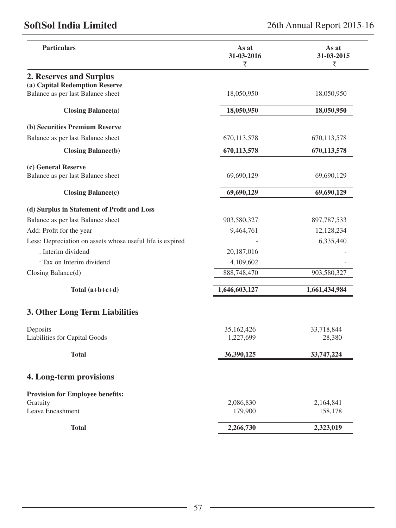# **SoftSol India Limited** 26th Annual Report 2015-16

| <b>Particulars</b>                                        | As at<br>31-03-2016<br>₹ | As at<br>31-03-2015<br>₹ |
|-----------------------------------------------------------|--------------------------|--------------------------|
| 2. Reserves and Surplus                                   |                          |                          |
| (a) Capital Redemption Reserve                            |                          |                          |
| Balance as per last Balance sheet                         | 18,050,950               | 18,050,950               |
| $\text{Closing Balance}(a)$                               | 18,050,950               | 18,050,950               |
| (b) Securities Premium Reserve                            |                          |                          |
| Balance as per last Balance sheet                         | 670,113,578              | 670,113,578              |
| <b>Closing Balance(b)</b>                                 | 670,113,578              | 670,113,578              |
| (c) General Reserve                                       |                          |                          |
| Balance as per last Balance sheet                         | 69,690,129               | 69,690,129               |
| $\text{Closing Balance}(c)$                               | 69,690,129               | 69,690,129               |
| (d) Surplus in Statement of Profit and Loss               |                          |                          |
| Balance as per last Balance sheet                         | 903,580,327              | 897,787,533              |
| Add: Profit for the year                                  | 9,464,761                | 12,128,234               |
| Less: Depreciation on assets whose useful life is expired |                          | 6,335,440                |
| : Interim dividend                                        | 20,187,016               |                          |
| : Tax on Interim dividend                                 | 4,109,602                |                          |
| Closing Balance(d)                                        | 888,748,470              | 903,580,327              |
| Total $(a+b+c+d)$                                         | 1,646,603,127            | 1,661,434,984            |
| 3. Other Long Term Liabilities                            |                          |                          |
| Deposits                                                  | 35,162,426               | 33,718,844               |
| Liabilities for Capital Goods                             | 1,227,699                | 28,380                   |
| <b>Total</b>                                              | 36,390,125               | 33,747,224               |
| 4. Long-term provisions                                   |                          |                          |
| <b>Provision for Employee benefits:</b>                   |                          |                          |
| Gratuity                                                  | 2,086,830                | 2,164,841                |
| Leave Encashment                                          | 179,900                  | 158,178                  |
| <b>Total</b>                                              | 2,266,730                | 2,323,019                |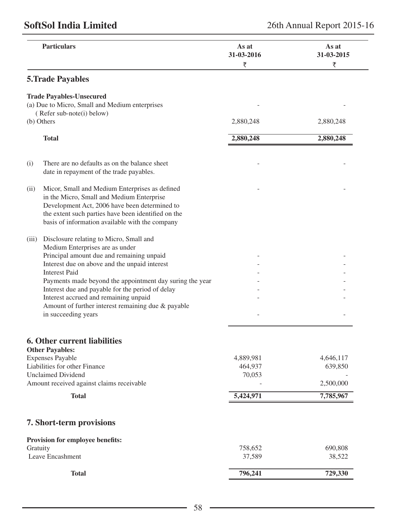| <b>Particulars</b>                                                                                                                                                                                  |                                                                                                                                                                                                                                                                                                                                                      | As at<br>31-03-2016<br>₹       | As at<br>31-03-2015<br>₹          |
|-----------------------------------------------------------------------------------------------------------------------------------------------------------------------------------------------------|------------------------------------------------------------------------------------------------------------------------------------------------------------------------------------------------------------------------------------------------------------------------------------------------------------------------------------------------------|--------------------------------|-----------------------------------|
| <b>5. Trade Payables</b>                                                                                                                                                                            |                                                                                                                                                                                                                                                                                                                                                      |                                |                                   |
| <b>Trade Payables-Unsecured</b>                                                                                                                                                                     | (a) Due to Micro, Small and Medium enterprises                                                                                                                                                                                                                                                                                                       |                                |                                   |
| (Refer sub-note(i) below)                                                                                                                                                                           |                                                                                                                                                                                                                                                                                                                                                      |                                |                                   |
| (b) Others                                                                                                                                                                                          |                                                                                                                                                                                                                                                                                                                                                      | 2,880,248                      | 2,880,248                         |
| <b>Total</b>                                                                                                                                                                                        |                                                                                                                                                                                                                                                                                                                                                      | 2,880,248                      | 2,880,248                         |
| (i)                                                                                                                                                                                                 | There are no defaults as on the balance sheet<br>date in repayment of the trade payables.                                                                                                                                                                                                                                                            |                                |                                   |
| (ii)                                                                                                                                                                                                | Micor, Small and Medium Enterprises as defined<br>in the Micro, Small and Medium Enterprise<br>Development Act, 2006 have been determined to<br>the extent such parties have been identified on the<br>basis of information available with the company                                                                                               |                                |                                   |
| (iii)<br>Medium Enterprises are as under<br><b>Interest Paid</b><br>in succeeding years                                                                                                             | Disclosure relating to Micro, Small and<br>Principal amount due and remaining unpaid<br>Interest due on above and the unpaid interest<br>Payments made beyond the appointment day suring the year<br>Interest due and payable for the period of delay<br>Interest accrued and remaining unpaid<br>Amount of further interest remaining due & payable |                                |                                   |
| <b>6. Other current liabilities</b><br><b>Other Payables:</b><br><b>Expenses Payable</b><br>Liabilities for other Finance<br><b>Unclaimed Dividend</b><br>Amount received against claims receivable |                                                                                                                                                                                                                                                                                                                                                      | 4,889,981<br>464,937<br>70,053 | 4,646,117<br>639,850<br>2,500,000 |
| <b>Total</b>                                                                                                                                                                                        |                                                                                                                                                                                                                                                                                                                                                      | 5,424,971                      | 7,785,967                         |
| 7. Short-term provisions                                                                                                                                                                            |                                                                                                                                                                                                                                                                                                                                                      |                                |                                   |
| Provision for employee benefits:<br>Gratuity<br>Leave Encashment                                                                                                                                    |                                                                                                                                                                                                                                                                                                                                                      | 758,652<br>37,589              | 690,808<br>38,522                 |
| <b>Total</b>                                                                                                                                                                                        |                                                                                                                                                                                                                                                                                                                                                      | 796,241                        | 729,330                           |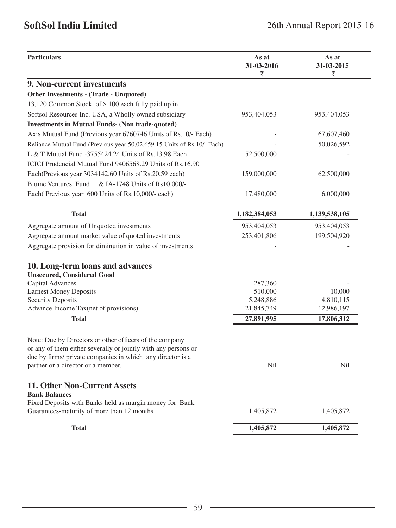|                                                                                                                                                                                         | 31-03-2016<br>₹ | As at<br>31-03-2015<br>₹ |
|-----------------------------------------------------------------------------------------------------------------------------------------------------------------------------------------|-----------------|--------------------------|
| 9. Non-current investments                                                                                                                                                              |                 |                          |
| Other Investments - (Trade - Unquoted)                                                                                                                                                  |                 |                          |
| 13,120 Common Stock of \$100 each fully paid up in                                                                                                                                      |                 |                          |
| Softsol Resources Inc. USA, a Wholly owned subsidiary                                                                                                                                   | 953,404,053     | 953,404,053              |
| <b>Investments in Mutual Funds- (Non trade-quoted)</b>                                                                                                                                  |                 |                          |
| Axis Mutual Fund (Previous year 6760746 Units of Rs.10/- Each)                                                                                                                          |                 | 67,607,460               |
| Reliance Mutual Fund (Previous year 50,02,659.15 Units of Rs.10/- Each)                                                                                                                 |                 | 50,026,592               |
| L & T Mutual Fund -3755424.24 Units of Rs.13.98 Each                                                                                                                                    | 52,500,000      |                          |
| ICICI Prudencial Mutual Fund 9406568.29 Units of Rs.16.90                                                                                                                               |                 |                          |
| Each (Previous year 3034142.60 Units of Rs.20.59 each)                                                                                                                                  | 159,000,000     | 62,500,000               |
| Blume Ventures Fund 1 & IA-1748 Units of Rs10,000/-                                                                                                                                     |                 |                          |
| Each (Previous year 600 Units of Rs. 10,000/- each)                                                                                                                                     | 17,480,000      | 6,000,000                |
| <b>Total</b>                                                                                                                                                                            | 1,182,384,053   | 1,139,538,105            |
| Aggregate amount of Unquoted investments                                                                                                                                                | 953,404,053     | 953,404,053              |
| Aggregate amount market value of quoted investments                                                                                                                                     | 253,401,806     | 199,504,920              |
| Aggregate provision for diminution in value of investments                                                                                                                              |                 |                          |
| 10. Long-term loans and advances                                                                                                                                                        |                 |                          |
| <b>Unsecured, Considered Good</b>                                                                                                                                                       |                 |                          |
| Capital Advances                                                                                                                                                                        | 287,360         |                          |
| <b>Earnest Money Deposits</b>                                                                                                                                                           | 510,000         | 10,000                   |
| <b>Security Deposits</b>                                                                                                                                                                | 5,248,886       | 4,810,115                |
| Advance Income Tax(net of provisions)                                                                                                                                                   | 21,845,749      | 12,986,197               |
| <b>Total</b>                                                                                                                                                                            | 27,891,995      | 17,806,312               |
| Note: Due by Directors or other officers of the company<br>or any of them either severally or jointly with any persons or<br>due by firms/ private companies in which any director is a |                 |                          |
| partner or a director or a member.                                                                                                                                                      | Nil             | Nil                      |
| 11. Other Non-Current Assets<br><b>Bank Balances</b>                                                                                                                                    |                 |                          |
| Fixed Deposits with Banks held as margin money for Bank<br>Guarantees-maturity of more than 12 months                                                                                   | 1,405,872       | 1,405,872                |
|                                                                                                                                                                                         | 1,405,872       | 1,405,872                |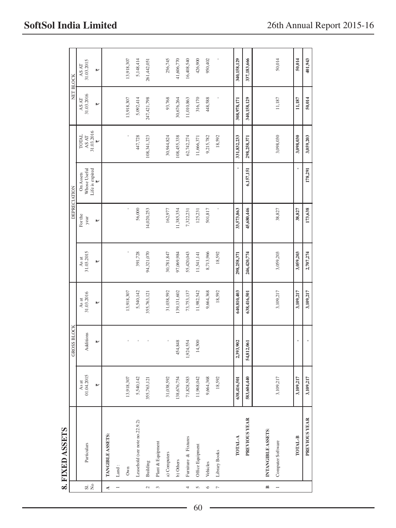|                          | 8. FIXED ASSETS                       |                     |                    |                     |                                                           |                     |                                             |                                                    |                                                           |                     |
|--------------------------|---------------------------------------|---------------------|--------------------|---------------------|-----------------------------------------------------------|---------------------|---------------------------------------------|----------------------------------------------------|-----------------------------------------------------------|---------------------|
|                          |                                       |                     | <b>GROSS BLOCK</b> |                     |                                                           | <b>DEPRECIATION</b> |                                             |                                                    | NET BLOCK                                                 |                     |
| $\overrightarrow{a}$     | Particulars                           | 01.04.2015<br>As at | Additions          | 31.03.2016<br>As at | $\begin{array}{c} \text{As at} \\ 31.03.2015 \end{array}$ | For the<br>year     | Whose Useful<br>On Assets                   | <b>TOTAL</b><br>$\mathbb{A} S\, \mathbb{A} \Gamma$ | $\begin{array}{c} \text{AS AT} \\ 31.03.2016 \end{array}$ | 31.03.2015<br>AS AT |
|                          |                                       | ⊮                   | ⊮                  | ⊮                   | ⊮                                                         | ₩                   | Life is expired $\overline{\overline{\xi}}$ | 31.03.2016                                         | ⊮                                                         | ⊮                   |
| Ł                        | TANGIBLE ASSETS:                      |                     |                    |                     |                                                           |                     |                                             |                                                    |                                                           |                     |
| $\overline{\phantom{0}}$ | $\ensuremath{\text{\textsf{Land}}}$ : |                     |                    |                     |                                                           |                     |                                             |                                                    |                                                           |                     |
|                          | Own                                   | 13,918,307          |                    | 13,918,307          |                                                           |                     |                                             |                                                    | 13,918,307                                                | 13,918,307          |
|                          | Leasehold (see note no.22.9.2)        | 5,540,142           |                    | 5,540,142           | 391,728                                                   | 56,000              |                                             | 447,728                                            | 5,092,414                                                 | 5,148,414           |
| $\sim$                   | Building                              | 355,763,121         |                    | 355,763,121         | 94,321,070                                                | 14,020,253          |                                             | 108,341,323                                        | 247,421,798                                               | 261,442,051         |
| $\tilde{\phantom{a}}$    | Plant & Equipment                     |                     |                    |                     |                                                           |                     |                                             |                                                    |                                                           |                     |
|                          | a) Computers                          | 31,038,592          |                    | 31,038,592          | 30,781,847                                                | 162,977             |                                             | 30,944,824                                         | 93,768                                                    | 256,745             |
|                          | b) Others                             | 138,676,754         | 454,848            | 139, 131, 602       | 97,069,984                                                | 11,385,354          |                                             | 108,455,338                                        | 30,676,264                                                | 41,606,770          |
| 4                        | Furniture & Fixtures                  | 71,828,583          | 1,924,554          | 73,753,137          | 55,420,043                                                | 7,322,231           |                                             | 62,742,274                                         | 11,010,863                                                | 16,408,540          |
| 5                        | Office Equipment                      | 11,968,042          | 14,500             | 11,982,542          | 11,541,141                                                | 125,231             |                                             | 11,666,371                                         | 316,170                                                   | 426,900             |
| $\circ$                  | Vehicles                              | 9,664,368           |                    | 9,664,368           | 8,713,966                                                 | 501,817             |                                             | 9,215,782                                          | 448,588                                                   | 950,402             |
| $\overline{r}$           | Library Books                         | 18,592              |                    | 18,592              | 18,592                                                    |                     |                                             | 18,592                                             |                                                           |                     |
|                          |                                       |                     |                    |                     |                                                           |                     |                                             |                                                    |                                                           |                     |
|                          | TOTAL-A                               | 638,416,501         | 2,393,902          | 640,810,403         | 298,258,371                                               | 33,573,863          |                                             | 331,832,233                                        | 308,978,171                                               | 340,158,129         |
|                          | PREVIOUS YEAR                         | 583,604,440         | 54,812,061         | 638,416,501         | 246,420,774                                               | 45,680,446          | 6,157,151                                   | 298,258,371                                        | 340,158,129                                               | 337,183,666         |
| $\blacksquare$           | INTANGIBLE ASSETS:                    |                     |                    |                     |                                                           |                     |                                             |                                                    |                                                           |                     |
| $\overline{a}$           | Computer Software                     | 3,109,217           |                    | 3,109,217           | 3,059,203                                                 | 38,827              |                                             | 3,098,030                                          | 11,187                                                    | 50,014              |
|                          |                                       |                     |                    |                     |                                                           |                     |                                             |                                                    |                                                           |                     |
|                          | TOTAL-B                               | 3,109,217           |                    | 3,109,217           | 3,059,203                                                 | 38,827              |                                             | 3,098,030                                          | 11,187                                                    | 50,014              |
|                          | <b>PREVIOUS YEAR</b>                  | 3.109.217           |                    | 3.109.217           | 2.707.274                                                 | 173,638             | 178.291                                     | 3.059.203                                          | 50.014                                                    | 401.943             |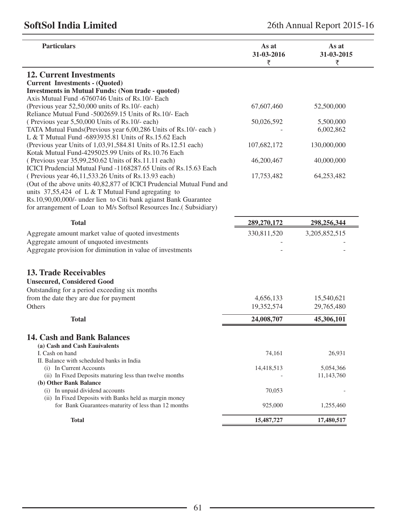| <b>12. Current Investments</b><br><b>Current Investments - (Quoted)</b><br><b>Investments in Mutual Funds: (Non trade - quoted)</b><br>Axis Mutual Fund -6760746 Units of Rs.10/- Each<br>(Previous year $52,50,000$ units of Rs.10/- each)<br>Reliance Mutual Fund -5002659.15 Units of Rs.10/- Each<br>(Previous year 5,50,000 Units of Rs.10/- each)<br>TATA Mutual Funds(Previous year 6,00,286 Units of Rs.10/- each)<br>L & T Mutual Fund -6893935.81 Units of Rs.15.62 Each<br>(Previous year Units of 1,03,91,584.81 Units of Rs.12.51 each)<br>Kotak Mutual Fund-4295025.99 Units of Rs.10.76 Each<br>(Previous year 35,99,250.62 Units of Rs.11.11 each)<br>ICICI Prudencial Mutual Fund -1168287.65 Units of Rs.15.63 Each<br>(Previous year 46,11,533.26 Units of Rs.13.93 each)<br>(Out of the above units 40,82,877 of ICICI Prudencial Mutual Fund and<br>units $37,55,424$ of L & T Mutual Fund agregating to | 67,607,460<br>50,026,592<br>107,682,172<br>46,200,467<br>17,753,482 | 52,500,000<br>5,500,000<br>6,002,862<br>130,000,000<br>40,000,000 |
|-------------------------------------------------------------------------------------------------------------------------------------------------------------------------------------------------------------------------------------------------------------------------------------------------------------------------------------------------------------------------------------------------------------------------------------------------------------------------------------------------------------------------------------------------------------------------------------------------------------------------------------------------------------------------------------------------------------------------------------------------------------------------------------------------------------------------------------------------------------------------------------------------------------------------------|---------------------------------------------------------------------|-------------------------------------------------------------------|
|                                                                                                                                                                                                                                                                                                                                                                                                                                                                                                                                                                                                                                                                                                                                                                                                                                                                                                                               |                                                                     |                                                                   |
|                                                                                                                                                                                                                                                                                                                                                                                                                                                                                                                                                                                                                                                                                                                                                                                                                                                                                                                               |                                                                     |                                                                   |
|                                                                                                                                                                                                                                                                                                                                                                                                                                                                                                                                                                                                                                                                                                                                                                                                                                                                                                                               |                                                                     |                                                                   |
|                                                                                                                                                                                                                                                                                                                                                                                                                                                                                                                                                                                                                                                                                                                                                                                                                                                                                                                               |                                                                     |                                                                   |
|                                                                                                                                                                                                                                                                                                                                                                                                                                                                                                                                                                                                                                                                                                                                                                                                                                                                                                                               |                                                                     |                                                                   |
|                                                                                                                                                                                                                                                                                                                                                                                                                                                                                                                                                                                                                                                                                                                                                                                                                                                                                                                               |                                                                     |                                                                   |
|                                                                                                                                                                                                                                                                                                                                                                                                                                                                                                                                                                                                                                                                                                                                                                                                                                                                                                                               |                                                                     |                                                                   |
|                                                                                                                                                                                                                                                                                                                                                                                                                                                                                                                                                                                                                                                                                                                                                                                                                                                                                                                               |                                                                     |                                                                   |
|                                                                                                                                                                                                                                                                                                                                                                                                                                                                                                                                                                                                                                                                                                                                                                                                                                                                                                                               |                                                                     |                                                                   |
|                                                                                                                                                                                                                                                                                                                                                                                                                                                                                                                                                                                                                                                                                                                                                                                                                                                                                                                               |                                                                     |                                                                   |
|                                                                                                                                                                                                                                                                                                                                                                                                                                                                                                                                                                                                                                                                                                                                                                                                                                                                                                                               |                                                                     |                                                                   |
|                                                                                                                                                                                                                                                                                                                                                                                                                                                                                                                                                                                                                                                                                                                                                                                                                                                                                                                               |                                                                     |                                                                   |
|                                                                                                                                                                                                                                                                                                                                                                                                                                                                                                                                                                                                                                                                                                                                                                                                                                                                                                                               |                                                                     |                                                                   |
|                                                                                                                                                                                                                                                                                                                                                                                                                                                                                                                                                                                                                                                                                                                                                                                                                                                                                                                               |                                                                     | 64,253,482                                                        |
|                                                                                                                                                                                                                                                                                                                                                                                                                                                                                                                                                                                                                                                                                                                                                                                                                                                                                                                               |                                                                     |                                                                   |
|                                                                                                                                                                                                                                                                                                                                                                                                                                                                                                                                                                                                                                                                                                                                                                                                                                                                                                                               |                                                                     |                                                                   |
| Rs.10,90,00,000/- under lien to Citi bank agianst Bank Guarantee                                                                                                                                                                                                                                                                                                                                                                                                                                                                                                                                                                                                                                                                                                                                                                                                                                                              |                                                                     |                                                                   |
| for arrangement of Loan to M/s Softsol Resources Inc.(Subsidiary)                                                                                                                                                                                                                                                                                                                                                                                                                                                                                                                                                                                                                                                                                                                                                                                                                                                             |                                                                     |                                                                   |
| <b>Total</b>                                                                                                                                                                                                                                                                                                                                                                                                                                                                                                                                                                                                                                                                                                                                                                                                                                                                                                                  | 289,270,172                                                         | 298,256,344                                                       |
| Aggregate amount market value of quoted investments                                                                                                                                                                                                                                                                                                                                                                                                                                                                                                                                                                                                                                                                                                                                                                                                                                                                           | 330,811,520                                                         | 3,205,852,515                                                     |
| Aggregate amount of unquoted investments                                                                                                                                                                                                                                                                                                                                                                                                                                                                                                                                                                                                                                                                                                                                                                                                                                                                                      |                                                                     |                                                                   |
| Aggregate provision for diminution in value of investments                                                                                                                                                                                                                                                                                                                                                                                                                                                                                                                                                                                                                                                                                                                                                                                                                                                                    |                                                                     |                                                                   |
|                                                                                                                                                                                                                                                                                                                                                                                                                                                                                                                                                                                                                                                                                                                                                                                                                                                                                                                               |                                                                     |                                                                   |
| <b>13. Trade Receivables</b>                                                                                                                                                                                                                                                                                                                                                                                                                                                                                                                                                                                                                                                                                                                                                                                                                                                                                                  |                                                                     |                                                                   |
|                                                                                                                                                                                                                                                                                                                                                                                                                                                                                                                                                                                                                                                                                                                                                                                                                                                                                                                               |                                                                     |                                                                   |
| <b>Unsecured, Considered Good</b>                                                                                                                                                                                                                                                                                                                                                                                                                                                                                                                                                                                                                                                                                                                                                                                                                                                                                             |                                                                     |                                                                   |
| Outstanding for a period exceeding six months                                                                                                                                                                                                                                                                                                                                                                                                                                                                                                                                                                                                                                                                                                                                                                                                                                                                                 |                                                                     |                                                                   |
| from the date they are due for payment                                                                                                                                                                                                                                                                                                                                                                                                                                                                                                                                                                                                                                                                                                                                                                                                                                                                                        | 4,656,133                                                           | 15,540,621                                                        |
| Others                                                                                                                                                                                                                                                                                                                                                                                                                                                                                                                                                                                                                                                                                                                                                                                                                                                                                                                        | 19,352,574                                                          | 29,765,480                                                        |
| <b>Total</b>                                                                                                                                                                                                                                                                                                                                                                                                                                                                                                                                                                                                                                                                                                                                                                                                                                                                                                                  | 24,008,707                                                          | 45,306,101                                                        |
| 14. Cash and Bank Balances                                                                                                                                                                                                                                                                                                                                                                                                                                                                                                                                                                                                                                                                                                                                                                                                                                                                                                    |                                                                     |                                                                   |
|                                                                                                                                                                                                                                                                                                                                                                                                                                                                                                                                                                                                                                                                                                                                                                                                                                                                                                                               |                                                                     |                                                                   |
| (a) Cash and Cash Eauivalents                                                                                                                                                                                                                                                                                                                                                                                                                                                                                                                                                                                                                                                                                                                                                                                                                                                                                                 |                                                                     |                                                                   |
| I. Cash on hand<br>II. Balance with scheduled banks in India                                                                                                                                                                                                                                                                                                                                                                                                                                                                                                                                                                                                                                                                                                                                                                                                                                                                  | 74,161                                                              | 26,931                                                            |
| (i) In Current Accounts                                                                                                                                                                                                                                                                                                                                                                                                                                                                                                                                                                                                                                                                                                                                                                                                                                                                                                       | 14,418,513                                                          | 5,054,366                                                         |
| (ii) In Fixed Deposits maturing less than twelve months                                                                                                                                                                                                                                                                                                                                                                                                                                                                                                                                                                                                                                                                                                                                                                                                                                                                       |                                                                     | 11,143,760                                                        |
| (b) Other Bank Balance                                                                                                                                                                                                                                                                                                                                                                                                                                                                                                                                                                                                                                                                                                                                                                                                                                                                                                        |                                                                     |                                                                   |
| (i) In unpaid dividend accounts                                                                                                                                                                                                                                                                                                                                                                                                                                                                                                                                                                                                                                                                                                                                                                                                                                                                                               | 70,053                                                              |                                                                   |
| (ii) In Fixed Deposits with Banks held as margin money                                                                                                                                                                                                                                                                                                                                                                                                                                                                                                                                                                                                                                                                                                                                                                                                                                                                        |                                                                     |                                                                   |
| for Bank Guarantees-maturity of less than 12 months                                                                                                                                                                                                                                                                                                                                                                                                                                                                                                                                                                                                                                                                                                                                                                                                                                                                           | 925,000                                                             | 1,255,460                                                         |
| <b>Total</b>                                                                                                                                                                                                                                                                                                                                                                                                                                                                                                                                                                                                                                                                                                                                                                                                                                                                                                                  | 15,487,727                                                          | 17,480,517                                                        |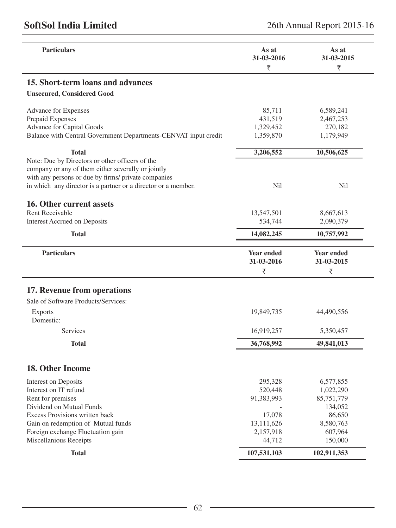| <b>Particulars</b>                                              | As at<br>31-03-2016<br>₹ | As at<br>31-03-2015<br>₹ |
|-----------------------------------------------------------------|--------------------------|--------------------------|
| 15. Short-term loans and advances                               |                          |                          |
| <b>Unsecured, Considered Good</b>                               |                          |                          |
| Advance for Expenses                                            | 85,711                   | 6,589,241                |
| Prepaid Expenses                                                | 431,519                  | 2,467,253                |
| Advance for Capital Goods                                       | 1,329,452                | 270,182                  |
| Balance with Central Government Departments-CENVAT input credit | 1,359,870                | 1,179,949                |
| <b>Total</b>                                                    | 3,206,552                | 10,506,625               |
| Note: Due by Directors or other officers of the                 |                          |                          |
| company or any of them either severally or jointly              |                          |                          |
| with any persons or due by firms/ private companies             |                          |                          |
| in which any director is a partner or a director or a member.   | Nil                      | Nil                      |
| 16. Other current assets                                        |                          |                          |
| <b>Rent Receivable</b>                                          | 13,547,501               | 8,667,613                |
| <b>Interest Accrued on Deposits</b>                             | 534,744                  | 2,090,379                |
| <b>Total</b>                                                    | 14,082,245               | 10,757,992               |
| <b>Particulars</b>                                              | <b>Year ended</b>        | <b>Year ended</b>        |
|                                                                 | 31-03-2016               | 31-03-2015               |
|                                                                 | ₹                        | ₹                        |
|                                                                 |                          |                          |
| 17. Revenue from operations                                     |                          |                          |
| Sale of Software Products/Services:                             |                          |                          |
| <b>Exports</b>                                                  | 19,849,735               | 44,490,556               |
| Domestic:                                                       |                          |                          |
| Services                                                        | 16,919,257               | 5,350,457                |
| <b>Total</b>                                                    | 36,768,992               | 49,841,013               |
| 18. Other Income                                                |                          |                          |
|                                                                 | 295,328                  | 6,577,855                |
| Interest on Deposits<br>Interest on IT refund                   | 520,448                  | 1,022,290                |
| Rent for premises                                               | 91,383,993               | 85,751,779               |
| Dividend on Mutual Funds                                        |                          | 134,052                  |
| Excess Provisions written back                                  | 17,078                   | 86,650                   |
| Gain on redemption of Mutual funds                              | 13,111,626               | 8,580,763                |
|                                                                 | 2,157,918                | 607,964                  |
|                                                                 |                          |                          |
| Foreign exchange Fluctuation gain<br>Miscellanious Receipts     | 44,712                   | 150,000                  |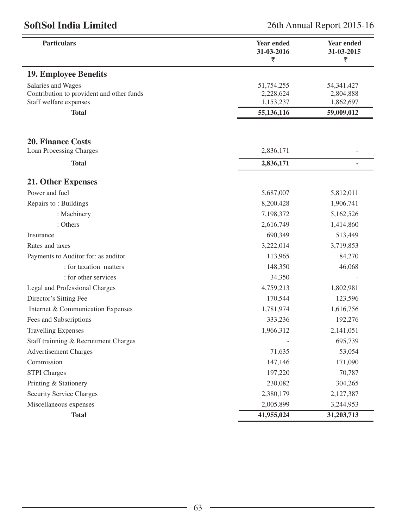| <b>Particulars</b>                        | <b>Year ended</b><br>31-03-2016<br>₹ | Year ended<br>31-03-2015<br>₹ |
|-------------------------------------------|--------------------------------------|-------------------------------|
| <b>19. Employee Benefits</b>              |                                      |                               |
| Salaries and Wages                        | 51,754,255                           | 54, 341, 427                  |
| Contribution to provident and other funds | 2,228,624                            | 2,804,888                     |
| Staff welfare expenses                    | 1,153,237                            | 1,862,697                     |
| <b>Total</b>                              | 55,136,116                           | 59,009,012                    |
|                                           |                                      |                               |
| <b>20. Finance Costs</b>                  |                                      |                               |
| Loan Processing Charges                   | 2,836,171                            |                               |
| <b>Total</b>                              | 2,836,171                            | $\blacksquare$                |
| 21. Other Expenses                        |                                      |                               |
| Power and fuel                            | 5,687,007                            | 5,812,011                     |
| Repairs to: Buildings                     | 8,200,428                            | 1,906,741                     |
| : Machinery                               | 7,198,372                            | 5,162,526                     |
| : Others                                  | 2,616,749                            | 1,414,860                     |
| Insurance                                 | 690,349                              | 513,449                       |
| Rates and taxes                           | 3,222,014                            | 3,719,853                     |
| Payments to Auditor for: as auditor       | 113,965                              | 84,270                        |
| : for taxation matters                    | 148,350                              | 46,068                        |
| : for other services                      | 34,350                               |                               |
| Legal and Professional Charges            | 4,759,213                            | 1,802,981                     |
| Director's Sitting Fee                    | 170,544                              | 123,596                       |
| Internet & Communication Expenses         | 1,781,974                            | 1,616,756                     |
| Fees and Subscriptions                    | 333,236                              | 192,276                       |
| <b>Travelling Expenses</b>                | 1,966,312                            | 2,141,051                     |
| Staff trainning & Recruitment Charges     |                                      | 695,739                       |
| <b>Advertisement Charges</b>              | 71,635                               | 53,054                        |
| Commission                                | 147,146                              | 171,090                       |
| <b>STPI</b> Charges                       | 197,220                              | 70,787                        |
| Printing & Stationery                     | 230,082                              | 304,265                       |
| Security Service Charges                  | 2,380,179                            | 2,127,387                     |
| Miscellaneous expenses                    | 2,005,899                            | 3,244,953                     |
| <b>Total</b>                              | 41,955,024                           | 31,203,713                    |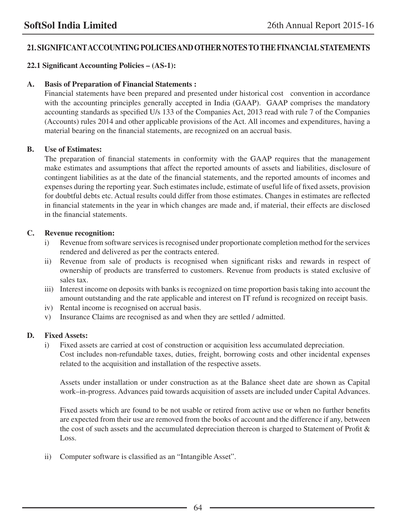# **21. SIGNIFICANT ACCOUNTING POLICIES AND OTHER NOTES TO THE FINANCIAL STATEMENTS**

# **22.1 Significant Accounting Policies – (AS-1):**

## **A. Basis of Preparation of Financial Statements :**

Financial statements have been prepared and presented under historical cost convention in accordance with the accounting principles generally accepted in India (GAAP). GAAP comprises the mandatory accounting standards as specified U/s 133 of the Companies Act, 2013 read with rule 7 of the Companies (Accounts) rules 2014 and other applicable provisions of the Act. All incomes and expenditures, having a material bearing on the financial statements, are recognized on an accrual basis.

### **B. Use of Estimates:**

The preparation of financial statements in conformity with the GAAP requires that the management make estimates and assumptions that affect the reported amounts of assets and liabilities, disclosure of contingent liabilities as at the date of the financial statements, and the reported amounts of incomes and expenses during the reporting year. Such estimates include, estimate of useful life of fixed assets, provision for doubtful debts etc. Actual results could differ from those estimates. Changes in estimates are reflected in financial statements in the year in which changes are made and, if material, their effects are disclosed in the financial statements.

### **C. Revenue recognition:**

- i) Revenue from software services is recognised under proportionate completion method for the services rendered and delivered as per the contracts entered.
- ii) Revenue from sale of products is recognised when significant risks and rewards in respect of ownership of products are transferred to customers. Revenue from products is stated exclusive of sales tax.
- iii) Interest income on deposits with banks is recognized on time proportion basis taking into account the amount outstanding and the rate applicable and interest on IT refund is recognized on receipt basis.
- iv) Rental income is recognised on accrual basis.
- v) Insurance Claims are recognised as and when they are settled / admitted.

## **D. Fixed Assets:**

i) Fixed assets are carried at cost of construction or acquisition less accumulated depreciation. Cost includes non-refundable taxes, duties, freight, borrowing costs and other incidental expenses related to the acquisition and installation of the respective assets.

 Assets under installation or under construction as at the Balance sheet date are shown as Capital work–in-progress. Advances paid towards acquisition of assets are included under Capital Advances.

 Fixed assets which are found to be not usable or retired from active use or when no further benefits are expected from their use are removed from the books of account and the difference if any, between the cost of such assets and the accumulated depreciation thereon is charged to Statement of Profit & Loss.

ii) Computer software is classified as an "Intangible Asset".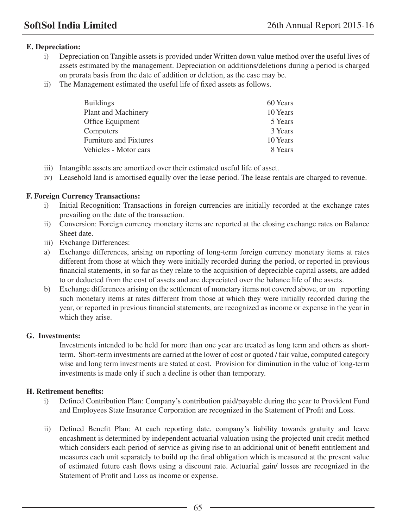# **E. Depreciation:**

- i) Depreciation on Tangible assets is provided under Written down value method over the useful lives of assets estimated by the management. Depreciation on additions/deletions during a period is charged on prorata basis from the date of addition or deletion, as the case may be.
- ii) The Management estimated the useful life of fixed assets as follows.

| <b>Buildings</b>              | 60 Years |
|-------------------------------|----------|
| Plant and Machinery           | 10 Years |
| Office Equipment              | 5 Years  |
| Computers                     | 3 Years  |
| <b>Furniture and Fixtures</b> | 10 Years |
| Vehicles - Motor cars         | 8 Years  |

- iii) Intangible assets are amortized over their estimated useful life of asset.
- iv) Leasehold land is amortised equally over the lease period. The lease rentals are charged to revenue.

## **F. Foreign Currency Transactions:**

- i) Initial Recognition: Transactions in foreign currencies are initially recorded at the exchange rates prevailing on the date of the transaction.
- ii) Conversion: Foreign currency monetary items are reported at the closing exchange rates on Balance Sheet date.
- iii) Exchange Differences:
- a) Exchange differences, arising on reporting of long-term foreign currency monetary items at rates different from those at which they were initially recorded during the period, or reported in previous financial statements, in so far as they relate to the acquisition of depreciable capital assets, are added to or deducted from the cost of assets and are depreciated over the balance life of the assets.
- b) Exchange differences arising on the settlement of monetary items not covered above, or on reporting such monetary items at rates different from those at which they were initially recorded during the year, or reported in previous financial statements, are recognized as income or expense in the year in which they arise.

## **G. Investments:**

 Investments intended to be held for more than one year are treated as long term and others as shortterm. Short-term investments are carried at the lower of cost or quoted / fair value, computed category wise and long term investments are stated at cost. Provision for diminution in the value of long-term investments is made only if such a decline is other than temporary.

## **H. Retirement benefits:**

- i) Defined Contribution Plan: Company's contribution paid/payable during the year to Provident Fund and Employees State Insurance Corporation are recognized in the Statement of Profit and Loss.
- ii) Defined Benefit Plan: At each reporting date, company's liability towards gratuity and leave encashment is determined by independent actuarial valuation using the projected unit credit method which considers each period of service as giving rise to an additional unit of benefit entitlement and measures each unit separately to build up the final obligation which is measured at the present value of estimated future cash flows using a discount rate. Actuarial gain/ losses are recognized in the Statement of Profit and Loss as income or expense.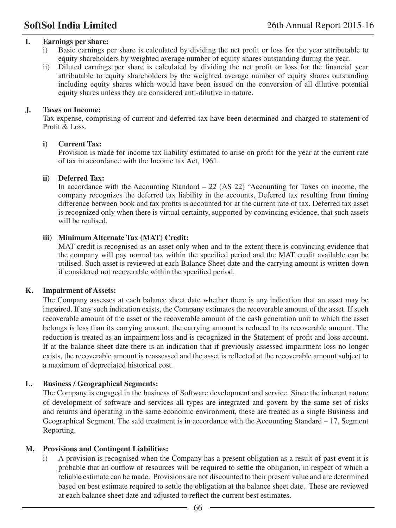### **I. Earnings per share:**

- i) Basic earnings per share is calculated by dividing the net profit or loss for the year attributable to equity shareholders by weighted average number of equity shares outstanding during the year.
- ii) Diluted earnings per share is calculated by dividing the net profit or loss for the financial year attributable to equity shareholders by the weighted average number of equity shares outstanding including equity shares which would have been issued on the conversion of all dilutive potential equity shares unless they are considered anti-dilutive in nature.

### **J. Taxes on Income:**

Tax expense, comprising of current and deferred tax have been determined and charged to statement of Profit & Loss.

### **i) Current Tax:**

 Provision is made for income tax liability estimated to arise on profit for the year at the current rate of tax in accordance with the Income tax Act, 1961.

### **ii) Deferred Tax:**

In accordance with the Accounting Standard  $-22$  (AS 22) "Accounting for Taxes on income, the company recognizes the deferred tax liability in the accounts, Deferred tax resulting from timing difference between book and tax profits is accounted for at the current rate of tax. Deferred tax asset is recognized only when there is virtual certainty, supported by convincing evidence, that such assets will be realised.

### **iii) Minimum Alternate Tax (MAT) Credit:**

 MAT credit is recognised as an asset only when and to the extent there is convincing evidence that the company will pay normal tax within the specified period and the MAT credit available can be utilised. Such asset is reviewed at each Balance Sheet date and the carrying amount is written down if considered not recoverable within the specified period.

### **K. Impairment of Assets:**

The Company assesses at each balance sheet date whether there is any indication that an asset may be impaired. If any such indication exists, the Company estimates the recoverable amount of the asset. If such recoverable amount of the asset or the recoverable amount of the cash generation unit to which the asset belongs is less than its carrying amount, the carrying amount is reduced to its recoverable amount. The reduction is treated as an impairment loss and is recognized in the Statement of profit and loss account. If at the balance sheet date there is an indication that if previously assessed impairment loss no longer exists, the recoverable amount is reassessed and the asset is reflected at the recoverable amount subject to a maximum of depreciated historical cost.

### **L. Business / Geographical Segments:**

The Company is engaged in the business of Software development and service. Since the inherent nature of development of software and services all types are integrated and govern by the same set of risks and returns and operating in the same economic environment, these are treated as a single Business and Geographical Segment. The said treatment is in accordance with the Accounting Standard – 17, Segment Reporting.

### **M. Provisions and Contingent Liabilities:**

i) A provision is recognised when the Company has a present obligation as a result of past event it is probable that an outflow of resources will be required to settle the obligation, in respect of which a reliable estimate can be made. Provisions are not discounted to their present value and are determined based on best estimate required to settle the obligation at the balance sheet date. These are reviewed at each balance sheet date and adjusted to reflect the current best estimates.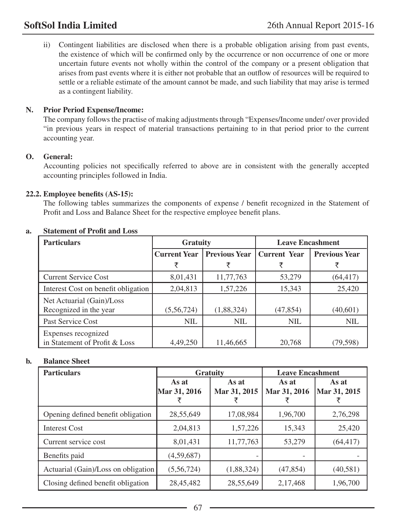ii) Contingent liabilities are disclosed when there is a probable obligation arising from past events, the existence of which will be confirmed only by the occurrence or non occurrence of one or more uncertain future events not wholly within the control of the company or a present obligation that arises from past events where it is either not probable that an outflow of resources will be required to settle or a reliable estimate of the amount cannot be made, and such liability that may arise is termed as a contingent liability.

### **N. Prior Period Expense/Income:**

The company follows the practise of making adjustments through "Expenses/Income under/ over provided "in previous years in respect of material transactions pertaining to in that period prior to the current accounting year.

### **O. General:**

Accounting policies not specifically referred to above are in consistent with the generally accepted accounting principles followed in India.

### **22.2. Employee benefits (AS-15):**

The following tables summarizes the components of expense / benefit recognized in the Statement of Profit and Loss and Balance Sheet for the respective employee benefit plans.

| <b>Particulars</b>                                   | <b>Gratuity</b>     |                      | <b>Leave Encashment</b> |                      |
|------------------------------------------------------|---------------------|----------------------|-------------------------|----------------------|
|                                                      | <b>Current Year</b> | <b>Previous Year</b> | Current Year            | <b>Previous Year</b> |
|                                                      |                     |                      |                         |                      |
| <b>Current Service Cost</b>                          | 8,01,431            | 11,77,763            | 53,279                  | (64, 417)            |
| Interest Cost on benefit obligation                  | 2,04,813            | 1,57,226             | 15,343                  | 25,420               |
| Net Actuarial (Gain)/Loss<br>Recognized in the year  | (5,56,724)          | (1,88,324)           | (47, 854)               | (40,601)             |
| Past Service Cost                                    | <b>NIL</b>          | <b>NIL</b>           | <b>NIL</b>              | <b>NIL</b>           |
| Expenses recognized<br>in Statement of Profit & Loss | 4,49,250            | 11,46,665            | 20.768                  | (79,598)             |

### **a. Statement of Profit and Loss**

## **b. Balance Sheet**

| <b>Particulars</b>                  | <b>Gratuity</b>       |                       | <b>Leave Encashment</b> |                       |
|-------------------------------------|-----------------------|-----------------------|-------------------------|-----------------------|
|                                     | As at<br>Mar 31, 2016 | As at<br>Mar 31, 2015 | As at<br>Mar 31, 2016   | As at<br>Mar 31, 2015 |
| Opening defined benefit obligation  | 28,55,649             | 17,08,984             | 1,96,700                | 2,76,298              |
| <b>Interest Cost</b>                | 2,04,813              | 1,57,226              | 15,343                  | 25,420                |
| Current service cost                | 8,01,431              | 11,77,763             | 53,279                  | (64, 417)             |
| Benefits paid                       | (4,59,687)            |                       |                         |                       |
| Actuarial (Gain)/Loss on obligation | (5,56,724)            | (1,88,324)            | (47, 854)               | (40,581)              |
| Closing defined benefit obligation  | 28,45,482             | 28,55,649             | 2,17,468                | 1,96,700              |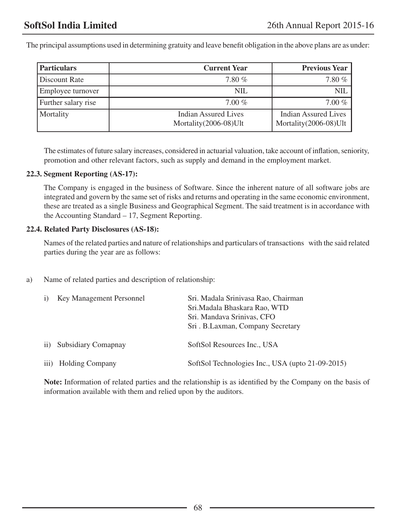The principal assumptions used in determining gratuity and leave benefit obligation in the above plans are as under:

| <b>Particulars</b>  | <b>Current Year</b>                             | <b>Previous Year</b>                          |
|---------------------|-------------------------------------------------|-----------------------------------------------|
| Discount Rate       | $7.80\%$                                        | 7.80 %                                        |
| Employee turnover   | NIL.                                            | <b>NIL</b>                                    |
| Further salary rise | $7.00\%$                                        | $7.00\%$                                      |
| Mortality           | Indian Assured Lives<br>Mortality (2006-08) Ult | Indian Assured Lives<br>Mortality(2006-08)Ult |

The estimates of future salary increases, considered in actuarial valuation, take account of inflation, seniority, promotion and other relevant factors, such as supply and demand in the employment market.

### **22.3. Segment Reporting (AS-17):**

The Company is engaged in the business of Software. Since the inherent nature of all software jobs are integrated and govern by the same set of risks and returns and operating in the same economic environment, these are treated as a single Business and Geographical Segment. The said treatment is in accordance with the Accounting Standard – 17, Segment Reporting.

### **22.4. Related Party Disclosures (AS-18):**

Names of the related parties and nature of relationships and particulars of transactions with the said related parties during the year are as follows:

a) Name of related parties and description of relationship:

| Key Management Personnel | Sri. Madala Sriniyasa Rao, Chairman<br>Sri. Madala Bhaskara Rao, WTD<br>Sri. Mandava Srinivas, CFO<br>Sri. B.Laxman, Company Secretary |
|--------------------------|----------------------------------------------------------------------------------------------------------------------------------------|
| ii) Subsidiary Comapnay  | SoftSol Resources Inc., USA                                                                                                            |
| iii) Holding Company     | SoftSol Technologies Inc., USA (upto 21-09-2015)                                                                                       |

**Note:** Information of related parties and the relationship is as identified by the Company on the basis of information available with them and relied upon by the auditors.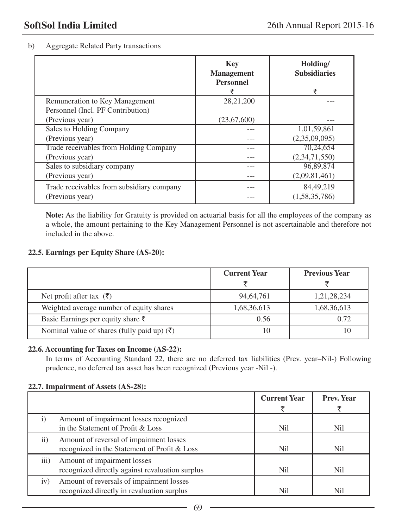## b) Aggregate Related Party transactions

|                                           | <b>Key</b><br><b>Management</b><br><b>Personnel</b> | Holding/<br><b>Subsidiaries</b><br>₹ |
|-------------------------------------------|-----------------------------------------------------|--------------------------------------|
| Remuneration to Key Management            | 28, 21, 200                                         |                                      |
| Personnel (Incl. PF Contribution)         |                                                     |                                      |
| (Previous year)                           | (23,67,600)                                         |                                      |
| Sales to Holding Company                  |                                                     | 1,01,59,861                          |
| (Previous year)                           |                                                     | (2,35,09,095)                        |
| Trade receivables from Holding Company    |                                                     | 70,24,654                            |
| (Previous year)                           |                                                     | (2,34,71,550)                        |
| Sales to subsidiary company               |                                                     | 96,89,874                            |
| (Previous year)                           |                                                     | (2,09,81,461)                        |
| Trade receivables from subsidiary company |                                                     | 84, 49, 219                          |
| (Previous year)                           |                                                     | (1,58,35,786)                        |

**Note:** As the liability for Gratuity is provided on actuarial basis for all the employees of the company as a whole, the amount pertaining to the Key Management Personnel is not ascertainable and therefore not included in the above.

## **22.5. Earnings per Equity Share (AS-20):**

|                                                         | <b>Current Year</b> | <b>Previous Year</b> |
|---------------------------------------------------------|---------------------|----------------------|
|                                                         |                     |                      |
| Net profit after tax $(\bar{\zeta})$                    | 94, 64, 761         | 1,21,28,234          |
| Weighted average number of equity shares                | 1,68,36,613         | 1,68,36,613          |
| Basic Earnings per equity share $\bar{\tau}$            | 0.56                | 0.72                 |
| Nominal value of shares (fully paid up) $(\bar{\zeta})$ | 10                  |                      |

### **22.6. Accounting for Taxes on Income (AS-22):**

In terms of Accounting Standard 22, there are no deferred tax liabilities (Prev. year–Nil-) Following prudence, no deferred tax asset has been recognized (Previous year -Nil -).

### **22.7. Impairment of Assets (AS-28):**

|                  |                                                                                         | <b>Current Year</b> | <b>Prev. Year</b> |
|------------------|-----------------------------------------------------------------------------------------|---------------------|-------------------|
|                  |                                                                                         |                     |                   |
| $\left( \right)$ | Amount of impairment losses recognized<br>in the Statement of Profit & Loss             | Nil                 | N <sub>il</sub>   |
| $\ddot{i}$       | Amount of reversal of impairment losses<br>recognized in the Statement of Profit & Loss | Nil                 | N <sub>il</sub>   |
| iii)             | Amount of impairment losses<br>recognized directly against revaluation surplus          | N <sub>il</sub>     | N <sub>i</sub>    |
| iv)              | Amount of reversals of impairment losses<br>recognized directly in revaluation surplus  | Nil                 | Nil               |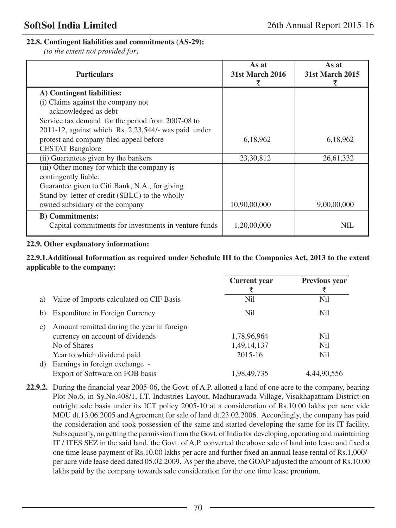## **22.8. Contingent liabilities and commitments (AS-29):**

*(to the extent not provided for)*

| <b>Particulars</b>                                      | As at<br><b>31st March 2016</b> | As at<br><b>31st March 2015</b> |
|---------------------------------------------------------|---------------------------------|---------------------------------|
| A) Contingent liabilities:                              |                                 |                                 |
| (i) Claims against the company not                      |                                 |                                 |
| acknowledged as debt                                    |                                 |                                 |
| Service tax demand for the period from 2007-08 to       |                                 |                                 |
| $2011-12$ , against which Rs. 2,23,544/- was paid under |                                 |                                 |
| protest and company filed appeal before                 | 6,18,962                        | 6,18,962                        |
| <b>CESTAT Bangalore</b>                                 |                                 |                                 |
| (ii) Guarantees given by the bankers                    | 23,30,812                       | 26,61,332                       |
| (iii) Other money for which the company is              |                                 |                                 |
| contingently liable:                                    |                                 |                                 |
| Guarantee given to Citi Bank, N.A., for giving          |                                 |                                 |
| Stand by letter of credit (SBLC) to the wholly          |                                 |                                 |
| owned subsidiary of the company                         | 10,90,00,000                    | 9,00,00,000                     |
| <b>B</b> ) Commitments:                                 |                                 |                                 |
| Capital commitments for investments in venture funds    | 1,20,00,000                     | <b>NIL</b>                      |

### **22.9. Other explanatory information:**

### **22.9.1.Additional Information as required under Schedule III to the Companies Act, 2013 to the extent applicable to the company:**

|                 |                                                                                | <b>Current</b> year | <b>Previous year</b><br>₹ |
|-----------------|--------------------------------------------------------------------------------|---------------------|---------------------------|
| a)              | Value of Imports calculated on CIF Basis                                       | Nil                 | Nil                       |
| b)              | Expenditure in Foreign Currency                                                | N <sub>il</sub>     | <b>Nil</b>                |
| $\mathcal{C}$ ) | Amount remitted during the year in foreign<br>currency on account of dividends | 1,78,96,964         | <b>Nil</b>                |
|                 | No of Shares                                                                   | 1,49,14,137         | <b>Nil</b>                |
|                 | Year to which dividend paid                                                    | 2015-16             | <b>Nil</b>                |
| d)              | Earnings in foreign exchange -<br>Export of Software on FOB basis              | 1,98,49,735         | 4.44.90.556               |

**22.9.2.** During the financial year 2005-06, the Govt. of A.P. allotted a land of one acre to the company, bearing Plot No.6, in Sy.No.408/1, I.T. Industries Layout, Madhurawada Village, Visakhapatnam District on outright sale basis under its ICT policy 2005-10 at a consideration of Rs.10.00 lakhs per acre vide MOU dt.13.06.2005 and Agreement for sale of land dt.23.02.2006. Accordingly, the company has paid the consideration and took possession of the same and started developing the same for its IT facility. Subsequently, on getting the permission from the Govt. of India for developing, operating and maintaining IT / ITES SEZ in the said land, the Govt. of A.P. converted the above sale of land into lease and fixed a one time lease payment of Rs.10.00 lakhs per acre and further fixed an annual lease rental of Rs.1,000/ per acre vide lease deed dated 05.02.2009. As per the above, the GOAP adjusted the amount of Rs.10.00 lakhs paid by the company towards sale consideration for the one time lease premium.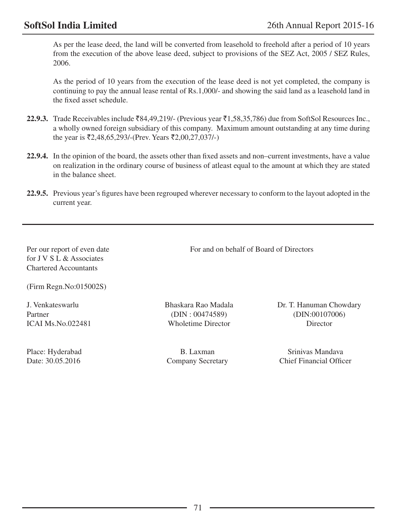As per the lease deed, the land will be converted from leasehold to freehold after a period of 10 years from the execution of the above lease deed, subject to provisions of the SEZ Act, 2005 / SEZ Rules, 2006.

 As the period of 10 years from the execution of the lease deed is not yet completed, the company is continuing to pay the annual lease rental of Rs.1,000/- and showing the said land as a leasehold land in the fixed asset schedule.

- **22.9.3.** Trade Receivables include  $\overline{884,49,219}$ /- (Previous year  $\overline{51,58,35,786}$ ) due from SoftSol Resources Inc., a wholly owned foreign subsidiary of this company. Maximum amount outstanding at any time during the year is  $\overline{52,48,65,293}$ /-(Prev. Years  $\overline{52,00,27,037}$ /-)
- **22.9.4.** In the opinion of the board, the assets other than fixed assets and non–current investments, have a value on realization in the ordinary course of business of atleast equal to the amount at which they are stated in the balance sheet.
- **22.9.5.** Previous year's figures have been regrouped wherever necessary to conform to the layout adopted in the current year.

Per our report of even date For and on behalf of Board of Directors for J V S L & Associates Chartered Accountants

(Firm Regn.No:015002S)

Partner (DIN : 00474589) (DIN : 0017006) ICAI Ms.No.022481 Wholetime Director Director

J. Venkateswarlu Bhaskara Rao Madala Dr. T. Hanuman Chowdary

Place: Hyderabad B. Laxman Srinivas Mandava Date: 30.05.2016 Company Secretary Chief Financial Officer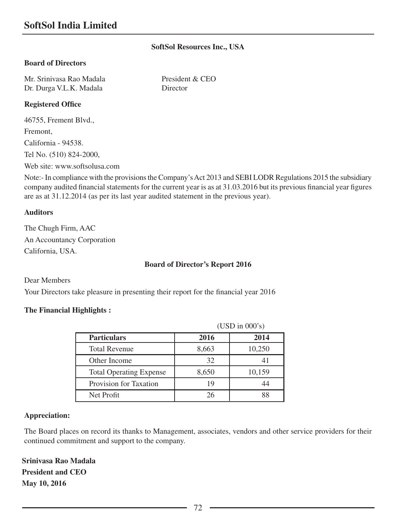## **SoftSol Resources Inc., USA**

#### **Board of Directors**

Mr. Srinivasa Rao Madala President & CEO Dr. Durga V.L.K. Madala Director

## **Registered Office**

46755, Frement Blvd., Fremont, California - 94538. Tel No. (510) 824-2000, Web site: www.softsolusa.com

Note:- In compliance with the provisions the Company's Act 2013 and SEBI LODR Regulations 2015 the subsidiary company audited financial statements for the current year is as at 31.03.2016 but its previous financial year figures are as at 31.12.2014 (as per its last year audited statement in the previous year).

#### **Auditors**

The Chugh Firm, AAC An Accountancy Corporation California, USA.

#### **Board of Director's Report 2016**

Dear Members

Your Directors take pleasure in presenting their report for the financial year 2016

#### **The Financial Highlights :**

|                                | (USD in 000's) |        |
|--------------------------------|----------------|--------|
| <b>Particulars</b>             | 2016           | 2014   |
| <b>Total Revenue</b>           | 8,663          | 10,250 |
| Other Income                   | 32             |        |
| <b>Total Operating Expense</b> | 8,650          | 10,159 |
| Provision for Taxation         | 19             | 44     |
| Net Profit                     | 26             | 88     |

#### **Appreciation:**

The Board places on record its thanks to Management, associates, vendors and other service providers for their continued commitment and support to the company.

**Srinivasa Rao Madala President and CEO May 10, 2016**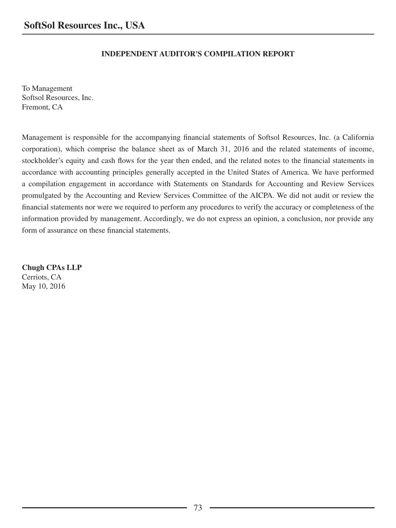## **INDEPENDENT AUDITOR'S COMPILATION REPORT**

To Management Softsol Resources, Inc. Fremont, CA

Management is responsible for the accompanying financial statements of Softsol Resources, Inc. (a California corporation), which comprise the balance sheet as of March 31, 2016 and the related statements of income, stockholder's equity and cash flows for the year then ended, and the related notes to the financial statements in accordance with accounting principles generally accepted in the United States of America. We have performed a compilation engagement in accordance with Statements on Standards for Accounting and Review Services promulgated by the Accounting and Review Services Committee of the AICPA. We did not audit or review the financial statements nor were we required to perform any procedures to verify the accuracy or completeness of the information provided by management. Accordingly, we do not express an opinion, a conclusion, nor provide any form of assurance on these financial statements.

**Chugh CPAs LLP** Cerriots, CA May 10, 2016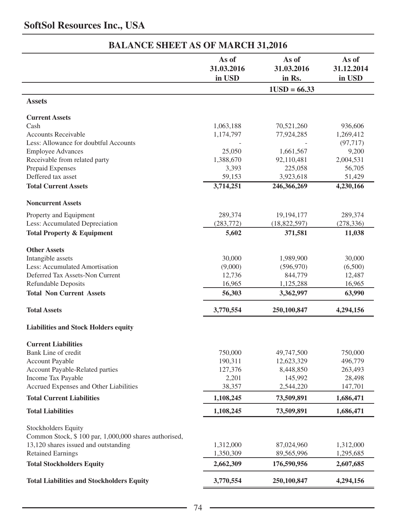# **SoftSol Resources Inc., USA**

|                                                                  | As of<br>31.03.2016<br>in USD | As of<br>31.03.2016<br>in Rs. | As of<br>31.12.2014<br>in USD |
|------------------------------------------------------------------|-------------------------------|-------------------------------|-------------------------------|
|                                                                  | $1USD = 66.33$                |                               |                               |
| <b>Assets</b>                                                    |                               |                               |                               |
| <b>Current Assets</b>                                            |                               |                               |                               |
| Cash                                                             | 1,063,188                     | 70,521,260                    | 936,606                       |
| <b>Accounts Receivable</b>                                       | 1,174,797                     | 77,924,285                    | 1,269,412                     |
| Less: Allowance for doubtful Accounts                            |                               |                               | (97, 717)                     |
| <b>Employee Advances</b>                                         | 25,050                        | 1,661,567                     | 9,200                         |
| Receivable from related party                                    | 1,388,670                     | 92,110,481                    | 2,004,531                     |
| Prepaid Expenses                                                 | 3,393                         | 225,058                       | 56,705                        |
| Deffered tax asset                                               | 59,153                        | 3,923,618                     | 51,429                        |
| <b>Total Current Assets</b>                                      | 3,714,251                     | 246,366,269                   | 4,230,166                     |
| <b>Noncurrent Assets</b>                                         |                               |                               |                               |
| Property and Equipment                                           | 289,374                       | 19,194,177                    | 289,374                       |
| Less: Accumulated Depreciation                                   | (283,772)                     | (18,822,597)                  | (278, 336)                    |
| <b>Total Property &amp; Equipment</b>                            | 5,602                         | 371,581                       | 11,038                        |
| <b>Other Assets</b>                                              |                               |                               |                               |
| Intangible assets                                                | 30,000                        | 1,989,900                     | 30,000                        |
| Less: Accumulated Amortisation                                   | (9,000)                       | (596, 970)                    | (6,500)                       |
| Deferred Tax Assets-Non Current                                  | 12,736                        | 844,779                       | 12,487                        |
| Refundable Deposits                                              | 16,965                        | 1,125,288                     | 16,965                        |
| <b>Total Non Current Assets</b>                                  | 56,303                        | 3,362,997                     | 63,990                        |
| <b>Total Assets</b>                                              | 3,770,554                     | 250,100,847                   | 4,294,156                     |
| <b>Liabilities and Stock Holders equity</b>                      |                               |                               |                               |
| <b>Current Liabilities</b>                                       |                               |                               |                               |
| Bank Line of credit                                              | 750,000                       | 49,747,500                    | 750,000                       |
| <b>Account Payable</b>                                           | 190,311                       | 12,623,329                    | 496,779                       |
| Account Payable-Related parties                                  | 127,376                       | 8,448,850                     | 263,493                       |
| Income Tax Payable                                               | 2,201                         | 145,992                       | 28,498                        |
| Accrued Expenses and Other Liabilities                           | 38,357                        | 2,544,220                     | 147,701                       |
| <b>Total Current Liabilities</b>                                 | 1,108,245                     | 73,509,891                    | 1,686,471                     |
| <b>Total Liabilities</b>                                         | 1,108,245                     | 73,509,891                    | 1,686,471                     |
| Stockholders Equity                                              |                               |                               |                               |
| Common Stock, \$100 par, 1,000,000 shares authorised,            | 1,312,000                     |                               |                               |
| 13,120 shares issued and outstanding<br><b>Retained Earnings</b> | 1,350,309                     | 87,024,960<br>89,565,996      | 1,312,000<br>1,295,685        |
| <b>Total Stockholders Equity</b>                                 | 2,662,309                     | 176,590,956                   | 2,607,685                     |
|                                                                  |                               |                               |                               |
| <b>Total Liabilities and Stockholders Equity</b>                 | 3,770,554                     | 250,100,847                   | 4,294,156                     |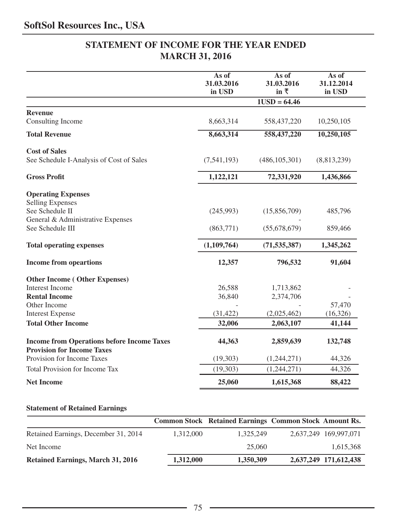# **STATEMENT OF INCOME FOR THE YEAR ENDED MARCH 31, 2016**

|                                                                                        | As of<br>31.03.2016<br>in USD | As of<br>31.03.2016<br>in $\bar{x}$ | As of<br>31.12.2014<br>in USD |
|----------------------------------------------------------------------------------------|-------------------------------|-------------------------------------|-------------------------------|
|                                                                                        |                               | $1USD = 64.46$                      |                               |
| <b>Revenue</b>                                                                         |                               |                                     |                               |
| Consulting Income                                                                      | 8,663,314                     | 558,437,220                         | 10,250,105                    |
| <b>Total Revenue</b>                                                                   | 8,663,314                     | 558,437,220                         | 10,250,105                    |
| <b>Cost of Sales</b>                                                                   |                               |                                     |                               |
| See Schedule I-Analysis of Cost of Sales                                               | (7, 541, 193)                 | (486, 105, 301)                     | (8,813,239)                   |
| <b>Gross Profit</b>                                                                    | 1,122,121                     | 72,331,920                          | 1,436,866                     |
| <b>Operating Expenses</b>                                                              |                               |                                     |                               |
| <b>Selling Expenses</b>                                                                |                               |                                     |                               |
| See Schedule II                                                                        | (245,993)                     | (15,856,709)                        | 485,796                       |
| General & Administrative Expenses<br>See Schedule III                                  | (863,771)                     | (55,678,679)                        |                               |
|                                                                                        |                               |                                     | 859,466                       |
| <b>Total operating expenses</b>                                                        | (1,109,764)                   | (71, 535, 387)                      | 1,345,262                     |
| <b>Income from opeartions</b>                                                          | 12,357                        | 796,532                             | 91,604                        |
| <b>Other Income (Other Expenses)</b>                                                   |                               |                                     |                               |
| <b>Interest Income</b>                                                                 | 26,588                        | 1,713,862                           |                               |
| <b>Rental Income</b>                                                                   | 36,840                        | 2,374,706                           |                               |
| Other Income                                                                           |                               |                                     | 57,470                        |
| <b>Interest Expense</b>                                                                | (31, 422)                     | (2,025,462)                         | (16, 326)                     |
| <b>Total Other Income</b>                                                              | 32,006                        | 2,063,107                           | 41,144                        |
| <b>Income from Operations before Income Taxes</b><br><b>Provision for Income Taxes</b> | 44,363                        | 2,859,639                           | 132,748                       |
| Provision for Income Taxes                                                             | (19,303)                      | (1,244,271)                         | 44,326                        |
| Total Provision for Income Tax                                                         | (19, 303)                     | (1,244,271)                         | 44,326                        |
| <b>Net Income</b>                                                                      | 25,060                        | 1,615,368                           | 88,422                        |

## **Statement of Retained Earnings**

|                                          |           |           | <b>Common Stock Retained Earnings Common Stock Amount Rs.</b> |
|------------------------------------------|-----------|-----------|---------------------------------------------------------------|
| Retained Earnings, December 31, 2014     | 1.312,000 | 1.325.249 | 2.637.249 169.997.071                                         |
| Net Income                               |           | 25,060    | 1,615,368                                                     |
| <b>Retained Earnings, March 31, 2016</b> | 1,312,000 | 1,350,309 | 2,637,249 171,612,438                                         |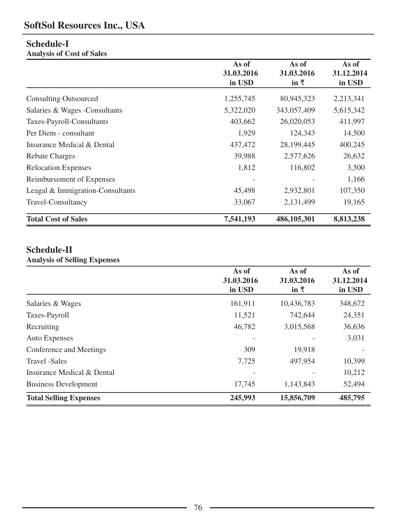# **SoftSol Resources Inc., USA**

# **Schedule-I**

**Analysis of Cost of Sales** 

|                                  | As of      | As of           | As of      |
|----------------------------------|------------|-----------------|------------|
|                                  | 31.03.2016 | 31.03.2016      | 31.12.2014 |
|                                  | in USD     | in $\bar{\tau}$ | in USD     |
| <b>Consulting Outsourced</b>     | 1,255,745  | 80,945,323      | 2,213,341  |
| Salaries & Wages - Consultants   | 5,322,020  | 343,057,409     | 5,615,342  |
| Taxes-Payroll-Consultants        | 403,662    | 26,020,053      | 411,997    |
| Per Diem - consultant            | 1,929      | 124,343         | 14,500     |
| Insurance Medical & Dental       | 437,472    | 28,199,445      | 400,245    |
| Rebate Charges                   | 39,988     | 2,577,626       | 26,632     |
| <b>Relocation Expenses</b>       | 1,812      | 116,802         | 3,500      |
| Reimbursement of Expenses        |            |                 | 1,166      |
| Leagal & Immigration-Consultants | 45,498     | 2,932,801       | 107,350    |
| Travel-Consultancy               | 33,067     | 2,131,499       | 19,165     |
| <b>Total Cost of Sales</b>       | 7,541,193  | 486,105,301     | 8,813,238  |

# **Schedule-II**

## **Analysis of Selling Expenses**

|                               | As of<br>31.03.2016<br>in USD | As of<br>31.03.2016<br>in $\bar{\tau}$ | As of<br>31.12.2014<br>in USD |
|-------------------------------|-------------------------------|----------------------------------------|-------------------------------|
| Salaries & Wages              | 161,911                       | 10,436,783                             | 348,672                       |
| Taxes-Payroll                 | 11,521                        | 742,644                                | 24,351                        |
| Recruiting                    | 46,782                        | 3,015,568                              | 36,636                        |
| Auto Expenses                 |                               |                                        | 3,031                         |
| Conference and Meetings       | 309                           | 19,918                                 |                               |
| Travel -Sales                 | 7,725                         | 497,954                                | 10,399                        |
| Insurance Medical & Dental    |                               |                                        | 10,212                        |
| <b>Business Development</b>   | 17,745                        | 1,143,843                              | 52,494                        |
| <b>Total Selling Expenses</b> | 245,993                       | 15,856,709                             | 485,795                       |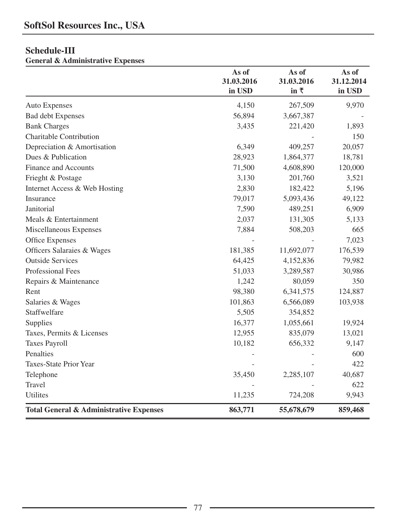# **Schedule-III**

**General & Administrative Expenses** 

|                                                    | As of<br>31.03.2016<br>in USD | As of<br>31.03.2016<br>in $\bar{x}$ | As of<br>31.12.2014<br>in USD |
|----------------------------------------------------|-------------------------------|-------------------------------------|-------------------------------|
| Auto Expenses                                      | 4,150                         | 267,509                             | 9,970                         |
| <b>Bad debt Expenses</b>                           | 56,894                        | 3,667,387                           |                               |
| <b>Bank Charges</b>                                | 3,435                         | 221,420                             | 1,893                         |
| Charitable Contribution                            |                               |                                     | 150                           |
| Depreciation & Amortisation                        | 6,349                         | 409,257                             | 20,057                        |
| Dues & Publication                                 | 28,923                        | 1,864,377                           | 18,781                        |
| Finance and Accounts                               | 71,500                        | 4,608,890                           | 120,000                       |
| Frieght & Postage                                  | 3,130                         | 201,760                             | 3,521                         |
| Internet Access & Web Hosting                      | 2,830                         | 182,422                             | 5,196                         |
| Insurance                                          | 79,017                        | 5,093,436                           | 49,122                        |
| Janitorial                                         | 7,590                         | 489,251                             | 6,909                         |
| Meals & Entertainment                              | 2,037                         | 131,305                             | 5,133                         |
| Miscellaneous Expenses                             | 7,884                         | 508,203                             | 665                           |
| Office Expenses                                    |                               |                                     | 7,023                         |
| Officers Salaraies & Wages                         | 181,385                       | 11,692,077                          | 176,539                       |
| <b>Outside Services</b>                            | 64,425                        | 4,152,836                           | 79,982                        |
| Professional Fees                                  | 51,033                        | 3,289,587                           | 30,986                        |
| Repairs & Maintenance                              | 1,242                         | 80,059                              | 350                           |
| Rent                                               | 98,380                        | 6,341,575                           | 124,887                       |
| Salaries & Wages                                   | 101,863                       | 6,566,089                           | 103,938                       |
| Staffwelfare                                       | 5,505                         | 354,852                             |                               |
| Supplies                                           | 16,377                        | 1,055,661                           | 19,924                        |
| Taxes, Permits & Licenses                          | 12,955                        | 835,079                             | 13,021                        |
| <b>Taxes Payroll</b>                               | 10,182                        | 656,332                             | 9,147                         |
| Penalties                                          |                               |                                     | 600                           |
| Taxes-State Prior Year                             |                               |                                     | 422                           |
| Telephone                                          | 35,450                        | 2,285,107                           | 40,687                        |
| Travel                                             |                               |                                     | 622                           |
| <b>Utilites</b>                                    | 11,235                        | 724,208                             | 9,943                         |
| <b>Total General &amp; Administrative Expenses</b> | 863,771                       | 55,678,679                          | 859,468                       |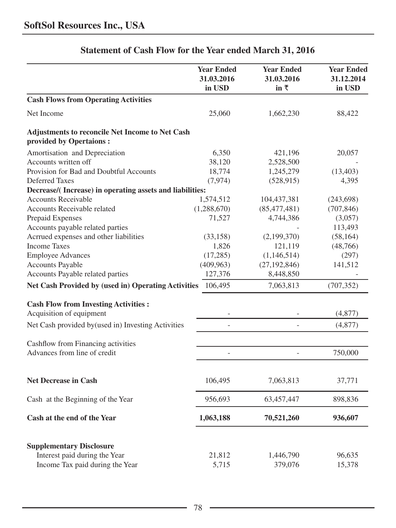|                                                                            | <b>Year Ended</b><br>31.03.2016<br>in USD | <b>Year Ended</b><br>31.03.2016<br>in $\bar{x}$ | <b>Year Ended</b><br>31.12.2014<br>in USD |
|----------------------------------------------------------------------------|-------------------------------------------|-------------------------------------------------|-------------------------------------------|
| <b>Cash Flows from Operating Activities</b>                                |                                           |                                                 |                                           |
| Net Income                                                                 | 25,060                                    | 1,662,230                                       | 88,422                                    |
| Adjustments to reconcile Net Income to Net Cash<br>provided by Opertaions: |                                           |                                                 |                                           |
| Amortisation and Depreciation                                              | 6,350                                     | 421,196                                         | 20,057                                    |
| Accounts written off                                                       | 38,120                                    | 2,528,500                                       |                                           |
| Provision for Bad and Doubtful Accounts                                    | 18,774                                    | 1,245,279                                       | (13, 403)                                 |
| <b>Deferred Taxes</b>                                                      | (7, 974)                                  | (528, 915)                                      | 4,395                                     |
| Decrease/(Increase) in operating assets and liabilities:                   |                                           |                                                 |                                           |
| <b>Accounts Receivable</b>                                                 | 1,574,512                                 | 104,437,381                                     | (243, 698)                                |
| Accounts Receivable related                                                | (1,288,670)                               | (85, 477, 481)                                  | (707, 846)                                |
| Prepaid Expenses                                                           | 71,527                                    | 4,744,386                                       | (3,057)                                   |
| Accounts payable related parties                                           |                                           |                                                 | 113,493                                   |
| Acrrued expenses and other liabilities                                     | (33, 158)                                 | (2,199,370)                                     | (58, 164)                                 |
| <b>Income Taxes</b>                                                        | 1,826                                     | 121,119                                         | (48,766)                                  |
| <b>Employee Advances</b>                                                   | (17,285)                                  | (1,146,514)                                     | (297)                                     |
| <b>Accounts Payable</b>                                                    | (409, 963)                                | (27, 192, 846)                                  | 141,512                                   |
| Accounts Payable related parties                                           | 127,376                                   | 8,448,850                                       |                                           |
| <b>Net Cash Provided by (used in) Operating Activities</b>                 | 106,495                                   | 7,063,813                                       | (707, 352)                                |
| <b>Cash Flow from Investing Activities:</b><br>Acquisition of equipment    |                                           |                                                 | (4, 877)                                  |
| Net Cash provided by (used in) Investing Activities                        |                                           |                                                 | (4,877)                                   |
| Cashflow from Financing activities                                         |                                           |                                                 |                                           |
| Advances from line of credit                                               |                                           |                                                 | 750,000                                   |
| <b>Net Decrease in Cash</b>                                                | 106,495                                   | 7,063,813                                       | 37,771                                    |
|                                                                            |                                           |                                                 |                                           |
| Cash at the Beginning of the Year                                          | 956,693                                   | 63,457,447                                      | 898,836                                   |
| Cash at the end of the Year                                                | 1,063,188                                 | 70,521,260                                      | 936,607                                   |
| <b>Supplementary Disclosure</b>                                            |                                           |                                                 |                                           |
| Interest paid during the Year                                              | 21,812                                    | 1,446,790                                       | 96,635                                    |
| Income Tax paid during the Year                                            | 5,715                                     | 379,076                                         | 15,378                                    |

# **Statement of Cash Flow for the Year ended March 31, 2016**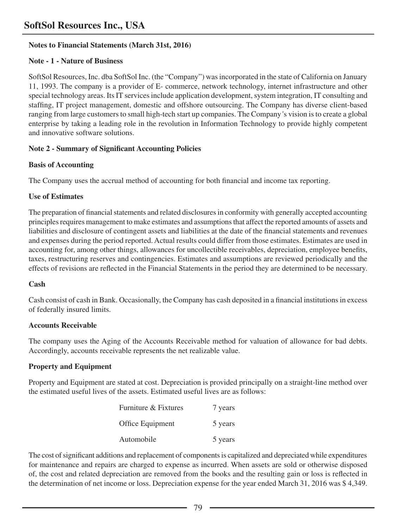## **Notes to Financial Statements (March 31st, 2016)**

## **Note - 1 - Nature of Business**

SoftSol Resources, Inc. dba SoftSol Inc. (the "Company") was incorporated in the state of California on January 11, 1993. The company is a provider of E- commerce, network technology, internet infrastructure and other special technology areas. Its IT services include application development, system integration, IT consulting and staffing, IT project management, domestic and offshore outsourcing. The Company has diverse client-based ranging from large customers to small high-tech start up companies. The Company*'*s vision is to create a global enterprise by taking a leading role in the revolution in Information Technology to provide highly competent and innovative software solutions.

## **Note 2 - Summary of Significant Accounting Policies**

## **Basis of Accounting**

The Company uses the accrual method of accounting for both financial and income tax reporting.

## **Use of Estimates**

The preparation of financial statements and related disclosures in conformity with generally accepted accounting principles requires management to make estimates and assumptions that affect the reported amounts of assets and liabilities and disclosure of contingent assets and liabilities at the date of the financial statements and revenues and expenses during the period reported. Actual results could differ from those estimates. Estimates are used in accounting for, among other things, allowances for uncollectible receivables, depreciation, employee benefits, taxes, restructuring reserves and contingencies. Estimates and assumptions are reviewed periodically and the effects of revisions are reflected in the Financial Statements in the period they are determined to be necessary.

## **Cash**

Cash consist of cash in Bank. Occasionally, the Company has cash deposited in a financial institutions in excess of federally insured limits.

## **Accounts Receivable**

The company uses the Aging of the Accounts Receivable method for valuation of allowance for bad debts. Accordingly, accounts receivable represents the net realizable value.

## **Property and Equipment**

Property and Equipment are stated at cost. Depreciation is provided principally on a straight-line method over the estimated useful lives of the assets. Estimated useful lives are as follows:

| Furniture & Fixtures | 7 years |
|----------------------|---------|
| Office Equipment     | 5 years |
| Automobile           | 5 years |

The cost of significant additions and replacement of components is capitalized and depreciated while expenditures for maintenance and repairs are charged to expense as incurred. When assets are sold or otherwise disposed of, the cost and related depreciation are removed from the books and the resulting gain or loss is reflected in the determination of net income or loss. Depreciation expense for the year ended March 31, 2016 was \$ 4,349.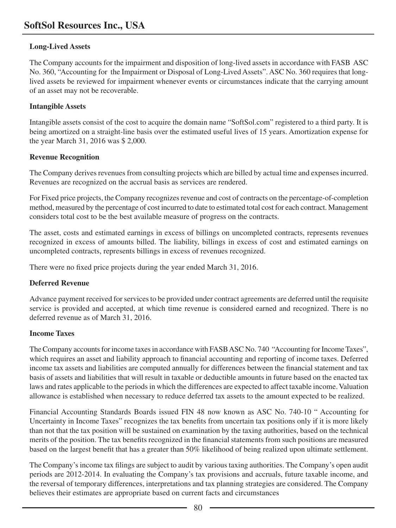## **Long-Lived Assets**

The Company accounts for the impairment and disposition of long-lived assets in accordance with FASB ASC No. 360, "Accounting for the Impairment or Disposal of Long-Lived Assets". ASC No. 360 requires that longlived assets be reviewed for impairment whenever events or circumstances indicate that the carrying amount of an asset may not be recoverable.

#### **Intangible Assets**

Intangible assets consist of the cost to acquire the domain name "SoftSol.com" registered to a third party. It is being amortized on a straight-line basis over the estimated useful lives of 15 years. Amortization expense for the year March 31, 2016 was \$ 2,000.

#### **Revenue Recognition**

The Company derives revenues from consulting projects which are billed by actual time and expenses incurred. Revenues are recognized on the accrual basis as services are rendered.

For Fixed price projects, the Company recognizes revenue and cost of contracts on the percentage-of-completion method, measured by the percentage of cost incurred to date to estimated total cost for each contract. Management considers total cost to be the best available measure of progress on the contracts.

The asset, costs and estimated earnings in excess of billings on uncompleted contracts, represents revenues recognized in excess of amounts billed. The liability, billings in excess of cost and estimated earnings on uncompleted contracts, represents billings in excess of revenues recognized.

There were no fixed price projects during the year ended March 31, 2016.

## **Deferred Revenue**

Advance payment received for services to be provided under contract agreements are deferred until the requisite service is provided and accepted, at which time revenue is considered earned and recognized. There is no deferred revenue as of March 31, 2016.

## **Income Taxes**

The Company accounts for income taxes in accordance with FASB ASC No. 740 "Accounting for Income Taxes", which requires an asset and liability approach to financial accounting and reporting of income taxes. Deferred income tax assets and liabilities are computed annually for differences between the financial statement and tax basis of assets and liabilities that will result in taxable or deductible amounts in future based on the enacted tax laws and rates applicable to the periods in which the differences are expected to affect taxable income. Valuation allowance is established when necessary to reduce deferred tax assets to the amount expected to be realized.

Financial Accounting Standards Boards issued FIN 48 now known as ASC No. 740-10 " Accounting for Uncertainty in Income Taxes" recognizes the tax benefits from uncertain tax positions only if it is more likely than not that the tax position will be sustained on examination by the taxing authorities, based on the technical merits of the position. The tax benefits recognized in the financial statements from such positions are measured based on the largest benefit that has a greater than 50% likelihood of being realized upon ultimate settlement.

The Company's income tax filings are subject to audit by various taxing authorities. The Company's open audit periods are 2012-2014. In evaluating the Company's tax provisions and accruals, future taxable income, and the reversal of temporary differences, interpretations and tax planning strategies are considered. The Company believes their estimates are appropriate based on current facts and circumstances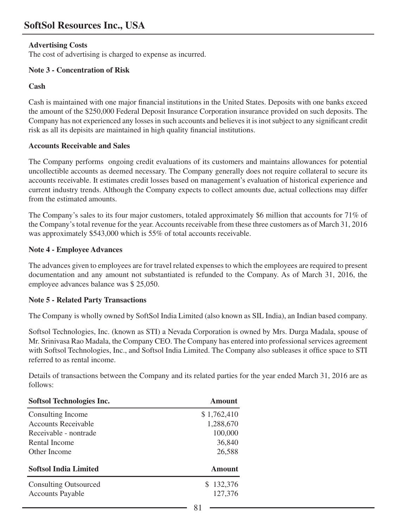## **Advertising Costs**

The cost of advertising is charged to expense as incurred.

## **Note 3 - Concentration of Risk**

## **Cash**

Cash is maintained with one major financial institutions in the United States. Deposits with one banks exceed the amount of the \$250,000 Federal Deposit Insurance Corporation insurance provided on such deposits. The Company has not experienced any losses in such accounts and believes it is inot subject to any significant credit risk as all its depisits are maintained in high quality financial institutions.

## **Accounts Receivable and Sales**

The Company performs ongoing credit evaluations of its customers and maintains allowances for potential uncollectible accounts as deemed necessary. The Company generally does not require collateral to secure its accounts receivable. It estimates credit losses based on management's evaluation of historical experience and current industry trends. Although the Company expects to collect amounts due, actual collections may differ from the estimated amounts.

The Company's sales to its four major customers, totaled approximately \$6 million that accounts for 71% of the Company's total revenue for the year. Accounts receivable from these three customers as of March 31, 2016 was approximately \$543,000 which is 55% of total accounts receivable.

## **Note 4 - Employee Advances**

The advances given to employees are for travel related expenses to which the employees are required to present documentation and any amount not substantiated is refunded to the Company. As of March 31, 2016, the employee advances balance was \$ 25,050.

## **Note 5 - Related Party Transactions**

The Company is wholly owned by SoftSol India Limited (also known as SIL India), an Indian based company.

Softsol Technologies, Inc. (known as STI) a Nevada Corporation is owned by Mrs. Durga Madala, spouse of Mr. Srinivasa Rao Madala, the Company CEO. The Company has entered into professional services agreement with Softsol Technologies, Inc., and Softsol India Limited. The Company also subleases it office space to STI referred to as rental income.

Details of transactions between the Company and its related parties for the year ended March 31, 2016 are as follows:

| Softsol Technologies Inc.    | Amount      |
|------------------------------|-------------|
| Consulting Income            | \$1,762,410 |
| <b>Accounts Receivable</b>   | 1,288,670   |
| Receivable - nontrade        | 100,000     |
| Rental Income                | 36,840      |
| Other Income                 | 26,588      |
| <b>Softsol India Limited</b> | Amount      |
| <b>Consulting Outsourced</b> | \$132,376   |
| <b>Accounts Payable</b>      | 127,376     |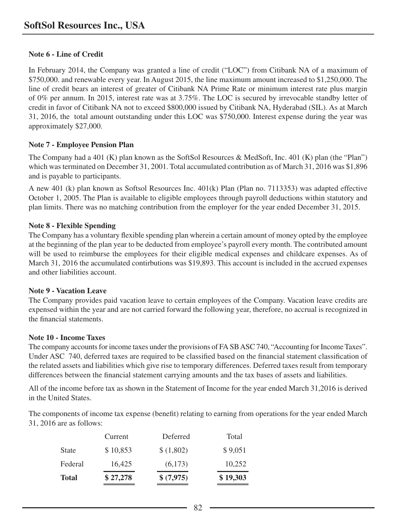## **Note 6 - Line of Credit**

In February 2014, the Company was granted a line of credit ("LOC") from Citibank NA of a maximum of \$750,000. and renewable every year. In August 2015, the line maximum amount increased to \$1,250,000. The line of credit bears an interest of greater of Citibank NA Prime Rate or minimum interest rate plus margin of 0% per annum. In 2015, interest rate was at 3.75%. The LOC is secured by irrevocable standby letter of credit in favor of Citibank NA not to exceed \$800,000 issued by Citibank NA, Hyderabad (SIL). As at March 31, 2016, the total amount outstanding under this LOC was \$750,000. Interest expense during the year was approximately \$27,000.

## **Note 7 - Employee Pension Plan**

The Company had a 401 (K) plan known as the SoftSol Resources & MedSoft, Inc. 401 (K) plan (the "Plan") which was terminated on December 31, 2001. Total accumulated contribution as of March 31, 2016 was \$1,896 and is payable to participants.

A new 401 (k) plan known as Softsol Resources Inc. 401(k) Plan (Plan no. 7113353) was adapted effective October 1, 2005. The Plan is available to eligible employees through payroll deductions within statutory and plan limits. There was no matching contribution from the employer for the year ended December 31, 2015.

## **Note 8 - Flexible Spending**

The Company has a voluntary flexible spending plan wherein a certain amount of money opted by the employee at the beginning of the plan year to be deducted from employee's payroll every month. The contributed amount will be used to reimburse the employees for their eligible medical expenses and childcare expenses. As of March 31, 2016 the accumulated contirbutions was \$19,893. This account is included in the accrued expenses and other liabilities account.

## **Note 9 - Vacation Leave**

The Company provides paid vacation leave to certain employees of the Company. Vacation leave credits are expensed within the year and are not carried forward the following year, therefore, no accrual is recognized in the financial statements.

## **Note 10 - Income Taxes**

The company accounts for income taxes under the provisions of FA SB ASC 740, "Accounting for Income Taxes". Under ASC 740, deferred taxes are required to be classified based on the financial statement classification of the related assets and liabilities which give rise to temporary differences. Deferred taxes result from temporary differences between the financial statement carrying amounts and the tax bases of assets and liabilities.

All of the income before tax as shown in the Statement of Income for the year ended March 31,2016 is derived in the United States.

The components of income tax expense (benefit) relating to earning from operations for the year ended March 31, 2016 are as follows:

|              | Current  | Deferred   | Total    |
|--------------|----------|------------|----------|
| <b>State</b> | \$10,853 | \$(1,802)  | \$9,051  |
| Federal      | 16,425   | (6,173)    | 10.252   |
| <b>Total</b> | \$27,278 | \$ (7,975) | \$19,303 |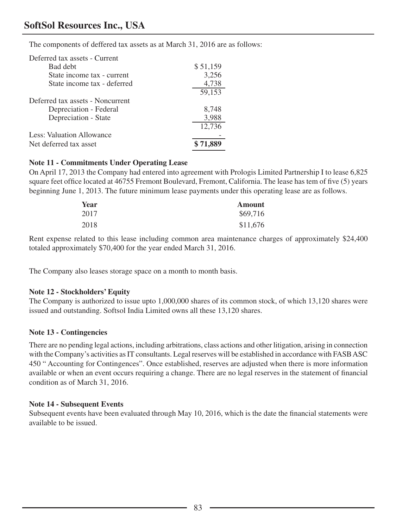# **SoftSol Resources Inc., USA**

The components of deffered tax assets as at March 31, 2016 are as follows:

| Deferred tax assets - Current    |          |
|----------------------------------|----------|
| Bad debt                         | \$51,159 |
| State income tax - current       | 3,256    |
| State income tax - deferred      | 4,738    |
|                                  | 59,153   |
| Deferred tax assets - Noncurrent |          |
| Depreciation - Federal           | 8,748    |
| Depreciation - State             | 3,988    |
|                                  | 12,736   |
| Less: Valuation Allowance        |          |
| Net deferred tax asset           |          |

#### **Note 11 - Commitments Under Operating Lease**

On April 17, 2013 the Company had entered into agreement with Prologis Limited Partnership I to lease 6,825 square feet office located at 46755 Fremont Boulevard, Fremont, California. The lease has tem of five (5) years beginning June 1, 2013. The future minimum lease payments under this operating lease are as follows.

| Year | <b>Amount</b> |
|------|---------------|
| 2017 | \$69,716      |
| 2018 | \$11,676      |

Rent expense related to this lease including common area maintenance charges of approximately \$24,400 totaled approximately \$70,400 for the year ended March 31, 2016.

The Company also leases storage space on a month to month basis.

#### **Note 12 - Stockholders' Equity**

The Company is authorized to issue upto 1,000,000 shares of its common stock, of which 13,120 shares were issued and outstanding. Softsol India Limited owns all these 13,120 shares.

#### **Note 13 - Contingencies**

There are no pending legal actions, including arbitrations, class actions and other litigation, arising in connection with the Company's activities as IT consultants. Legal reserves will be established in accordance with FASB ASC 450 " Accounting for Contingences". Once established, reserves are adjusted when there is more information available or when an event occurs requiring a change. There are no legal reserves in the statement of financial condition as of March 31, 2016.

#### **Note 14 - Subsequent Events**

Subsequent events have been evaluated through May 10, 2016, which is the date the financial statements were available to be issued.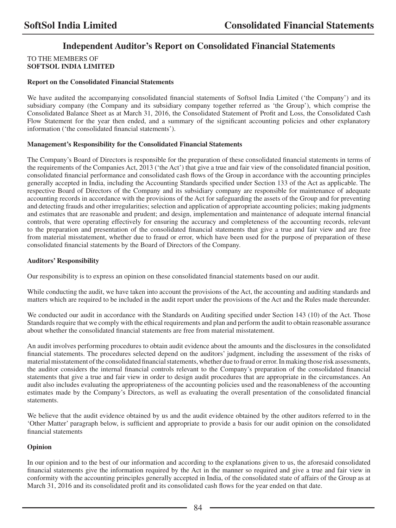# **Independent Auditor's Report on Consolidated Financial Statements**

#### TO THE MEMBERS OF **SOFTSOL INDIA LIMITED**

#### **Report on the Consolidated Financial Statements**

We have audited the accompanying consolidated financial statements of Softsol India Limited ('the Company') and its subsidiary company (the Company and its subsidiary company together referred as 'the Group'), which comprise the Consolidated Balance Sheet as at March 31, 2016, the Consolidated Statement of Profit and Loss, the Consolidated Cash Flow Statement for the year then ended, and a summary of the significant accounting policies and other explanatory information ('the consolidated financial statements').

#### **Management's Responsibility for the Consolidated Financial Statements**

The Company's Board of Directors is responsible for the preparation of these consolidated financial statements in terms of the requirements of the Companies Act, 2013 ('the Act') that give a true and fair view of the consolidated financial position, consolidated financial performance and consolidated cash flows of the Group in accordance with the accounting principles generally accepted in India, including the Accounting Standards specified under Section 133 of the Act as applicable. The respective Board of Directors of the Company and its subsidiary company are responsible for maintenance of adequate accounting records in accordance with the provisions of the Act for safeguarding the assets of the Group and for preventing and detecting frauds and other irregularities; selection and application of appropriate accounting policies; making judgments and estimates that are reasonable and prudent; and design, implementation and maintenance of adequate internal financial controls, that were operating effectively for ensuring the accuracy and completeness of the accounting records, relevant to the preparation and presentation of the consolidated financial statements that give a true and fair view and are free from material misstatement, whether due to fraud or error, which have been used for the purpose of preparation of these consolidated financial statements by the Board of Directors of the Company.

#### **Auditors' Responsibility**

Our responsibility is to express an opinion on these consolidated financial statements based on our audit.

While conducting the audit, we have taken into account the provisions of the Act, the accounting and auditing standards and matters which are required to be included in the audit report under the provisions of the Act and the Rules made thereunder.

We conducted our audit in accordance with the Standards on Auditing specified under Section 143 (10) of the Act. Those Standards require that we comply with the ethical requirements and plan and perform the audit to obtain reasonable assurance about whether the consolidated financial statements are free from material misstatement.

An audit involves performing procedures to obtain audit evidence about the amounts and the disclosures in the consolidated financial statements. The procedures selected depend on the auditors' judgment, including the assessment of the risks of material misstatement of the consolidated financial statements, whether due to fraud or error. In making those risk assessments, the auditor considers the internal financial controls relevant to the Company's preparation of the consolidated financial statements that give a true and fair view in order to design audit procedures that are appropriate in the circumstances. An audit also includes evaluating the appropriateness of the accounting policies used and the reasonableness of the accounting estimates made by the Company's Directors, as well as evaluating the overall presentation of the consolidated financial statements.

We believe that the audit evidence obtained by us and the audit evidence obtained by the other auditors referred to in the 'Other Matter' paragraph below, is sufficient and appropriate to provide a basis for our audit opinion on the consolidated financial statements

#### **Opinion**

In our opinion and to the best of our information and according to the explanations given to us, the aforesaid consolidated financial statements give the information required by the Act in the manner so required and give a true and fair view in conformity with the accounting principles generally accepted in India, of the consolidated state of affairs of the Group as at March 31, 2016 and its consolidated profit and its consolidated cash flows for the year ended on that date.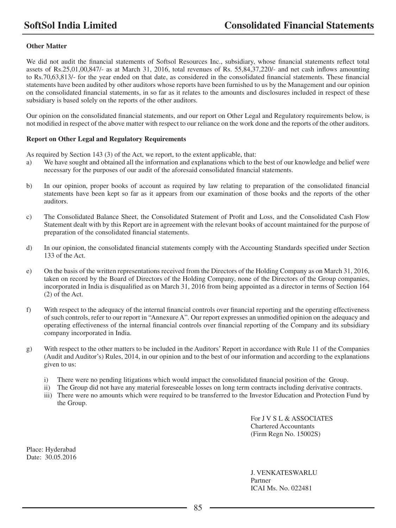#### **Other Matter**

We did not audit the financial statements of Softsol Resources Inc., subsidiary, whose financial statements reflect total assets of Rs.25,01,00,847/- as at March 31, 2016, total revenues of Rs. 55,84,37,220/- and net cash inflows amounting to Rs.70,63,813/- for the year ended on that date, as considered in the consolidated financial statements. These financial statements have been audited by other auditors whose reports have been furnished to us by the Management and our opinion on the consolidated financial statements, in so far as it relates to the amounts and disclosures included in respect of these subsidiary is based solely on the reports of the other auditors.

Our opinion on the consolidated financial statements, and our report on Other Legal and Regulatory requirements below, is not modified in respect of the above matter with respect to our reliance on the work done and the reports of the other auditors.

#### **Report on Other Legal and Regulatory Requirements**

As required by Section 143 (3) of the Act, we report, to the extent applicable, that:

- a) We have sought and obtained all the information and explanations which to the best of our knowledge and belief were necessary for the purposes of our audit of the aforesaid consolidated financial statements.
- b) In our opinion, proper books of account as required by law relating to preparation of the consolidated financial statements have been kept so far as it appears from our examination of those books and the reports of the other auditors.
- c) The Consolidated Balance Sheet, the Consolidated Statement of Profit and Loss, and the Consolidated Cash Flow Statement dealt with by this Report are in agreement with the relevant books of account maintained for the purpose of preparation of the consolidated financial statements.
- d) In our opinion, the consolidated financial statements comply with the Accounting Standards specified under Section 133 of the Act.
- e) On the basis of the written representations received from the Directors of the Holding Company as on March 31, 2016, taken on record by the Board of Directors of the Holding Company, none of the Directors of the Group companies, incorporated in India is disqualified as on March 31, 2016 from being appointed as a director in terms of Section 164 (2) of the Act.
- f) With respect to the adequacy of the internal financial controls over financial reporting and the operating effectiveness of such controls, refer to our report in "Annexure A". Our report expresses an unmodified opinion on the adequacy and operating effectiveness of the internal financial controls over financial reporting of the Company and its subsidiary company incorporated in India.
- g) With respect to the other matters to be included in the Auditors' Report in accordance with Rule 11 of the Companies (Audit and Auditor's) Rules, 2014, in our opinion and to the best of our information and according to the explanations given to us:
	- i) There were no pending litigations which would impact the consolidated financial position of the Group.
	- ii) The Group did not have any material foreseeable losses on long term contracts including derivative contracts.
	- iii) There were no amounts which were required to be transferred to the Investor Education and Protection Fund by the Group.

For J V S L & ASSOCIATES Chartered Accountants (Firm Regn No. 15002S)

Place: Hyderabad Date: 30.05.2016

> J. VENKATESWARLU Partner ICAI Ms. No. 022481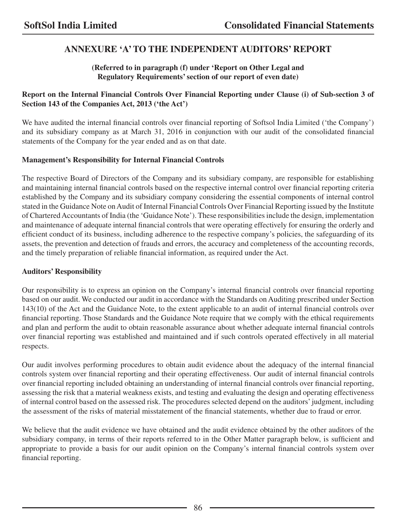# **ANNEXURE 'A' TO THE INDEPENDENT AUDITORS' REPORT**

## **(Referred to in paragraph (f) under 'Report on Other Legal and Regulatory Requirements' section of our report of even date)**

## **Report on the Internal Financial Controls Over Financial Reporting under Clause (i) of Sub-section 3 of Section 143 of the Companies Act, 2013 ('the Act')**

We have audited the internal financial controls over financial reporting of Softsol India Limited ('the Company') and its subsidiary company as at March 31, 2016 in conjunction with our audit of the consolidated financial statements of the Company for the year ended and as on that date.

## **Management's Responsibility for Internal Financial Controls**

The respective Board of Directors of the Company and its subsidiary company, are responsible for establishing and maintaining internal financial controls based on the respective internal control over financial reporting criteria established by the Company and its subsidiary company considering the essential components of internal control stated in the Guidance Note on Audit of Internal Financial Controls Over Financial Reporting issued by the Institute of Chartered Accountants of India (the 'Guidance Note'). These responsibilities include the design, implementation and maintenance of adequate internal financial controls that were operating effectively for ensuring the orderly and efficient conduct of its business, including adherence to the respective company's policies, the safeguarding of its assets, the prevention and detection of frauds and errors, the accuracy and completeness of the accounting records, and the timely preparation of reliable financial information, as required under the Act.

## **Auditors' Responsibility**

Our responsibility is to express an opinion on the Company's internal financial controls over financial reporting based on our audit. We conducted our audit in accordance with the Standards on Auditing prescribed under Section 143(10) of the Act and the Guidance Note, to the extent applicable to an audit of internal financial controls over financial reporting. Those Standards and the Guidance Note require that we comply with the ethical requirements and plan and perform the audit to obtain reasonable assurance about whether adequate internal financial controls over financial reporting was established and maintained and if such controls operated effectively in all material respects.

Our audit involves performing procedures to obtain audit evidence about the adequacy of the internal financial controls system over financial reporting and their operating effectiveness. Our audit of internal financial controls over financial reporting included obtaining an understanding of internal financial controls over financial reporting, assessing the risk that a material weakness exists, and testing and evaluating the design and operating effectiveness of internal control based on the assessed risk. The procedures selected depend on the auditors' judgment, including the assessment of the risks of material misstatement of the financial statements, whether due to fraud or error.

We believe that the audit evidence we have obtained and the audit evidence obtained by the other auditors of the subsidiary company, in terms of their reports referred to in the Other Matter paragraph below, is sufficient and appropriate to provide a basis for our audit opinion on the Company's internal financial controls system over financial reporting.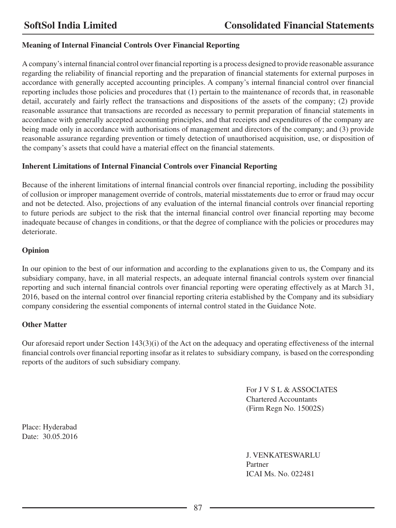## **Meaning of Internal Financial Controls Over Financial Reporting**

A company's internal financial control over financial reporting is a process designed to provide reasonable assurance regarding the reliability of financial reporting and the preparation of financial statements for external purposes in accordance with generally accepted accounting principles. A company's internal financial control over financial reporting includes those policies and procedures that (1) pertain to the maintenance of records that, in reasonable detail, accurately and fairly reflect the transactions and dispositions of the assets of the company; (2) provide reasonable assurance that transactions are recorded as necessary to permit preparation of financial statements in accordance with generally accepted accounting principles, and that receipts and expenditures of the company are being made only in accordance with authorisations of management and directors of the company; and (3) provide reasonable assurance regarding prevention or timely detection of unauthorised acquisition, use, or disposition of the company's assets that could have a material effect on the financial statements.

#### **Inherent Limitations of Internal Financial Controls over Financial Reporting**

Because of the inherent limitations of internal financial controls over financial reporting, including the possibility of collusion or improper management override of controls, material misstatements due to error or fraud may occur and not be detected. Also, projections of any evaluation of the internal financial controls over financial reporting to future periods are subject to the risk that the internal financial control over financial reporting may become inadequate because of changes in conditions, or that the degree of compliance with the policies or procedures may deteriorate.

## **Opinion**

In our opinion to the best of our information and according to the explanations given to us, the Company and its subsidiary company, have, in all material respects, an adequate internal financial controls system over financial reporting and such internal financial controls over financial reporting were operating effectively as at March 31, 2016, based on the internal control over financial reporting criteria established by the Company and its subsidiary company considering the essential components of internal control stated in the Guidance Note.

#### **Other Matter**

Our aforesaid report under Section 143(3)(i) of the Act on the adequacy and operating effectiveness of the internal financial controls over financial reporting insofar as it relates to subsidiary company, is based on the corresponding reports of the auditors of such subsidiary company.

> For J V S L & ASSOCIATES Chartered Accountants (Firm Regn No. 15002S)

Place: Hyderabad Date: 30.05.2016

> J. VENKATESWARLU Partner ICAI Ms. No. 022481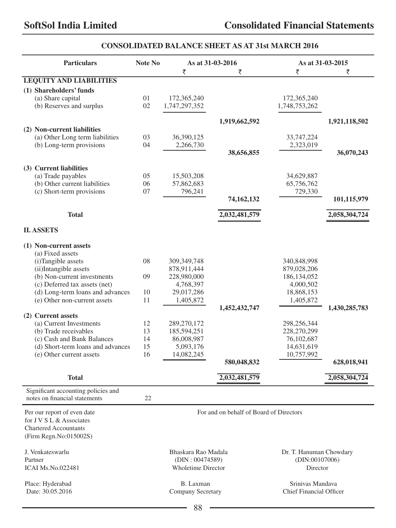## **CONSOLIDATED BALANCE SHEET AS AT 31st MARCH 2016**

| <b>Particulars</b>                                                   | Note No |                           | As at 31-03-2016                        | As at 31-03-2015        |               |
|----------------------------------------------------------------------|---------|---------------------------|-----------------------------------------|-------------------------|---------------|
|                                                                      |         | ₹                         | ₹                                       | ₹                       | ₹             |
| <b>I.EQUITY AND LIABILITIES</b>                                      |         |                           |                                         |                         |               |
| (1) Shareholders' funds                                              |         |                           |                                         |                         |               |
| (a) Share capital                                                    | 01      | 172,365,240               |                                         | 172,365,240             |               |
| (b) Reserves and surplus                                             | 02      | 1,747,297,352             |                                         | 1,748,753,262           |               |
|                                                                      |         |                           | 1,919,662,592                           |                         | 1,921,118,502 |
| (2) Non-current liabilities                                          |         |                           |                                         |                         |               |
| (a) Other Long term liabilities                                      | 03      | 36,390,125                |                                         | 33,747,224              |               |
| (b) Long-term provisions                                             | 04      | 2,266,730                 |                                         | 2,323,019               |               |
|                                                                      |         |                           | 38,656,855                              |                         | 36,070,243    |
|                                                                      |         |                           |                                         |                         |               |
| (3) Current liabilities                                              |         |                           |                                         |                         |               |
| (a) Trade payables                                                   | 05      | 15,503,208                |                                         | 34,629,887              |               |
| (b) Other current liabilities                                        | 06      | 57,862,683                |                                         | 65,756,762              |               |
| (c) Short-term provisions                                            | 07      | 796,241                   |                                         | 729,330                 |               |
|                                                                      |         |                           | 74,162,132                              |                         | 101,115,979   |
| <b>Total</b>                                                         |         |                           | 2,032,481,579                           |                         | 2,058,304,724 |
| <b>II. ASSETS</b>                                                    |         |                           |                                         |                         |               |
|                                                                      |         |                           |                                         |                         |               |
| (1) Non-current assets                                               |         |                           |                                         |                         |               |
| (a) Fixed assets                                                     |         |                           |                                         |                         |               |
| (i)Tangible assets                                                   | 08      | 309,349,748               |                                         | 340,848,998             |               |
| (ii)Intangible assets                                                |         | 878,911,444               |                                         | 879,028,206             |               |
| (b) Non-current investments                                          | 09      | 228,980,000               |                                         | 186, 134, 052           |               |
| (c) Deferred tax assets (net)                                        |         | 4,768,397                 |                                         | 4,000,502               |               |
| (d) Long-term loans and advances                                     | 10      | 29,017,286                |                                         | 18,868,153              |               |
| (e) Other non-current assets                                         | 11      | 1,405,872                 |                                         | 1,405,872               |               |
| (2) Current assets                                                   |         |                           | 1,452,432,747                           |                         | 1,430,285,783 |
| (a) Current Investments                                              | 12      | 289,270,172               |                                         | 298,256,344             |               |
| (b) Trade receivables                                                | 13      | 185,594,251               |                                         | 228,270,299             |               |
| (c) Cash and Bank Balances                                           | 14      | 86,008,987                |                                         | 76,102,687              |               |
| (d) Short-term loans and advances                                    | 15      | 5,093,176                 |                                         | 14,631,619              |               |
| (e) Other current assets                                             | 16      | 14,082,245                |                                         | 10,757,992              |               |
|                                                                      |         |                           | 580,048,832                             |                         | 628,018,941   |
| <b>Total</b>                                                         |         |                           | 2,032,481,579                           |                         | 2,058,304,724 |
|                                                                      |         |                           |                                         |                         |               |
| Significant accounting policies and<br>notes on financial statements | 22      |                           |                                         |                         |               |
| Per our report of even date                                          |         |                           | For and on behalf of Board of Directors |                         |               |
| for J V S L & Associates                                             |         |                           |                                         |                         |               |
| <b>Chartered Accountants</b>                                         |         |                           |                                         |                         |               |
| (Firm Regn.No:015002S)                                               |         |                           |                                         |                         |               |
| J. Venkateswarlu                                                     |         | Bhaskara Rao Madala       |                                         | Dr. T. Hanuman Chowdary |               |
| Partner                                                              |         | (DIN: 00474589)           |                                         | (DIN:00107006)          |               |
| <b>ICAI Ms.No.022481</b>                                             |         | <b>Wholetime Director</b> |                                         | Director                |               |
| Place: Hyderabad                                                     |         | B. Laxman                 |                                         | Srinivas Mandava        |               |
| Date: 30.05.2016                                                     |         | Company Secretary         |                                         | Chief Financial Officer |               |
|                                                                      |         |                           |                                         |                         |               |

88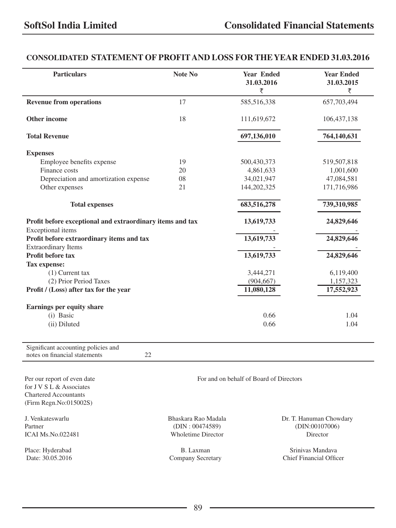## **CONSOLIDATED STATEMENT OF PROFIT AND LOSS FOR THE YEAR ENDED 31.03.2016**

| <b>Particulars</b>                                                                      | Note No | <b>Year Ended</b><br>31.03.2016<br>₹    | <b>Year Ended</b><br>31.03.2015<br>₹ |
|-----------------------------------------------------------------------------------------|---------|-----------------------------------------|--------------------------------------|
| <b>Revenue from operations</b>                                                          | 17      | 585,516,338                             | 657,703,494                          |
| Other income                                                                            | 18      | 111,619,672                             | 106, 437, 138                        |
| <b>Total Revenue</b>                                                                    |         | 697,136,010                             | 764,140,631                          |
| <b>Expenses</b>                                                                         |         |                                         |                                      |
| Employee benefits expense                                                               | 19      | 500,430,373                             | 519,507,818                          |
| Finance costs                                                                           | 20      | 4,861,633                               | 1,001,600                            |
| Depreciation and amortization expense                                                   | 08      | 34,021,947                              | 47,084,581                           |
| Other expenses                                                                          | 21      | 144,202,325                             | 171,716,986                          |
| <b>Total expenses</b>                                                                   |         | 683,516,278                             | 739,310,985                          |
| Profit before exceptional and extraordinary items and tax                               |         | 13,619,733                              | 24,829,646                           |
| Exceptional items                                                                       |         |                                         |                                      |
| Profit before extraordinary items and tax                                               |         | 13,619,733                              | 24,829,646                           |
| <b>Extraordinary Items</b><br>Profit before tax                                         |         | 13,619,733                              | 24,829,646                           |
| Tax expense:                                                                            |         |                                         |                                      |
| $(1)$ Current tax                                                                       |         | 3,444,271                               | 6,119,400                            |
| (2) Prior Period Taxes                                                                  |         | (904, 667)                              | 1,157,323                            |
| Profit / (Loss) after tax for the year                                                  |         | 11,080,128                              | 17,552,923                           |
| Earnings per equity share                                                               |         |                                         |                                      |
| (i) Basic                                                                               |         | 0.66                                    | 1.04                                 |
| (ii) Diluted                                                                            |         | 0.66                                    | 1.04                                 |
| Significant accounting policies and                                                     |         |                                         |                                      |
| 22<br>notes on financial statements                                                     |         |                                         |                                      |
| Per our report of even date<br>for J V S L & Associates<br><b>Chartered Accountants</b> |         | For and on behalf of Board of Directors |                                      |

J. Venkateswarlu Bhaskara Rao Madala Dr. T. Hanuman Chowdary Partner (DIN : 00474589) (DIN:00107006)

(Firm Regn.No:015002S)

ICAI Ms.No.022481 Wholetime Director Director

Place: Hyderabad B. Laxman B. Laxman Srinivas Mandava Date: 30.05.2016 Srinivas Mandava Company Secretary Chief Financial Office Chief Financial Officer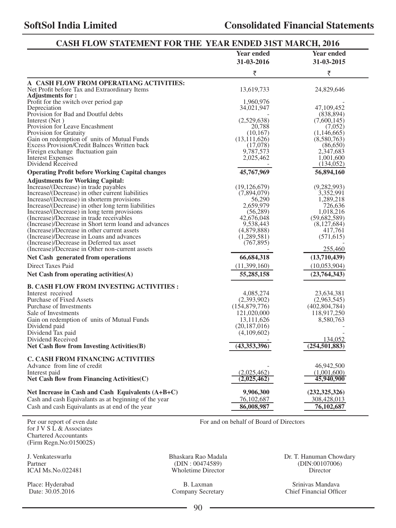| CASH FLOW STATEMENT FOR THE YEAR ENDED 31ST MARCH, 2016                                             |                                 |                           |
|-----------------------------------------------------------------------------------------------------|---------------------------------|---------------------------|
|                                                                                                     | <b>Year ended</b><br>31-03-2016 | Year ended<br>31-03-2015  |
|                                                                                                     | ₹                               | ₹                         |
| A CASH FLOW FROM OPERATIANG ACTIVITIES:                                                             |                                 |                           |
| Net Profit before Tax and Extraordinary Items                                                       | 13,619,733                      | 24,829,646                |
| <b>Adjustments for:</b>                                                                             |                                 |                           |
| Profit for the switch over period gap                                                               | 1,960,976                       |                           |
| Depreciation                                                                                        | 34,021,947                      | 47, 109, 452              |
| Provision for Bad and Doutful debts<br>Interest (Net)                                               | (2,529,638)                     | (838, 894)<br>(7,600,145) |
| Provision for Leave Encashment                                                                      | 20.788                          | (7,052)                   |
| Provision for Gratuity                                                                              | (10, 167)                       | (1,146,665)               |
| Gain on redemption of units of Mutual Funds                                                         | (13, 111, 626)                  | (8,580,763)               |
| Excess Provision/Credit Balnces Written back                                                        | (17,078)                        | (86,650)                  |
| Fireign exchange fluctuation gain                                                                   | 9,787,573                       | 2,347,683                 |
| <b>Interest Expenses</b>                                                                            | 2,025,462                       | 1,001,600                 |
| Dividend Received                                                                                   |                                 | (134, 052)                |
| <b>Operating Profit before Working Capital changes</b>                                              | 45,767,969                      | 56,894,160                |
| <b>Adjustments for Working Capital:</b>                                                             |                                 |                           |
| Increase/(Decrease) in trade payables                                                               | (19, 126, 679)                  | (9, 282, 993)             |
| Increase/(Decrease) in other current liabilities                                                    | (7,894,079)                     | 3,352,991                 |
| Increase/(Decrease) in shorterm provisions                                                          | 56,290                          | 1,289,218                 |
| Increase/(Decrease) in other long term liabilities                                                  | 2,659,979                       | 726,636                   |
| Increase/(Decrease) in long term provisions                                                         | (56, 289)                       | 1,018,216                 |
| (Increase)/Decrease in trade receivables                                                            | 42,676,048                      | (59,682,589)              |
| (Increase)/Decrease in Short term loand and advances<br>(Increase)/Decrease in other current assets | 9,538,443<br>(4,879,888)        | (8,127,684)<br>417,761    |
| (Increase)/Decrease in Loans and advances                                                           | (1,289,581)                     | (571, 615)                |
| (Increase)/Decrease in Deferred tax asset                                                           | (767, 895)                      |                           |
| (Increase)/Decrease in Other non-current assets                                                     |                                 | 255,460                   |
| Net Cash generated from operations                                                                  | 66,684,318                      | (13,710,439)              |
| Direct Taxes Paid                                                                                   | (11,399,160)                    | (10,053,904)              |
| Net Cash from operating activities $(A)$                                                            | 55,285,158                      | (23, 764, 343)            |
| <b>B. CASH FLOW FROM INVESTING ACTIVITIES:</b>                                                      |                                 |                           |
| Interest received                                                                                   | 4,085,274                       | 23,634,381                |
| Purchase of Fixed Assets                                                                            | (2,393,902)                     | (2,963,545)               |
| Purchase of Investments                                                                             | (154, 879, 776)                 | (402, 804, 784)           |
| Sale of Investments                                                                                 | 121,020,000                     | 118,917,250               |
| Gain on redemption of units of Mutual Funds                                                         | 13,111,626                      | 8,580,763                 |
| Dividend paid                                                                                       | (20, 187, 016)                  |                           |
| Dividend Tax paid                                                                                   | (4,109,602)                     |                           |
| Dividend Received                                                                                   |                                 | 134,052                   |
| Net Cash flow from Investing Activities(B)                                                          | $\overline{(43,353,396)}$       | (254, 501, 883)           |
| <b>C. CASH FROM FINANCING ACTIVITIES</b>                                                            |                                 |                           |
| Advance from line of credit                                                                         |                                 | 46,942,500                |
| Interest paid                                                                                       | (2,025,462)                     | (1,001,600)               |
| Net Cash flow from Financing Activities (C)                                                         | (2,025,462)                     | 45,940,900                |
|                                                                                                     |                                 |                           |
| Net Increase in Cash and Cash Equivalents $(A+B+C)$                                                 | 9,906,300                       | (232, 325, 326)           |
| Cash and cash Equivalants as at beginning of the year                                               | 76,102,687                      | 308,428,013               |
| Cash and cash Equivalants as at end of the year                                                     | 86,008,987                      | 76,102,687                |

Per our report of even date For and on behalf of Board of Directors for J V S L & Associates Chartered Accountants (Firm Regn.No:015002S)

Partner (DIN : 00474589) (DIN : 00474589) (DIN : 00474589) (DIN : 00474589) (DIN : 00474589) (DIN : 001070 Wholetime Director

Company Secretary

J. Venkateswarlu Bhaskara Rao Madala Dr. T. Hanuman Chowdary

Place: Hyderabad B. Laxman B. Laxman Srinivas Mandava Srinivas Mandava Date: 30.05.2016 Company Secretary Chief Financial Officer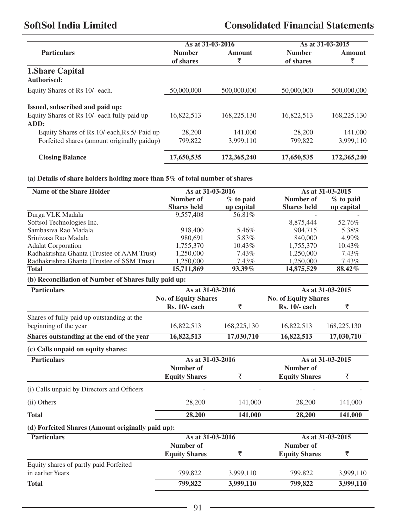|                                               | As at 31-03-2016 |             |               | As at 31-03-2015 |
|-----------------------------------------------|------------------|-------------|---------------|------------------|
| <b>Particulars</b>                            | <b>Number</b>    | Amount      | <b>Number</b> | Amount           |
|                                               | of shares        | ₹           | of shares     | ₹                |
| <b>1. Share Capital</b><br>Authorised:        |                  |             |               |                  |
| Equity Shares of Rs 10/- each.                | 50,000,000       | 500,000,000 | 50,000,000    | 500,000,000      |
| Issued, subscribed and paid up:               |                  |             |               |                  |
| Equity Shares of Rs 10/- each fully paid up   | 16.822.513       | 168,225,130 | 16.822.513    | 168,225,130      |
| ADD:                                          |                  |             |               |                  |
| Equity Shares of Rs. 10/-each, Rs. 5/-Paid up | 28,200           | 141,000     | 28,200        | 141,000          |
| Forfeited shares (amount originally paidup)   | 799,822          | 3.999.110   | 799,822       | 3,999,110        |
| <b>Closing Balance</b>                        | 17,650,535       | 172,365,240 | 17,650,535    | 172,365,240      |

## **(a) Details of share holders holding more than 5% of total number of shares**

| Name of the Share Holder                              | As at 31-03-2016            |             |                             | As at 31-03-2015 |
|-------------------------------------------------------|-----------------------------|-------------|-----------------------------|------------------|
|                                                       | <b>Number of</b>            | $%$ to paid | Number of                   | $%$ to paid      |
|                                                       | <b>Shares</b> held          | up capital  | <b>Shares</b> held          | up capital       |
| Durga VLK Madala                                      | 9,557,408                   | 56.81%      |                             |                  |
| Softsol Technologies Inc.                             |                             |             | 8,875,444                   | 52.76%           |
| Sambasiya Rao Madala                                  | 918,400                     | 5.46%       | 904,715                     | 5.38%            |
| Sriniyasa Rao Madala                                  | 980,691                     | 5.83%       | 840,000                     | 4.99%            |
| <b>Adalat Corporation</b>                             | 1,755,370                   | 10.43%      | 1,755,370                   | 10.43%           |
| Radhakrishna Ghanta (Trustee of AAM Trust)            | 1,250,000                   | 7.43%       | 1,250,000                   | 7.43%            |
| Radhakrishna Ghanta (Trustee of SSM Trust)            | 1,250,000                   | 7.43%       | 1,250,000                   | 7.43%            |
| <b>Total</b>                                          | 15,711,869                  | 93.39%      | 14,875,529                  | 88.42%           |
| (b) Reconciliation of Number of Shares fully paid up: |                             |             |                             |                  |
| <b>Particulars</b>                                    | As at 31-03-2016            |             |                             | As at 31-03-2015 |
|                                                       | <b>No. of Equity Shares</b> |             | <b>No. of Equity Shares</b> |                  |
|                                                       | <b>Rs. 10/- each</b>        | ₹           | <b>Rs. 10/- each</b>        | ₹                |
| Shares of fully paid up outstanding at the            |                             |             |                             |                  |
| beginning of the year                                 | 16,822,513                  | 168,225,130 | 16,822,513                  | 168,225,130      |
| Shares outstanding at the end of the year             | 16,822,513                  | 17,030,710  | 16,822,513                  |                  |
|                                                       |                             |             |                             | 17,030,710       |
| (c) Calls unpaid on equity shares:                    |                             |             |                             |                  |
| <b>Particulars</b>                                    | As at 31-03-2016            |             |                             | As at 31-03-2015 |
|                                                       | Number of                   |             | Number of                   |                  |
|                                                       | <b>Equity Shares</b>        | ₹           | <b>Equity Shares</b>        | ₹                |
| (i) Calls unpaid by Directors and Officers            |                             |             |                             |                  |
| (ii) Others                                           | 28,200                      | 141,000     | 28,200                      | 141,000          |
| <b>Total</b>                                          | 28,200                      | 141.000     | 28,200                      | 141,000          |
| (d) Forfeited Shares (Amount originally paid up):     |                             |             |                             |                  |
| <b>Particulars</b>                                    | As at 31-03-2016            |             |                             | As at 31-03-2015 |
|                                                       | Number of                   |             | Number of                   |                  |
|                                                       | <b>Equity Shares</b>        | ₹           | <b>Equity Shares</b>        | ₹                |
| Equity shares of partly paid Forfeited                |                             |             |                             |                  |
| in earlier Years                                      | 799,822                     | 3,999,110   | 799,822                     | 3,999,110        |
| <b>Total</b>                                          | 799,822                     | 3,999,110   | 799,822                     | 3,999,110        |
|                                                       |                             |             |                             |                  |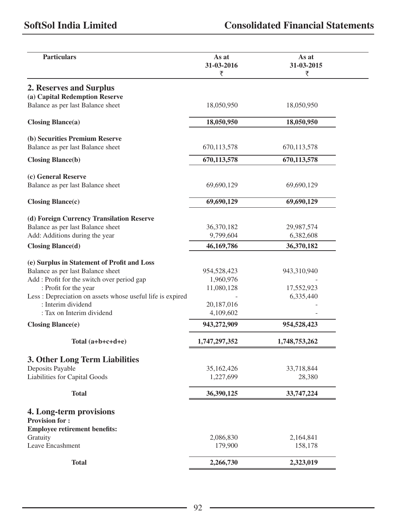| <b>Particulars</b>                                         | As at<br>31-03-2016<br>₹ | As at<br>31-03-2015<br>₹ |
|------------------------------------------------------------|--------------------------|--------------------------|
| 2. Reserves and Surplus                                    |                          |                          |
| (a) Capital Redemption Reserve                             |                          |                          |
| Balance as per last Balance sheet                          | 18,050,950               | 18,050,950               |
|                                                            |                          |                          |
| $\text{Closing Blance}(a)$                                 | 18,050,950               | 18,050,950               |
| (b) Securities Premium Reserve                             |                          |                          |
| Balance as per last Balance sheet                          | 670, 113, 578            | 670,113,578              |
| <b>Closing Blance(b)</b>                                   | 670,113,578              | 670, 113, 578            |
|                                                            |                          |                          |
| (c) General Reserve                                        |                          |                          |
| Balance as per last Balance sheet                          | 69,690,129               | 69,690,129               |
| $\text{Closing Blance}(c)$                                 | 69,690,129               | 69,690,129               |
|                                                            |                          |                          |
| (d) Foreign Currency Transilation Reserve                  |                          |                          |
| Balance as per last Balance sheet                          | 36,370,182               | 29,987,574               |
| Add: Additions during the year                             | 9,799,604                | 6,382,608                |
| <b>Closing Blance(d)</b>                                   | 46,169,786               | 36,370,182               |
| (e) Surplus in Statement of Profit and Loss                |                          |                          |
| Balance as per last Balance sheet                          | 954,528,423              | 943,310,940              |
| Add : Profit for the switch over period gap                | 1,960,976                |                          |
| : Profit for the year                                      | 11,080,128               | 17,552,923               |
| Less : Depreciation on assets whose useful life is expired |                          | 6,335,440                |
| : Interim dividend                                         | 20,187,016               |                          |
| : Tax on Interim dividend                                  | 4,109,602                |                          |
| <b>Closing Blance(e)</b>                                   | 943,272,909              | 954,528,423              |
| Total $(a+b+c+d+e)$                                        | 1,747,297,352            | 1,748,753,262            |
|                                                            |                          |                          |
| 3. Other Long Term Liabilities                             |                          |                          |
| Deposits Payable                                           | 35,162,426               | 33,718,844               |
| Liabilities for Capital Goods                              | 1,227,699                | 28,380                   |
| Total                                                      | 36,390,125               | 33,747,224               |
| 4. Long-term provisions                                    |                          |                          |
| <b>Provision for:</b>                                      |                          |                          |
| <b>Employee retirement benefits:</b>                       |                          |                          |
| Gratuity                                                   | 2,086,830                | 2,164,841                |
| Leave Encashment                                           | 179,900                  | 158,178                  |
|                                                            |                          |                          |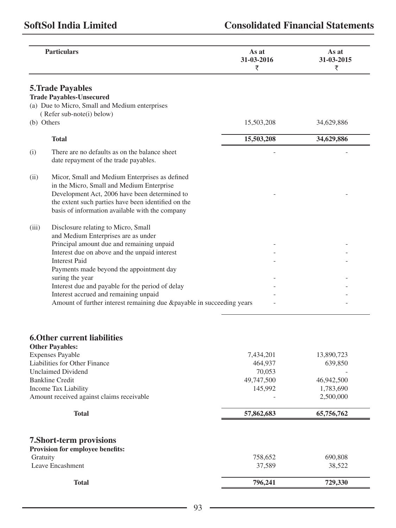|            | <b>Particulars</b>                                                                                                                                                                                                                                     | As at<br>31-03-2016<br>₹ | As at<br>31-03-2015<br>₹ |
|------------|--------------------------------------------------------------------------------------------------------------------------------------------------------------------------------------------------------------------------------------------------------|--------------------------|--------------------------|
|            | <b>5. Trade Payables</b><br><b>Trade Payables-Unsecured</b><br>(a) Due to Micro, Small and Medium enterprises                                                                                                                                          |                          |                          |
|            | (Refer sub-note(i) below)                                                                                                                                                                                                                              |                          |                          |
| (b) Others |                                                                                                                                                                                                                                                        | 15,503,208               | 34,629,886               |
|            | <b>Total</b>                                                                                                                                                                                                                                           | 15,503,208               | 34,629,886               |
| (i)        | There are no defaults as on the balance sheet<br>date repayment of the trade payables.                                                                                                                                                                 |                          |                          |
| (ii)       | Micor, Small and Medium Enterprises as defined<br>in the Micro, Small and Medium Enterprise<br>Development Act, 2006 have been determined to<br>the extent such parties have been identified on the<br>basis of information available with the company |                          |                          |
| (iii)      | Disclosure relating to Micro, Small<br>and Medium Enterprises are as under                                                                                                                                                                             |                          |                          |
|            | Principal amount due and remaining unpaid                                                                                                                                                                                                              |                          |                          |
|            | Interest due on above and the unpaid interest                                                                                                                                                                                                          |                          |                          |
|            | <b>Interest Paid</b><br>Payments made beyond the appointment day                                                                                                                                                                                       |                          |                          |
|            | suring the year                                                                                                                                                                                                                                        |                          |                          |
|            | Interest due and payable for the period of delay                                                                                                                                                                                                       |                          |                          |
|            | Interest accrued and remaining unpaid                                                                                                                                                                                                                  |                          |                          |
|            | Amount of further interest remaining due &payable in succeeding years                                                                                                                                                                                  |                          |                          |

# **6.Other current liabilities**

| <b>Total</b>                              | 796,241    | 729,330    |
|-------------------------------------------|------------|------------|
| Leave Encashment                          | 37,589     | 38,522     |
| Gratuity                                  | 758,652    | 690,808    |
| <b>Provision for employee benefits:</b>   |            |            |
| 7. Short-term provisions                  |            |            |
| <b>Total</b>                              | 57,862,683 | 65,756,762 |
| Amount received against claims receivable |            | 2,500,000  |
| Income Tax Liability                      | 145,992    | 1,783,690  |
| <b>Bankline Credit</b>                    | 49,747,500 | 46,942,500 |
| <b>Unclaimed Dividend</b>                 | 70,053     |            |
| Liabilities for Other Finance             | 464,937    | 639,850    |
| <b>Expenses Payable</b>                   | 7,434,201  | 13,890,723 |
| <b>Other Payables:</b>                    |            |            |

<u> 1989 - Johann Barn, mars an t-Amerikaansk ferskeider (</u>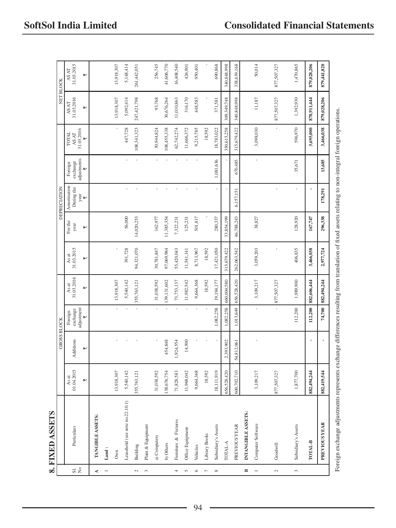|                      | 8. FIXED ASSETS                 |                     |                    |                                 |                                                             |                     |                 |                            |                                             |                                 |                     |                     |
|----------------------|---------------------------------|---------------------|--------------------|---------------------------------|-------------------------------------------------------------|---------------------|-----------------|----------------------------|---------------------------------------------|---------------------------------|---------------------|---------------------|
|                      |                                 |                     | <b>GROSS BLOCK</b> |                                 |                                                             |                     |                 | <b>DEPRECIATION</b>        |                                             |                                 |                     | <b>NET BLOCK</b>    |
| $\overrightarrow{a}$ | Particulars                     | 01.04.2015<br>As at | Additions          | exchange<br>Foreign             | $\begin{array}{c}\n\text{As at} \\ 31.03.2016\n\end{array}$ | 31.03.2015<br>As at | For the<br>year | Amortisation<br>During the | exchange<br>Foreign                         | <b>TOTAL</b><br>$\Delta S\,A T$ | 31.03.2016<br>AS AT | 31.03.2015<br>AS AT |
|                      |                                 | ⊮                   | ₩                  | adjustment<br>$\overline{\tau}$ | ⊮                                                           | ₩                   | ₩               | year<br>₹                  | adjustments<br>$\overline{\overline{\tau}}$ | 31.03.2016<br>$\,$              | ₩                   | ₩                   |
| ∢                    | TANGIBLE ASSETS:                |                     |                    |                                 |                                                             |                     |                 |                            |                                             |                                 |                     |                     |
|                      | $\mathop{\text{Land}}$ :        |                     |                    |                                 |                                                             |                     |                 |                            |                                             |                                 |                     |                     |
|                      | Own                             | 13,918,307          |                    |                                 | 13,918,307                                                  |                     |                 |                            |                                             |                                 | 13,918,307          | 13,918,307          |
|                      | Leasehold (see note no.22.10.1) | 5,540,142           |                    |                                 | 5,540,142                                                   | 391,728             | 56,000          | ï                          |                                             | 447,728                         | 5,092,414           | 5,148,414           |
| $\sim$               | Building                        | 355,763,121         |                    |                                 | 355,763,121                                                 | 94,321,070          | 14,020,253      | $\bar{1}$                  |                                             | 108,341,323                     | 247,421,798         | 261,442,051         |
| $\tilde{\epsilon}$   | Plant & Equipment               |                     |                    |                                 |                                                             |                     |                 |                            |                                             |                                 |                     |                     |
|                      | a) Computers                    | 31,038,592          |                    |                                 | 31,038,592                                                  | 30,781,847          | 162,977         | ï                          |                                             | 30,944,824                      | 93,768              | 256,745             |
|                      | b) Others                       | 38,676,754          | 454,848            |                                 | 139,131,602                                                 | 97,069,984          | 11,385,354      |                            |                                             | 108,455,338                     | 30,676,264          | 41,606,770          |
| $\overline{a}$       | Furniture & Fixtures            | 71,828,583          | 1,924,554          |                                 | 73,753,137                                                  | 55,420,043          | 7,322,231       |                            |                                             | 62,742,274                      | 11,010,863          | 16,408,540          |
| $\sqrt{2}$           | Office Equipment                | 11,968,042          | 14,500             |                                 | 11,982,542                                                  | 11,541,141          | 125,231         |                            |                                             | 11,666,372                      | 316,170             | 426,901             |
| $\circ$              | Vehicles                        | 9,664,368           |                    |                                 | 9,664,368                                                   | 8,713,967           | 501,817         |                            |                                             | 9,215,785                       | 448,583             | 950,401             |
| $\overline{r}$       | Library Books                   | 18,592              |                    |                                 | 18,592                                                      | 18,592              |                 |                            |                                             | 18,592                          |                     |                     |
| $^{\circ}$           | Subsidiary's Assets             | 18,111,919          |                    | 1,082,258                       | 19,194,177                                                  | 17,421,050          | 280,337         |                            | 1,081,636                                   | 18,783,022                      | 371,581             | 690,868             |
|                      | TOTAL-A                         | 656,528,420         | 2,393,902          | 1,082,258                       | 660,004,580                                                 | 315,679,422         | 33,854,199      |                            |                                             | 350,615,258                     | 309,349,748         | 340,848,998         |
|                      | <b>PREVIOUS YEAR</b>            | 600,702,710         | 54,812,061         | 1,013,649                       | 656,528,420                                                 | 262,063,542         | 46,788,243      | 6,157,151                  | 670,485                                     | 315,679,422                     | 340,848,998         | 338,639,168         |
| $\approx$            | INTANGIBLE ASSETS:              |                     |                    |                                 |                                                             |                     |                 |                            |                                             |                                 |                     |                     |
|                      | Computer Software               | 3,109,217           |                    | f,                              | 3,109,217                                                   | 3,059,203           | 38,827          |                            | ï                                           | 3,098,030                       | 11,187              | 50,014              |
|                      |                                 |                     |                    |                                 |                                                             |                     |                 |                            |                                             |                                 |                     |                     |
| $\sim$               | Goodwill                        | 877,507,327         |                    |                                 | 877,507,327                                                 |                     |                 | ł,                         |                                             |                                 | 877,507,327         | 877,507,327         |
|                      |                                 |                     |                    |                                 |                                                             |                     |                 |                            |                                             |                                 |                     |                     |
| $\tilde{\epsilon}$   | Subsidiary's Assets             | 1,877,700           |                    | 112,200                         | 1,989,900                                                   | 406,835             | 128,920         | í.                         | 35,671                                      | 596,970                         | 1,392,930           | 1,470,865           |
|                      | TOTAL-B                         | 882,494,244         |                    |                                 | 112,200 882,606,444                                         | 3,466,038           | 167,747         |                            |                                             | 3,695,000                       | 878,911,444         | 879,028,206         |

879,441,820

879,028,206

3,466,038

13,685

178,291

296,338

 **PREVIOUS YEAR 882,419,544 - 74,700 882,494,244 2,977,724 296,338 178,291 13,685 3,466,038 879,028,206 879,441,820** 

142,494,288

74,700

l,

882,419,544

PREVIOUS YEAR

2,977,724

Foreign exchange adjustments represents exchange differences resulting from translation of fixed assets relating to non-integral foreign operations.

Foreign exchange adjustments represents exchange differences resulting from translation of fixed assets relating to non-integral foreign operations.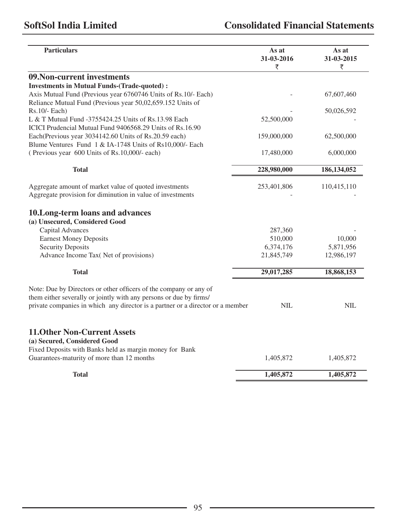| 09. Non-current investments<br><b>Investments in Mutual Funds-(Trade-quoted):</b><br>Axis Mutual Fund (Previous year 6760746 Units of Rs.10/- Each) |             | 67,607,460  |
|-----------------------------------------------------------------------------------------------------------------------------------------------------|-------------|-------------|
|                                                                                                                                                     |             |             |
|                                                                                                                                                     |             |             |
|                                                                                                                                                     |             |             |
| Reliance Mutual Fund (Previous year 50,02,659.152 Units of                                                                                          |             |             |
| $Rs.10/-$ Each)<br>L & T Mutual Fund -3755424.25 Units of Rs.13.98 Each                                                                             | 52,500,000  | 50,026,592  |
| ICICI Prudencial Mutual Fund 9406568.29 Units of Rs.16.90                                                                                           |             |             |
| Each(Previous year 3034142.60 Units of Rs.20.59 each)                                                                                               | 159,000,000 | 62,500,000  |
| Blume Ventures Fund 1 & IA-1748 Units of Rs10,000/- Each                                                                                            |             |             |
| (Previous year 600 Units of Rs.10,000/- each)                                                                                                       | 17,480,000  | 6,000,000   |
|                                                                                                                                                     |             |             |
| <b>Total</b>                                                                                                                                        | 228,980,000 | 186,134,052 |
| Aggregate amount of market value of quoted investments                                                                                              | 253,401,806 | 110,415,110 |
| Aggregate provision for diminution in value of investments                                                                                          |             |             |
| 10. Long-term loans and advances<br>(a) Unsecured, Considered Good                                                                                  |             |             |
| Capital Advances                                                                                                                                    | 287,360     |             |
| <b>Earnest Money Deposits</b>                                                                                                                       | 510,000     | 10,000      |
| <b>Security Deposits</b>                                                                                                                            | 6,374,176   | 5,871,956   |
| Advance Income Tax( Net of provisions)                                                                                                              | 21,845,749  | 12,986,197  |
| <b>Total</b>                                                                                                                                        | 29,017,285  | 18,868,153  |
| Note: Due by Directors or other officers of the company or any of<br>them either severally or jointly with any persons or due by firms/             |             |             |
| private companies in which any director is a partner or a director or a member                                                                      | <b>NIL</b>  | NIL.        |
| <b>11. Other Non-Current Assets</b><br>(a) Secured, Considered Good<br>Fixed Deposits with Banks held as margin money for Bank                      |             |             |
| Guarantees-maturity of more than 12 months                                                                                                          | 1,405,872   | 1,405,872   |
| <b>Total</b>                                                                                                                                        | 1,405,872   | 1,405,872   |

<u> 1989 - Johann Barn, mars an t-Amerikaansk ferskeider (</u>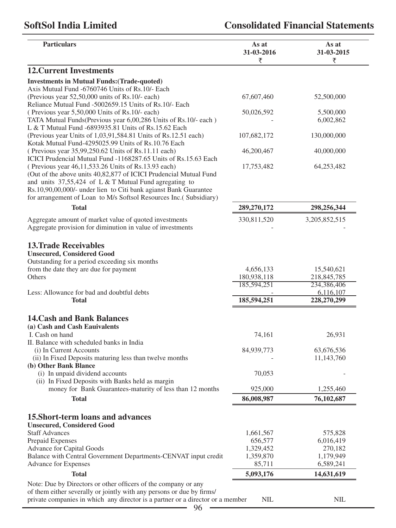| <b>Particulars</b>                                                                                                    | As at<br>31-03-2016<br>₹ | As at<br>31-03-2015<br>₹ |
|-----------------------------------------------------------------------------------------------------------------------|--------------------------|--------------------------|
| <b>12. Current Investments</b>                                                                                        |                          |                          |
| <b>Investments in Mutual Funds: (Trade-quoted)</b>                                                                    |                          |                          |
| Axis Mutual Fund -6760746 Units of Rs.10/- Each                                                                       |                          |                          |
| (Previous year 52,50,000 units of Rs.10/- each)                                                                       | 67,607,460               | 52,500,000               |
| Reliance Mutual Fund -5002659.15 Units of Rs.10/- Each                                                                |                          |                          |
| (Previous year 5,50,000 Units of Rs.10/- each)                                                                        | 50,026,592               | 5,500,000                |
| TATA Mutual Funds(Previous year 6,00,286 Units of Rs.10/- each)                                                       |                          | 6,002,862                |
| L & T Mutual Fund -6893935.81 Units of Rs.15.62 Each                                                                  |                          |                          |
| (Previous year Units of 1,03,91,584.81 Units of Rs.12.51 each)<br>Kotak Mutual Fund-4295025.99 Units of Rs.10.76 Each | 107,682,172              | 130,000,000              |
| (Previous year 35,99,250.62 Units of Rs.11.11 each)                                                                   | 46,200,467               | 40,000,000               |
| ICICI Prudencial Mutual Fund -1168287.65 Units of Rs.15.63 Each                                                       |                          |                          |
| (Previous year 46,11,533.26 Units of Rs.13.93 each)                                                                   | 17,753,482               | 64,253,482               |
| (Out of the above units 40,82,877 of ICICI Prudencial Mutual Fund                                                     |                          |                          |
| and units $37,55,424$ of L & T Mutual Fund agregating to                                                              |                          |                          |
| Rs.10,90,00,000/- under lien to Citi bank agianst Bank Guarantee                                                      |                          |                          |
| for arrangement of Loan to M/s Softsol Resources Inc.( Subsidiary)                                                    |                          |                          |
| <b>Total</b>                                                                                                          | 289,270,172              | 298,256,344              |
| Aggregate amount of market value of quoted investments                                                                | 330,811,520              | 3,205,852,515            |
| Aggregate provision for diminution in value of investments                                                            |                          |                          |
|                                                                                                                       |                          |                          |
| <b>13. Trade Receivables</b>                                                                                          |                          |                          |
| <b>Unsecured, Considered Good</b>                                                                                     |                          |                          |
| Outstanding for a period exceeding six months                                                                         |                          |                          |
| from the date they are due for payment                                                                                | 4,656,133                | 15,540,621               |
| Others                                                                                                                | 180,938,118              | 218,845,785              |
| Less: Allowance for bad and doubtful debts                                                                            | 185,594,251              | 234,386,406<br>6,116,107 |
| <b>Total</b>                                                                                                          | 185,594,251              | 228,270,299              |
|                                                                                                                       |                          |                          |
| <b>14. Cash and Bank Balances</b>                                                                                     |                          |                          |
| (a) Cash and Cash Eauivalents                                                                                         |                          |                          |
| I. Cash on hand                                                                                                       | 74,161                   | 26,931                   |
| II. Balance with scheduled banks in India                                                                             |                          |                          |
| (i) In Current Accounts                                                                                               | 84,939,773               | 63,676,536               |
| (ii) In Fixed Deposits maturing less than twelve months                                                               |                          | 11,143,760               |
| (b) Other Bank Blance                                                                                                 |                          |                          |
| (i) In unpaid dividend accounts                                                                                       | 70,053                   |                          |
| (ii) In Fixed Deposits with Banks held as margin                                                                      |                          |                          |
| money for Bank Guarantees-maturity of less than 12 months                                                             | 925,000                  | 1,255,460                |
| <b>Total</b>                                                                                                          | 86,008,987               | 76,102,687               |
| 15. Short-term loans and advances                                                                                     |                          |                          |
| <b>Unsecured, Considered Good</b>                                                                                     |                          |                          |
| <b>Staff Advances</b>                                                                                                 | 1,661,567                | 575,828                  |
| Prepaid Expenses                                                                                                      | 656,577                  | 6,016,419                |
| Advance for Capital Goods                                                                                             | 1,329,452                | 270,182                  |
| Balance with Central Government Departments-CENVAT input credit                                                       | 1,359,870                | 1,179,949                |
| Advance for Expenses                                                                                                  | 85,711                   | 6,589,241                |
| <b>Total</b>                                                                                                          | 5,093,176                | 14,631,619               |
| Note: Due by Directors or other officers of the company or any                                                        |                          |                          |
| of them either severally or jointly with any persons or due by firms/                                                 |                          |                          |
| private companies in which any director is a partner or a director or a member                                        | NIL                      | $\text{NIL}$             |
| 96                                                                                                                    |                          |                          |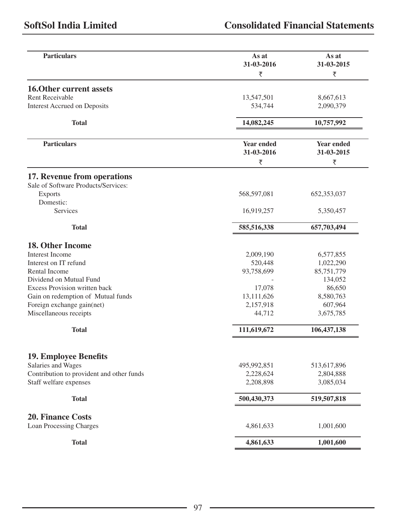| <b>Particulars</b>                        | As at<br>31-03-2016 | As at<br>31-03-2015 |
|-------------------------------------------|---------------------|---------------------|
|                                           | ₹                   | ₹                   |
| 16.0ther current assets                   |                     |                     |
| <b>Rent Receivable</b>                    | 13,547,501          | 8,667,613           |
| <b>Interest Accrued on Deposits</b>       | 534,744             | 2,090,379           |
|                                           |                     |                     |
| <b>Total</b>                              | 14,082,245          | 10,757,992          |
| <b>Particulars</b>                        | Year ended          | Year ended          |
|                                           | 31-03-2016          | 31-03-2015          |
|                                           | ₹                   | ₹                   |
|                                           |                     |                     |
| 17. Revenue from operations               |                     |                     |
| Sale of Software Products/Services:       |                     |                     |
| <b>Exports</b>                            | 568,597,081         | 652, 353, 037       |
| Domestic:                                 |                     |                     |
| Services                                  | 16,919,257          | 5,350,457           |
| <b>Total</b>                              | 585,516,338         | 657,703,494         |
|                                           |                     |                     |
| 18. Other Income                          |                     |                     |
| <b>Interest Income</b>                    | 2,009,190           | 6,577,855           |
| Interest on IT refund                     | 520,448             | 1,022,290           |
| Rental Income                             | 93,758,699          | 85,751,779          |
| Dividend on Mutual Fund                   |                     | 134,052             |
| Excess Provision written back             | 17,078              | 86,650              |
| Gain on redemption of Mutual funds        | 13,111,626          | 8,580,763           |
| Foreign exchange gain(net)                | 2,157,918           | 607,964             |
| Miscellaneous receipts                    | 44,712              | 3,675,785           |
| <b>Total</b>                              | 111,619,672         | 106, 437, 138       |
|                                           |                     |                     |
| <b>19. Employee Benefits</b>              |                     |                     |
| Salaries and Wages                        | 495,992,851         | 513,617,896         |
| Contribution to provident and other funds | 2,228,624           | 2,804,888           |
| Staff welfare expenses                    | 2,208,898           | 3,085,034           |
| <b>Total</b>                              | 500,430,373         | 519,507,818         |
|                                           |                     |                     |
| <b>20. Finance Costs</b>                  |                     |                     |
| Loan Processing Charges                   | 4,861,633           | 1,001,600           |
| <b>Total</b>                              | 4,861,633           | 1,001,600           |

<u> 1989 - Johann Barbara, martxa alemaniar a</u>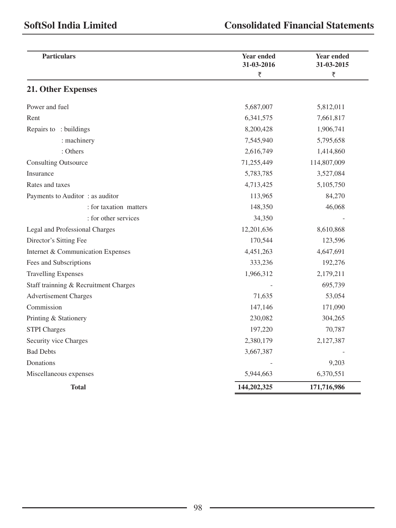| <b>Particulars</b>                    | <b>Year ended</b><br>31-03-2016 | <b>Year ended</b><br>31-03-2015 |
|---------------------------------------|---------------------------------|---------------------------------|
|                                       | ₹                               | ₹                               |
| 21. Other Expenses                    |                                 |                                 |
| Power and fuel                        | 5,687,007                       | 5,812,011                       |
| Rent                                  | 6,341,575                       | 7,661,817                       |
| Repairs to: buildings                 | 8,200,428                       | 1,906,741                       |
| : machinery                           | 7,545,940                       | 5,795,658                       |
| : Others                              | 2,616,749                       | 1,414,860                       |
| <b>Consulting Outsource</b>           | 71,255,449                      | 114,807,009                     |
| Insurance                             | 5,783,785                       | 3,527,084                       |
| Rates and taxes                       | 4,713,425                       | 5,105,750                       |
| Payments to Auditor: as auditor       | 113,965                         | 84,270                          |
| : for taxation matters                | 148,350                         | 46,068                          |
| : for other services                  | 34,350                          |                                 |
| Legal and Professional Charges        | 12,201,636                      | 8,610,868                       |
| Director's Sitting Fee                | 170,544                         | 123,596                         |
| Internet & Communication Expenses     | 4,451,263                       | 4,647,691                       |
| Fees and Subscriptions                | 333,236                         | 192,276                         |
| <b>Travelling Expenses</b>            | 1,966,312                       | 2,179,211                       |
| Staff trainning & Recruitment Charges |                                 | 695,739                         |
| <b>Advertisement Charges</b>          | 71,635                          | 53,054                          |
| Commission                            | 147,146                         | 171,090                         |
| Printing & Stationery                 | 230,082                         | 304,265                         |
| <b>STPI</b> Charges                   | 197,220                         | 70,787                          |
| Security vice Charges                 | 2,380,179                       | 2,127,387                       |
| <b>Bad Debts</b>                      | 3,667,387                       |                                 |
| Donations                             |                                 | 9,203                           |
| Miscellaneous expenses                | 5,944,663                       | 6,370,551                       |
| Total                                 | 144,202,325                     | 171,716,986                     |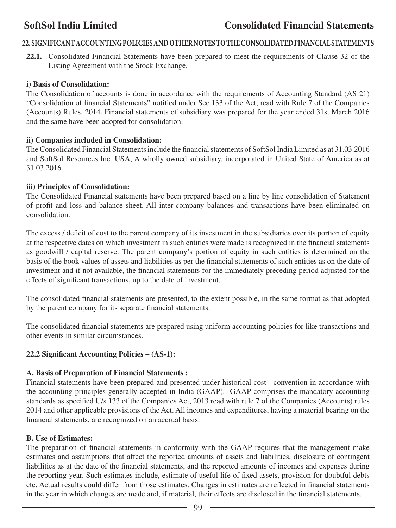# **22. SIGNIFICANT ACCOUNTING POLICIES AND OTHER NOTES TO THE CONSOLIDATED FINANCIAL STATEMENTS**

**22.1.** Consolidated Financial Statements have been prepared to meet the requirements of Clause 32 of the Listing Agreement with the Stock Exchange.

#### **i) Basis of Consolidation:**

The Consolidation of accounts is done in accordance with the requirements of Accounting Standard (AS 21) "Consolidation of financial Statements" notified under Sec.133 of the Act, read with Rule 7 of the Companies (Accounts) Rules, 2014. Financial statements of subsidiary was prepared for the year ended 31st March 2016 and the same have been adopted for consolidation.

#### **ii) Companies included in Consolidation:**

The Consolidated Financial Statements include the financial statements of SoftSol India Limited as at 31.03.2016 and SoftSol Resources Inc. USA, A wholly owned subsidiary, incorporated in United State of America as at 31.03.2016.

#### **iii) Principles of Consolidation:**

The Consolidated Financial statements have been prepared based on a line by line consolidation of Statement of profit and loss and balance sheet. All inter-company balances and transactions have been eliminated on consolidation.

The excess / deficit of cost to the parent company of its investment in the subsidiaries over its portion of equity at the respective dates on which investment in such entities were made is recognized in the financial statements as goodwill / capital reserve. The parent company's portion of equity in such entities is determined on the basis of the book values of assets and liabilities as per the financial statements of such entities as on the date of investment and if not available, the financial statements for the immediately preceding period adjusted for the effects of significant transactions, up to the date of investment.

The consolidated financial statements are presented, to the extent possible, in the same format as that adopted by the parent company for its separate financial statements.

The consolidated financial statements are prepared using uniform accounting policies for like transactions and other events in similar circumstances.

## **22.2 Significant Accounting Policies – (AS-1):**

## **A. Basis of Preparation of Financial Statements :**

Financial statements have been prepared and presented under historical cost convention in accordance with the accounting principles generally accepted in India (GAAP). GAAP comprises the mandatory accounting standards as specified U/s 133 of the Companies Act, 2013 read with rule 7 of the Companies (Accounts) rules 2014 and other applicable provisions of the Act. All incomes and expenditures, having a material bearing on the financial statements, are recognized on an accrual basis.

## **B. Use of Estimates:**

The preparation of financial statements in conformity with the GAAP requires that the management make estimates and assumptions that affect the reported amounts of assets and liabilities, disclosure of contingent liabilities as at the date of the financial statements, and the reported amounts of incomes and expenses during the reporting year. Such estimates include, estimate of useful life of fixed assets, provision for doubtful debts etc. Actual results could differ from those estimates. Changes in estimates are reflected in financial statements in the year in which changes are made and, if material, their effects are disclosed in the financial statements.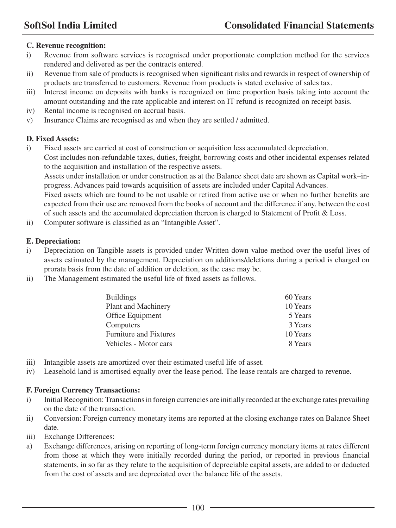## **C. Revenue recognition:**

- i) Revenue from software services is recognised under proportionate completion method for the services rendered and delivered as per the contracts entered.
- ii) Revenue from sale of products is recognised when significant risks and rewards in respect of ownership of products are transferred to customers. Revenue from products is stated exclusive of sales tax.
- iii) Interest income on deposits with banks is recognized on time proportion basis taking into account the amount outstanding and the rate applicable and interest on IT refund is recognized on receipt basis.
- iv) Rental income is recognised on accrual basis.
- v) Insurance Claims are recognised as and when they are settled / admitted.

## **D. Fixed Assets:**

i) Fixed assets are carried at cost of construction or acquisition less accumulated depreciation. Cost includes non-refundable taxes, duties, freight, borrowing costs and other incidental expenses related to the acquisition and installation of the respective assets.

Assets under installation or under construction as at the Balance sheet date are shown as Capital work–inprogress. Advances paid towards acquisition of assets are included under Capital Advances.

Fixed assets which are found to be not usable or retired from active use or when no further benefits are expected from their use are removed from the books of account and the difference if any, between the cost of such assets and the accumulated depreciation thereon is charged to Statement of Profit & Loss.

ii) Computer software is classified as an "Intangible Asset".

## **E. Depreciation:**

- i) Depreciation on Tangible assets is provided under Written down value method over the useful lives of assets estimated by the management. Depreciation on additions/deletions during a period is charged on prorata basis from the date of addition or deletion, as the case may be.
- ii) The Management estimated the useful life of fixed assets as follows.

| <b>Buildings</b>              | 60 Years |
|-------------------------------|----------|
| Plant and Machinery           | 10 Years |
| Office Equipment              | 5 Years  |
| Computers                     | 3 Years  |
| <b>Furniture and Fixtures</b> | 10 Years |
| Vehicles - Motor cars         | 8 Years  |

- iii) Intangible assets are amortized over their estimated useful life of asset.
- iv) Leasehold land is amortised equally over the lease period. The lease rentals are charged to revenue.

## **F. Foreign Currency Transactions:**

- i) Initial Recognition: Transactions in foreign currencies are initially recorded at the exchange rates prevailing on the date of the transaction.
- ii) Conversion: Foreign currency monetary items are reported at the closing exchange rates on Balance Sheet date.
- iii) Exchange Differences:
- a) Exchange differences, arising on reporting of long-term foreign currency monetary items at rates different from those at which they were initially recorded during the period, or reported in previous financial statements, in so far as they relate to the acquisition of depreciable capital assets, are added to or deducted from the cost of assets and are depreciated over the balance life of the assets.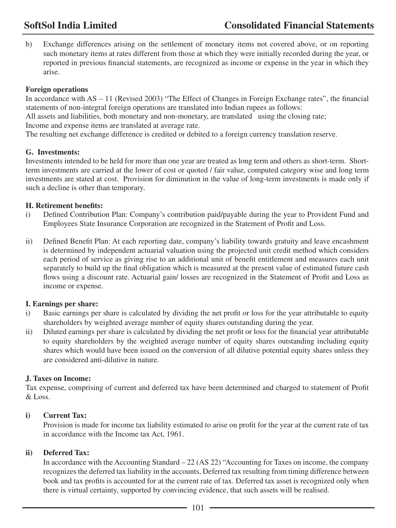b) Exchange differences arising on the settlement of monetary items not covered above, or on reporting such monetary items at rates different from those at which they were initially recorded during the year, or reported in previous financial statements, are recognized as income or expense in the year in which they arise.

#### **Foreign operations**

In accordance with AS – 11 (Revised 2003) "The Effect of Changes in Foreign Exchange rates", the financial statements of non-integral foreign operations are translated into Indian rupees as follows:

All assets and liabilities, both monetary and non-monetary, are translated using the closing rate; Income and expense items are translated at average rate.

The resulting net exchange difference is credited or debited to a foreign currency translation reserve.

#### **G. Investments:**

Investments intended to be held for more than one year are treated as long term and others as short-term. Shortterm investments are carried at the lower of cost or quoted / fair value, computed category wise and long term investments are stated at cost. Provision for diminution in the value of long-term investments is made only if such a decline is other than temporary.

#### **H. Retirement benefits:**

- i) Defined Contribution Plan: Company's contribution paid/payable during the year to Provident Fund and Employees State Insurance Corporation are recognized in the Statement of Profit and Loss.
- ii) Defined Benefit Plan: At each reporting date, company's liability towards gratuity and leave encashment is determined by independent actuarial valuation using the projected unit credit method which considers each period of service as giving rise to an additional unit of benefit entitlement and measures each unit separately to build up the final obligation which is measured at the present value of estimated future cash flows using a discount rate. Actuarial gain/ losses are recognized in the Statement of Profit and Loss as income or expense.

## **I. Earnings per share:**

- i) Basic earnings per share is calculated by dividing the net profit or loss for the year attributable to equity shareholders by weighted average number of equity shares outstanding during the year.
- ii) Diluted earnings per share is calculated by dividing the net profit or loss for the financial year attributable to equity shareholders by the weighted average number of equity shares outstanding including equity shares which would have been issued on the conversion of all dilutive potential equity shares unless they are considered anti-dilutive in nature.

## **J. Taxes on Income:**

Tax expense, comprising of current and deferred tax have been determined and charged to statement of Profit & Loss.

#### **i) Current Tax:**

Provision is made for income tax liability estimated to arise on profit for the year at the current rate of tax in accordance with the Income tax Act, 1961.

#### **ii) Deferred Tax:**

In accordance with the Accounting Standard – 22 (AS 22) "Accounting for Taxes on income, the company recognizes the deferred tax liability in the accounts, Deferred tax resulting from timing difference between book and tax profits is accounted for at the current rate of tax. Deferred tax asset is recognized only when there is virtual certainty, supported by convincing evidence, that such assets will be realised.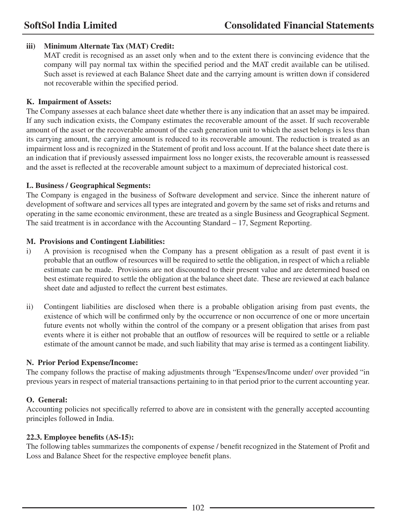## **iii) Minimum Alternate Tax (MAT) Credit:**

MAT credit is recognised as an asset only when and to the extent there is convincing evidence that the company will pay normal tax within the specified period and the MAT credit available can be utilised. Such asset is reviewed at each Balance Sheet date and the carrying amount is written down if considered not recoverable within the specified period.

#### **K. Impairment of Assets:**

The Company assesses at each balance sheet date whether there is any indication that an asset may be impaired. If any such indication exists, the Company estimates the recoverable amount of the asset. If such recoverable amount of the asset or the recoverable amount of the cash generation unit to which the asset belongs is less than its carrying amount, the carrying amount is reduced to its recoverable amount. The reduction is treated as an impairment loss and is recognized in the Statement of profit and loss account. If at the balance sheet date there is an indication that if previously assessed impairment loss no longer exists, the recoverable amount is reassessed and the asset is reflected at the recoverable amount subject to a maximum of depreciated historical cost.

#### **L. Business / Geographical Segments:**

The Company is engaged in the business of Software development and service. Since the inherent nature of development of software and services all types are integrated and govern by the same set of risks and returns and operating in the same economic environment, these are treated as a single Business and Geographical Segment. The said treatment is in accordance with the Accounting Standard – 17, Segment Reporting.

#### **M. Provisions and Contingent Liabilities:**

- i) A provision is recognised when the Company has a present obligation as a result of past event it is probable that an outflow of resources will be required to settle the obligation, in respect of which a reliable estimate can be made. Provisions are not discounted to their present value and are determined based on best estimate required to settle the obligation at the balance sheet date. These are reviewed at each balance sheet date and adjusted to reflect the current best estimates.
- ii) Contingent liabilities are disclosed when there is a probable obligation arising from past events, the existence of which will be confirmed only by the occurrence or non occurrence of one or more uncertain future events not wholly within the control of the company or a present obligation that arises from past events where it is either not probable that an outflow of resources will be required to settle or a reliable estimate of the amount cannot be made, and such liability that may arise is termed as a contingent liability.

## **N. Prior Period Expense/Income:**

The company follows the practise of making adjustments through "Expenses/Income under/ over provided "in previous years in respect of material transactions pertaining to in that period prior to the current accounting year.

## **O. General:**

Accounting policies not specifically referred to above are in consistent with the generally accepted accounting principles followed in India.

#### **22.3. Employee benefits (AS-15):**

The following tables summarizes the components of expense / benefit recognized in the Statement of Profit and Loss and Balance Sheet for the respective employee benefit plans.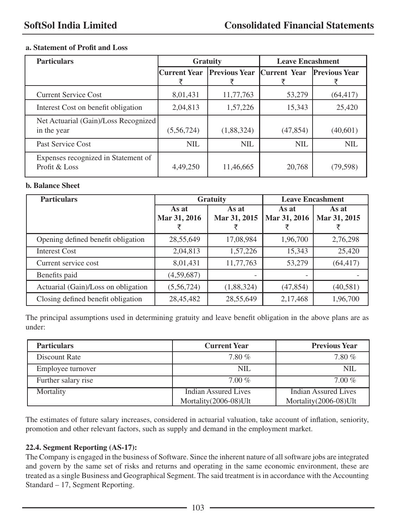#### **a. Statement of Profit and Loss**

| <b>Particulars</b>                                   |                     | <b>Gratuity</b>                   |            | <b>Leave Encashment</b> |
|------------------------------------------------------|---------------------|-----------------------------------|------------|-------------------------|
|                                                      | <b>Current Year</b> | <b>Previous Year Current Year</b> |            | <b>Previous Year</b>    |
| <b>Current Service Cost</b>                          | 8,01,431            | 11,77,763                         | 53,279     | (64, 417)               |
| Interest Cost on benefit obligation                  | 2,04,813            | 1,57,226                          | 15,343     | 25,420                  |
| Net Actuarial (Gain)/Loss Recognized<br>in the year  | (5,56,724)          | (1,88,324)                        | (47, 854)  | (40,601)                |
| Past Service Cost                                    | <b>NIL</b>          | <b>NIL</b>                        | <b>NIL</b> | <b>NIL</b>              |
| Expenses recognized in Statement of<br>Profit & Loss | 4,49,250            | 11,46,665                         | 20,768     | (79,598)                |

#### **b. Balance Sheet**

| <b>Particulars</b>                  | <b>Leave Encashment</b><br><b>Gratuity</b> |              |              |              |
|-------------------------------------|--------------------------------------------|--------------|--------------|--------------|
|                                     | As at                                      | As at        | As at        | As at        |
|                                     | Mar 31, 2016                               | Mar 31, 2015 | Mar 31, 2016 | Mar 31, 2015 |
|                                     |                                            |              |              |              |
| Opening defined benefit obligation  | 28,55,649                                  | 17,08,984    | 1,96,700     | 2,76,298     |
| <b>Interest Cost</b>                | 2,04,813                                   | 1,57,226     | 15,343       | 25,420       |
| Current service cost                | 8,01,431                                   | 11,77,763    | 53,279       | (64, 417)    |
| Benefits paid                       | (4,59,687)                                 |              |              |              |
| Actuarial (Gain)/Loss on obligation | (5,56,724)                                 | (1,88,324)   | (47, 854)    | (40,581)     |
| Closing defined benefit obligation  | 28,45,482                                  | 28,55,649    | 2,17,468     | 1,96,700     |

The principal assumptions used in determining gratuity and leave benefit obligation in the above plans are as under:

| <b>Particulars</b>  | <b>Current Year</b>   | <b>Previous Year</b>  |
|---------------------|-----------------------|-----------------------|
| Discount Rate       | 7.80%                 | 7.80%                 |
| Employee turnover   | <b>NIL</b>            | NIL.                  |
| Further salary rise | $7.00\%$              | $7.00\%$              |
| Mortality           | Indian Assured Lives  | Indian Assured Lives  |
|                     | Mortality(2006-08)Ult | Mortality(2006-08)Ult |

The estimates of future salary increases, considered in actuarial valuation, take account of inflation, seniority, promotion and other relevant factors, such as supply and demand in the employment market.

#### **22.4. Segment Reporting (AS-17):**

The Company is engaged in the business of Software. Since the inherent nature of all software jobs are integrated and govern by the same set of risks and returns and operating in the same economic environment, these are treated as a single Business and Geographical Segment. The said treatment is in accordance with the Accounting Standard – 17, Segment Reporting.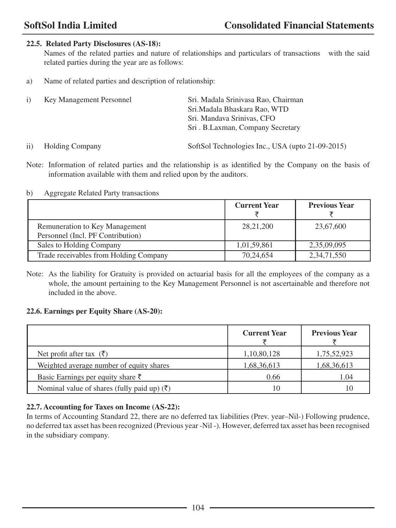## **22.5. Related Party Disclosures (AS-18):**

Names of the related parties and nature of relationships and particulars of transactions with the said related parties during the year are as follows:

a) Name of related parties and description of relationship:

| $\left(1\right)$ | Key Management Personnel | Sri. Madala Srinivasa Rao, Chairman |
|------------------|--------------------------|-------------------------------------|
|                  |                          | Sri. Madala Bhaskara Rao, WTD       |
|                  |                          | Sri. Mandava Srinivas, CFO          |
|                  |                          | Sri. B.Laxman, Company Secretary    |
|                  |                          |                                     |

ii) Holding Company SoftSol Technologies Inc., USA (upto 21-09-2015)

Note: Information of related parties and the relationship is as identified by the Company on the basis of information available with them and relied upon by the auditors.

#### b) Aggregate Related Party transactions

|                                                                     | <b>Current Year</b> | <b>Previous Year</b> |
|---------------------------------------------------------------------|---------------------|----------------------|
| Remuneration to Key Management<br>Personnel (Incl. PF Contribution) | 28, 21, 200         | 23,67,600            |
| Sales to Holding Company                                            | 1,01,59,861         | 2,35,09,095          |
| Trade receivables from Holding Company                              | 70,24,654           | 2, 34, 71, 550       |

Note: As the liability for Gratuity is provided on actuarial basis for all the employees of the company as a whole, the amount pertaining to the Key Management Personnel is not ascertainable and therefore not included in the above.

## **22.6. Earnings per Equity Share (AS-20):**

|                                                         | <b>Current Year</b> | <b>Previous Year</b> |
|---------------------------------------------------------|---------------------|----------------------|
| Net profit after tax $(\bar{\zeta})$                    | 1,10,80,128         | 1,75,52,923          |
| Weighted average number of equity shares                | 1,68,36,613         | 1,68,36,613          |
| Basic Earnings per equity share $\bar{\tau}$            | 0.66                | 1.04                 |
| Nominal value of shares (fully paid up) $(\bar{\zeta})$ | 10                  | 10                   |

## **22.7. Accounting for Taxes on Income (AS-22):**

In terms of Accounting Standard 22, there are no deferred tax liabilities (Prev. year–Nil-) Following prudence, no deferred tax asset has been recognized (Previous year -Nil -). However, deferred tax asset has been recognised in the subsidiary company.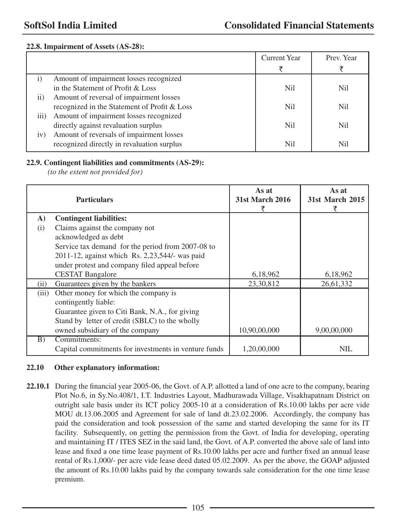#### **22.8. Impairment of Assets (AS-28):**

|                  |                                              | <b>Current Year</b> | Prev. Year |
|------------------|----------------------------------------------|---------------------|------------|
|                  |                                              |                     |            |
| $\mathbf{i}$     | Amount of impairment losses recognized       |                     |            |
|                  | in the Statement of Profit & Loss            | Nil                 | Nil.       |
| $\rm ii)$        | Amount of reversal of impairment losses      |                     |            |
|                  | recognized in the Statement of Profit & Loss | Nil                 | Nil.       |
| $\overline{iii}$ | Amount of impairment losses recognized       |                     |            |
|                  | directly against revaluation surplus         | Nil                 | Nil.       |
| iv)              | Amount of reversals of impairment losses     |                     |            |
|                  | recognized directly in revaluation surplus   | Nil                 | Nil        |

#### **22.9. Contingent liabilities and commitments (AS-29):**

*(to the extent not provided for)*

|              | <b>Particulars</b>                                   | As at<br><b>31st March 2016</b> | As at<br><b>31st March 2015</b> |
|--------------|------------------------------------------------------|---------------------------------|---------------------------------|
| $\mathbf{A}$ | <b>Contingent liabilities:</b>                       |                                 |                                 |
| (i)          | Claims against the company not                       |                                 |                                 |
|              | acknowledged as debt                                 |                                 |                                 |
|              | Service tax demand for the period from 2007-08 to    |                                 |                                 |
|              | 2011-12, against which Rs. 2,23,544/- was paid       |                                 |                                 |
|              | under protest and company filed appeal before        |                                 |                                 |
|              | <b>CESTAT Bangalore</b>                              | 6,18,962                        | 6,18,962                        |
| (11)         | Guarantees given by the bankers                      | 23,30,812                       | 26,61,332                       |
| (iii)        | Other money for which the company is                 |                                 |                                 |
|              | contingently liable:                                 |                                 |                                 |
|              | Guarantee given to Citi Bank, N.A., for giving       |                                 |                                 |
|              | Stand by letter of credit (SBLC) to the wholly       |                                 |                                 |
|              | owned subsidiary of the company                      | 10,90,00,000                    | 9,00,00,000                     |
| B)           | Commitments:                                         |                                 |                                 |
|              | Capital commitments for investments in venture funds | 1,20,00,000                     | <b>NIL</b>                      |

## **22.10 Other explanatory information:**

**22.10.1** During the financial year 2005-06, the Govt. of A.P. allotted a land of one acre to the company, bearing Plot No.6, in Sy.No.408/1, I.T. Industries Layout, Madhurawada Village, Visakhapatnam District on outright sale basis under its ICT policy 2005-10 at a consideration of Rs.10.00 lakhs per acre vide MOU dt.13.06.2005 and Agreement for sale of land dt.23.02.2006. Accordingly, the company has paid the consideration and took possession of the same and started developing the same for its IT facility. Subsequently, on getting the permission from the Govt. of India for developing, operating and maintaining IT / ITES SEZ in the said land, the Govt. of A.P. converted the above sale of land into lease and fixed a one time lease payment of Rs.10.00 lakhs per acre and further fixed an annual lease rental of Rs.1,000/- per acre vide lease deed dated 05.02.2009. As per the above, the GOAP adjusted the amount of Rs.10.00 lakhs paid by the company towards sale consideration for the one time lease premium.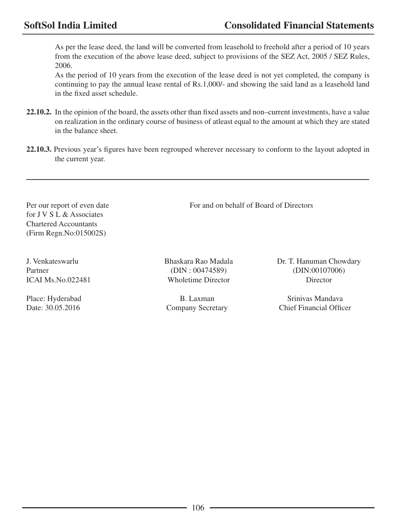As per the lease deed, the land will be converted from leasehold to freehold after a period of 10 years from the execution of the above lease deed, subject to provisions of the SEZ Act, 2005 / SEZ Rules, 2006.

As the period of 10 years from the execution of the lease deed is not yet completed, the company is continuing to pay the annual lease rental of Rs.1,000/- and showing the said land as a leasehold land in the fixed asset schedule.

- **22.10.2.** In the opinion of the board, the assets other than fixed assets and non–current investments, have a value on realization in the ordinary course of business of atleast equal to the amount at which they are stated in the balance sheet.
- **22.10.3.** Previous year's figures have been regrouped wherever necessary to conform to the layout adopted in the current year.

Per our report of even date For and on behalf of Board of Directors for J V S L & Associates Chartered Accountants (Firm Regn.No:015002S)

ICAI Ms.No.022481 Wholetime Director Director

J. Venkateswarlu Bhaskara Rao Madala Dr. T. Hanuman Chowdary Partner (DIN : 00474589) (DIN : 00474589) (DIN : 00107006)

Place: Hyderabad B. Laxman Srinivas Mandava Date: 30.05.2016 Company Secretary Chief Financial Officer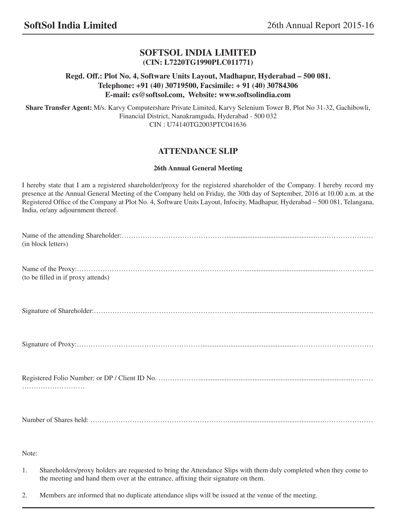## **SOFTSOL INDIA LIMITED (CIN: L7220TG1990PLC011771)**

#### **Regd. Off.: Plot No. 4, Software Units Layout, Madhapur, Hyderabad – 500 081. Telephone: +91 (40) 30719500, Facsimile: + 91 (40) 30784306 E-mail: cs@softsol.com, Website: www.softsolindia.com**

**Share Transfer Agent:** M/s. Karvy Computershare Private Limited, Karvy Selenium Tower B, Plot No 31-32, Gachibowli, Financial District, Nanakramguda, Hyderabad - 500 032 CIN : U74140TG2003PTC041636

## **ATTENDANCE SLIP**

#### **26th Annual General Meeting**

I hereby state that I am a registered shareholder/proxy for the registered shareholder of the Company. I hereby record my presence at the Annual General Meeting of the Company held on Friday, the 30th day of September, 2016 at 10.00 a.m. at the Registered Office of the Company at Plot No. 4, Software Units Layout, Infocity, Madhapur, Hyderabad – 500 081, Telangana, India, or/any adjournment thereof.

| (in block letters)                 |
|------------------------------------|
| (to be filled in if proxy attends) |
|                                    |
|                                    |
|                                    |
|                                    |

#### Note:

1. Shareholders/proxy holders are requested to bring the Attendance Slips with them duly completed when they come to the meeting and hand them over at the entrance, affixing their signature on them.

107

2. Members are informed that no duplicate attendance slips will be issued at the venue of the meeting.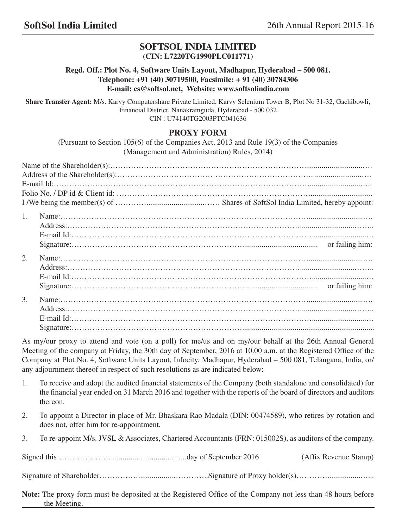## **SOFTSOL INDIA LIMITED (CIN: L7220TG1990PLC011771)**

## **Regd. Off.: Plot No. 4, Software Units Layout, Madhapur, Hyderabad – 500 081. Telephone: +91 (40) 30719500, Facsimile: + 91 (40) 30784306 E-mail: cs@softsol.net, Website: www.softsolindia.com**

**Share Transfer Agent:** M/s. Karvy Computershare Private Limited, Karvy Selenium Tower B, Plot No 31-32, Gachibowli, Financial District, Nanakramguda, Hyderabad - 500 032 CIN : U74140TG2003PTC041636

## **PROXY FORM**

(Pursuant to Section 105(6) of the Companies Act, 2013 and Rule 19(3) of the Companies (Management and Administration) Rules, 2014)

| $1_{-}$ |  |
|---------|--|
|         |  |
|         |  |
| 2.      |  |
|         |  |
|         |  |
|         |  |
| 3.      |  |
|         |  |
|         |  |
|         |  |

As my/our proxy to attend and vote (on a poll) for me/us and on my/our behalf at the 26th Annual General Meeting of the company at Friday, the 30th day of September, 2016 at 10.00 a.m. at the Registered Office of the Company at Plot No. 4, Software Units Layout, Infocity, Madhapur, Hyderabad – 500 081, Telangana, India, or/ any adjournment thereof in respect of such resolutions as are indicated below:

- 1. To receive and adopt the audited financial statements of the Company (both standalone and consolidated) for the financial year ended on 31 March 2016 and together with the reports of the board of directors and auditors thereon.
- 2. To appoint a Director in place of Mr. Bhaskara Rao Madala (DIN: 00474589), who retires by rotation and does not, offer him for re-appointment.
- 3. To re-appoint M/s. JVSL & Associates, Chartered Accountants (FRN: 015002S), as auditors of the company.

Signed this………………….......................................day of September 2016 (Affix Revenue Stamp)

Signature of Shareholder…………………………………………………Signature of Proxy holder(s)…………………………

108 **Note:** The proxy form must be deposited at the Registered Office of the Company not less than 48 hours before the Meeting.